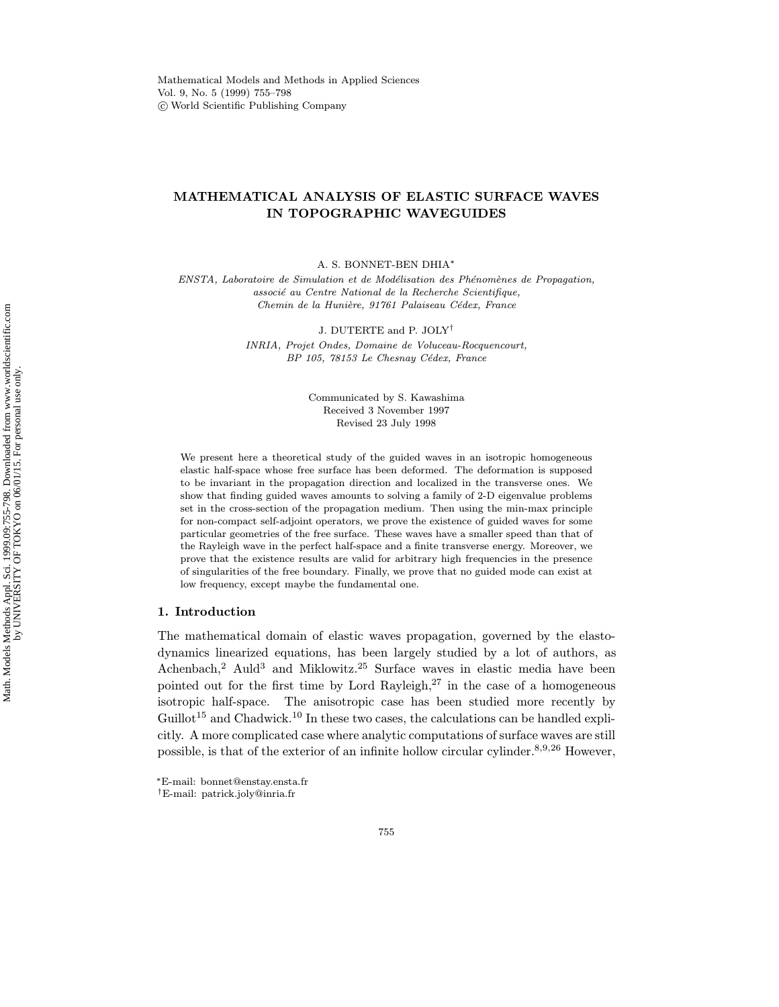# MATHEMATICAL ANALYSIS OF ELASTIC SURFACE WAVES IN TOPOGRAPHIC WAVEGUIDES

A. S. BONNET-BEN DHIA<sup>∗</sup>

ENSTA, Laboratoire de Simulation et de Modélisation des Phénomènes de Propagation, associé au Centre National de la Recherche Scientifique, Chemin de la Hunière, 91761 Palaiseau Cédex, France

> J. DUTERTE and P. JOLY† INRIA, Projet Ondes, Domaine de Voluceau-Rocquencourt,

> > BP 105, 78153 Le Chesnay Cédex, France

Communicated by S. Kawashima Received 3 November 1997 Revised 23 July 1998

We present here a theoretical study of the guided waves in an isotropic homogeneous elastic half-space whose free surface has been deformed. The deformation is supposed to be invariant in the propagation direction and localized in the transverse ones. We show that finding guided waves amounts to solving a family of 2-D eigenvalue problems set in the cross-section of the propagation medium. Then using the min-max principle for non-compact self-adjoint operators, we prove the existence of guided waves for some particular geometries of the free surface. These waves have a smaller speed than that of the Rayleigh wave in the perfect half-space and a finite transverse energy. Moreover, we prove that the existence results are valid for arbitrary high frequencies in the presence of singularities of the free boundary. Finally, we prove that no guided mode can exist at low frequency, except maybe the fundamental one.

### 1. Introduction

The mathematical domain of elastic waves propagation, governed by the elastodynamics linearized equations, has been largely studied by a lot of authors, as Achenbach,<sup>2</sup> Auld<sup>3</sup> and Miklowitz.<sup>25</sup> Surface waves in elastic media have been pointed out for the first time by Lord Rayleigh, $27$  in the case of a homogeneous isotropic half-space. The anisotropic case has been studied more recently by  $Guillot<sup>15</sup>$  and Chadwick.<sup>10</sup> In these two cases, the calculations can be handled explicitly. A more complicated case where analytic computations of surface waves are still possible, is that of the exterior of an infinite hollow circular cylinder.<sup>8,9,26</sup> However,

<sup>∗</sup>E-mail: bonnet@enstay.ensta.fr

<sup>†</sup>E-mail: patrick.joly@inria.fr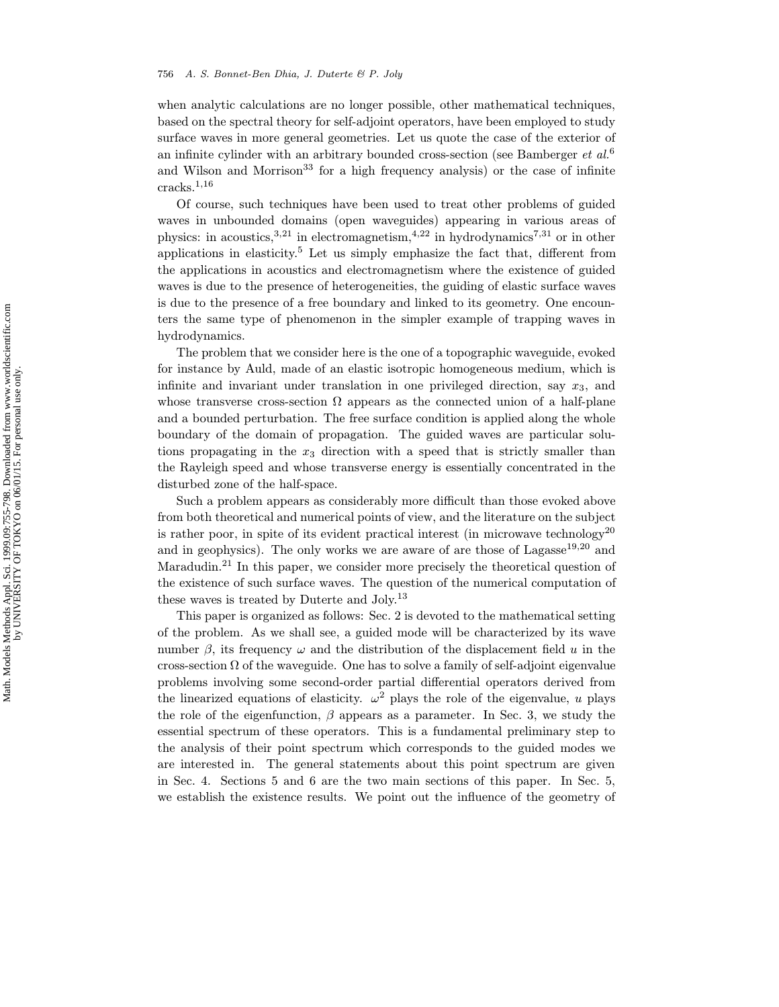#### 756 A. S. Bonnet-Ben Dhia, J. Duterte & P. Joly

when analytic calculations are no longer possible, other mathematical techniques, based on the spectral theory for self-adjoint operators, have been employed to study surface waves in more general geometries. Let us quote the case of the exterior of an infinite cylinder with an arbitrary bounded cross-section (see Bamberger et  $al$ .<sup>6</sup> and Wilson and Morrison<sup>33</sup> for a high frequency analysis) or the case of infinite cracks.<sup>1</sup>,<sup>16</sup>

Of course, such techniques have been used to treat other problems of guided waves in unbounded domains (open waveguides) appearing in various areas of physics: in acoustics,  $3,21$  in electromagnetism,  $4,22$  in hydrodynamics<sup>7,31</sup> or in other applications in elasticity.<sup>5</sup> Let us simply emphasize the fact that, different from the applications in acoustics and electromagnetism where the existence of guided waves is due to the presence of heterogeneities, the guiding of elastic surface waves is due to the presence of a free boundary and linked to its geometry. One encounters the same type of phenomenon in the simpler example of trapping waves in hydrodynamics.

The problem that we consider here is the one of a topographic waveguide, evoked for instance by Auld, made of an elastic isotropic homogeneous medium, which is infinite and invariant under translation in one privileged direction, say  $x_3$ , and whose transverse cross-section  $\Omega$  appears as the connected union of a half-plane and a bounded perturbation. The free surface condition is applied along the whole boundary of the domain of propagation. The guided waves are particular solutions propagating in the  $x_3$  direction with a speed that is strictly smaller than the Rayleigh speed and whose transverse energy is essentially concentrated in the disturbed zone of the half-space.

Such a problem appears as considerably more difficult than those evoked above from both theoretical and numerical points of view, and the literature on the subject is rather poor, in spite of its evident practical interest (in microwave technology<sup>20</sup> and in geophysics). The only works we are aware of are those of Lagasse<sup>19,20</sup> and Maradudin.<sup>21</sup> In this paper, we consider more precisely the theoretical question of the existence of such surface waves. The question of the numerical computation of these waves is treated by Duterte and Joly.<sup>13</sup>

This paper is organized as follows: Sec. 2 is devoted to the mathematical setting of the problem. As we shall see, a guided mode will be characterized by its wave number  $\beta$ , its frequency  $\omega$  and the distribution of the displacement field u in the cross-section  $\Omega$  of the waveguide. One has to solve a family of self-adjoint eigenvalue problems involving some second-order partial differential operators derived from the linearized equations of elasticity.  $\omega^2$  plays the role of the eigenvalue, u plays the role of the eigenfunction,  $\beta$  appears as a parameter. In Sec. 3, we study the essential spectrum of these operators. This is a fundamental preliminary step to the analysis of their point spectrum which corresponds to the guided modes we are interested in. The general statements about this point spectrum are given in Sec. 4. Sections 5 and 6 are the two main sections of this paper. In Sec. 5, we establish the existence results. We point out the influence of the geometry of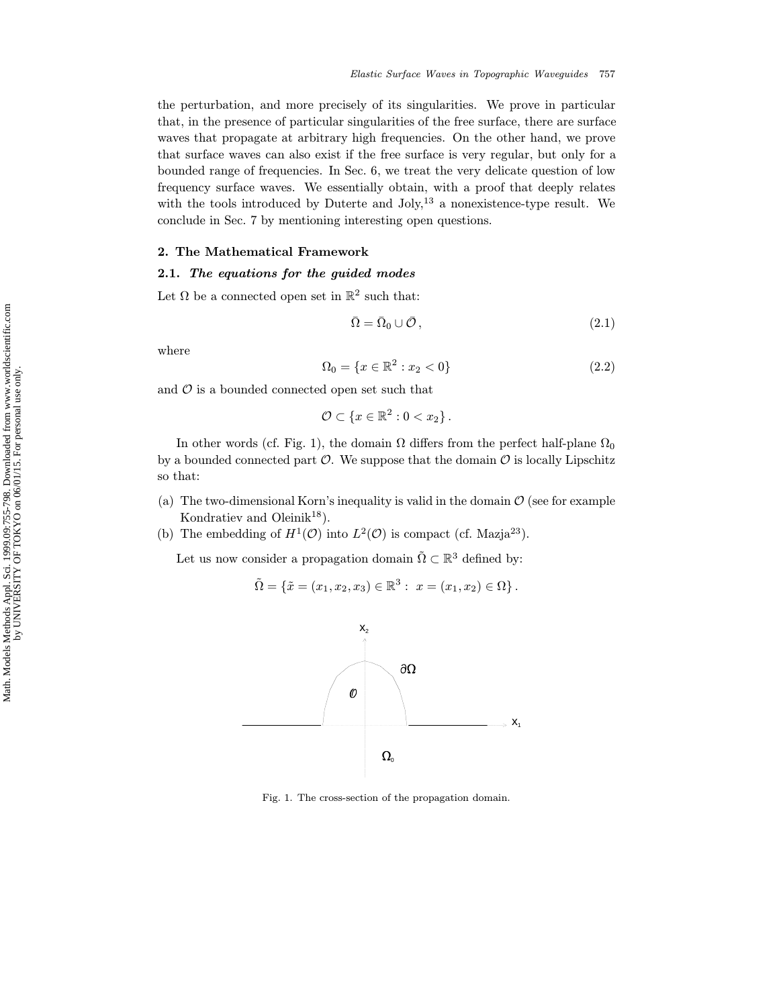the perturbation, and more precisely of its singularities. We prove in particular that, in the presence of particular singularities of the free surface, there are surface waves that propagate at arbitrary high frequencies. On the other hand, we prove that surface waves can also exist if the free surface is very regular, but only for a bounded range of frequencies. In Sec. 6, we treat the very delicate question of low frequency surface waves. We essentially obtain, with a proof that deeply relates with the tools introduced by Duterte and  $Joly$ ,<sup>13</sup> a nonexistence-type result. We conclude in Sec. 7 by mentioning interesting open questions.

## 2. The Mathematical Framework

## 2.1. The equations for the guided modes

Let  $\Omega$  be a connected open set in  $\mathbb{R}^2$  such that:

$$
\bar{\Omega} = \bar{\Omega}_0 \cup \bar{\mathcal{O}}\,,\tag{2.1}
$$

where

$$
\Omega_0 = \{ x \in \mathbb{R}^2 : x_2 < 0 \} \tag{2.2}
$$

and  $\mathcal O$  is a bounded connected open set such that

$$
\mathcal{O}\subset\left\{x\in\mathbb{R}^2:0
$$

In other words (cf. Fig. 1), the domain  $\Omega$  differs from the perfect half-plane  $\Omega_0$ by a bounded connected part  $\mathcal O$ . We suppose that the domain  $\mathcal O$  is locally Lipschitz so that:

- (a) The two-dimensional Korn's inequality is valid in the domain  $\mathcal O$  (see for example Kondratiev and Oleini $k^{18}$ ).
- (b) The embedding of  $H^1(\mathcal{O})$  into  $L^2(\mathcal{O})$  is compact (cf. Mazja<sup>23</sup>).

Let us now consider a propagation domain  $\tilde{\Omega} \subset \mathbb{R}^3$  defined by:

$$
\tilde{\Omega} = \{ \tilde{x} = (x_1, x_2, x_3) \in \mathbb{R}^3 : x = (x_1, x_2) \in \Omega \}.
$$



Fig. 1. The cross-section of the propagation domain.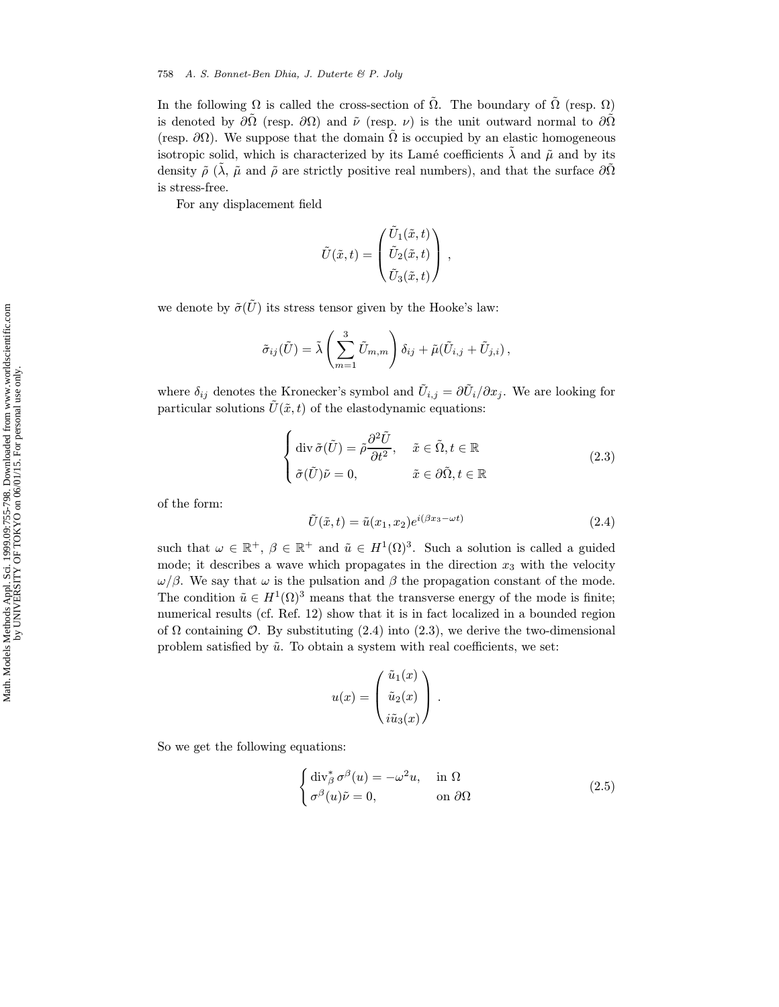In the following  $\Omega$  is called the cross-section of  $\tilde{\Omega}$ . The boundary of  $\tilde{\Omega}$  (resp.  $\Omega$ ) is denoted by  $\partial\tilde{\Omega}$  (resp.  $\partial\Omega$ ) and  $\tilde{\nu}$  (resp.  $\nu$ ) is the unit outward normal to  $\partial\tilde{\Omega}$ (resp.  $\partial\Omega$ ). We suppose that the domain  $\Omega$  is occupied by an elastic homogeneous isotropic solid, which is characterized by its Lamé coefficients  $\lambda$  and  $\tilde{\mu}$  and by its density  $\tilde{\rho}$  ( $\tilde{\lambda}$ ,  $\tilde{\mu}$  and  $\tilde{\rho}$  are strictly positive real numbers), and that the surface  $\partial\Omega$ is stress-free.

For any displacement field

$$
\tilde{U}(\tilde{x},t) = \begin{pmatrix} \tilde{U}_1(\tilde{x},t) \\ \tilde{U}_2(\tilde{x},t) \\ \tilde{U}_3(\tilde{x},t) \end{pmatrix},
$$

we denote by  $\tilde{\sigma}(\tilde{U})$  its stress tensor given by the Hooke's law:

$$
\tilde{\sigma}_{ij}(\tilde{U}) = \tilde{\lambda} \left( \sum_{m=1}^3 \tilde{U}_{m,m} \right) \delta_{ij} + \tilde{\mu}(\tilde{U}_{i,j} + \tilde{U}_{j,i}),
$$

where  $\delta_{ij}$  denotes the Kronecker's symbol and  $\tilde{U}_{i,j} = \partial \tilde{U}_i / \partial x_j$ . We are looking for particular solutions  $\tilde{U}(\tilde{x}, t)$  of the elastodynamic equations:

$$
\begin{cases} \operatorname{div} \tilde{\sigma}(\tilde{U}) = \tilde{\rho} \frac{\partial^2 \tilde{U}}{\partial t^2}, & \tilde{x} \in \tilde{\Omega}, t \in \mathbb{R} \\ \tilde{\sigma}(\tilde{U}) \tilde{\nu} = 0, & \tilde{x} \in \partial \tilde{\Omega}, t \in \mathbb{R} \end{cases}
$$
(2.3)

of the form:

$$
\tilde{U}(\tilde{x},t) = \tilde{u}(x_1, x_2)e^{i(\beta x_3 - \omega t)}
$$
\n(2.4)

such that  $\omega \in \mathbb{R}^+$ ,  $\beta \in \mathbb{R}^+$  and  $\tilde{u} \in H^1(\Omega)^3$ . Such a solution is called a guided mode; it describes a wave which propagates in the direction  $x_3$  with the velocity  $\omega/\beta$ . We say that  $\omega$  is the pulsation and  $\beta$  the propagation constant of the mode. The condition  $\tilde{u} \in H^1(\Omega)^3$  means that the transverse energy of the mode is finite; numerical results (cf. Ref. 12) show that it is in fact localized in a bounded region of  $\Omega$  containing  $\mathcal{O}$ . By substituting (2.4) into (2.3), we derive the two-dimensional problem satisfied by  $\tilde{u}$ . To obtain a system with real coefficients, we set:

$$
u(x) = \begin{pmatrix} \tilde{u}_1(x) \\ \tilde{u}_2(x) \\ i\tilde{u}_3(x) \end{pmatrix}.
$$

So we get the following equations:

$$
\begin{cases} \operatorname{div}_{\beta}^{*} \sigma^{\beta}(u) = -\omega^{2} u, & \text{in } \Omega \\ \sigma^{\beta}(u) \tilde{\nu} = 0, & \text{on } \partial \Omega \end{cases}
$$
 (2.5)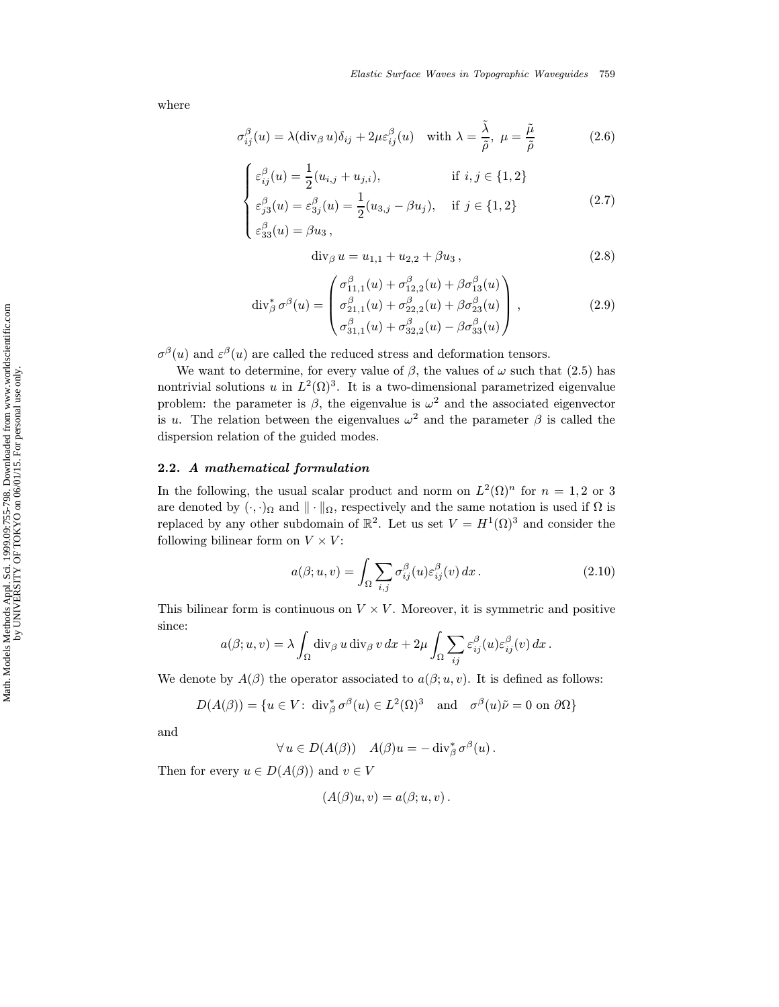where

$$
\sigma_{ij}^{\beta}(u) = \lambda(\text{div}_{\beta} u)\delta_{ij} + 2\mu\varepsilon_{ij}^{\beta}(u) \quad \text{with } \lambda = \frac{\tilde{\lambda}}{\tilde{\rho}}, \ \mu = \frac{\tilde{\mu}}{\tilde{\rho}} \tag{2.6}
$$

$$
\begin{cases} \varepsilon_{ij}^{\beta}(u) = \frac{1}{2}(u_{i,j} + u_{j,i}), & \text{if } i, j \in \{1, 2\} \\ \varepsilon_{j3}^{\beta}(u) = \varepsilon_{3j}^{\beta}(u) = \frac{1}{2}(u_{3,j} - \beta u_j), & \text{if } j \in \{1, 2\} \end{cases}
$$

$$
\begin{cases}\n\varepsilon_{j3}^{\beta}(u) = \varepsilon_{3j}^{\beta}(u) = \frac{1}{2}(u_{3,j} - \beta u_j), & \text{if } j \in \{1, 2\} \\
\varepsilon_{33}^{\beta}(u) = \beta u_3,\n\end{cases}
$$
\n(2.7)

$$
\operatorname{div}_{\beta} u = u_{1,1} + u_{2,2} + \beta u_3, \qquad (2.8)
$$

$$
\operatorname{div}_{\beta}^{*} \sigma^{\beta}(u) = \begin{pmatrix} \sigma_{11,1}^{\beta}(u) + \sigma_{12,2}^{\beta}(u) + \beta \sigma_{13}^{\beta}(u) \\ \sigma_{21,1}^{\beta}(u) + \sigma_{22,2}^{\beta}(u) + \beta \sigma_{23}^{\beta}(u) \\ \sigma_{31,1}^{\beta}(u) + \sigma_{32,2}^{\beta}(u) - \beta \sigma_{33}^{\beta}(u) \end{pmatrix},
$$
\n(2.9)

 $\sigma^{\beta}(u)$  and  $\varepsilon^{\beta}(u)$  are called the reduced stress and deformation tensors.

We want to determine, for every value of  $\beta$ , the values of  $\omega$  such that (2.5) has nontrivial solutions u in  $L^2(\Omega)^3$ . It is a two-dimensional parametrized eigenvalue problem: the parameter is  $\beta$ , the eigenvalue is  $\omega^2$  and the associated eigenvector is u. The relation between the eigenvalues  $\omega^2$  and the parameter  $\beta$  is called the dispersion relation of the guided modes.

### 2.2. A mathematical formulation

In the following, the usual scalar product and norm on  $L^2(\Omega)^n$  for  $n = 1, 2$  or 3 are denoted by  $(\cdot, \cdot)_{\Omega}$  and  $\|\cdot\|_{\Omega}$ , respectively and the same notation is used if  $\Omega$  is replaced by any other subdomain of  $\mathbb{R}^2$ . Let us set  $V = H^1(\Omega)^3$  and consider the following bilinear form on  $V \times V$ :

$$
a(\beta; u, v) = \int_{\Omega} \sum_{i,j} \sigma_{ij}^{\beta}(u) \varepsilon_{ij}^{\beta}(v) dx.
$$
 (2.10)

This bilinear form is continuous on  $V \times V$ . Moreover, it is symmetric and positive since:

$$
a(\beta; u, v) = \lambda \int_{\Omega} \operatorname{div}_{\beta} u \operatorname{div}_{\beta} v dx + 2\mu \int_{\Omega} \sum_{ij} \varepsilon_{ij}^{\beta}(u) \varepsilon_{ij}^{\beta}(v) dx.
$$

We denote by  $A(\beta)$  the operator associated to  $a(\beta; u, v)$ . It is defined as follows:

$$
D(A(\beta)) = \{ u \in V : \operatorname{div}_{\beta}^* \sigma^{\beta}(u) \in L^2(\Omega)^3 \quad \text{and} \quad \sigma^{\beta}(u)\tilde{\nu} = 0 \text{ on } \partial\Omega \}
$$

and

$$
\forall u \in D(A(\beta)) \quad A(\beta)u = -\operatorname{div}_{\beta}^* \sigma^{\beta}(u).
$$

Then for every  $u \in D(A(\beta))$  and  $v \in V$ 

$$
(A(\beta)u, v) = a(\beta; u, v).
$$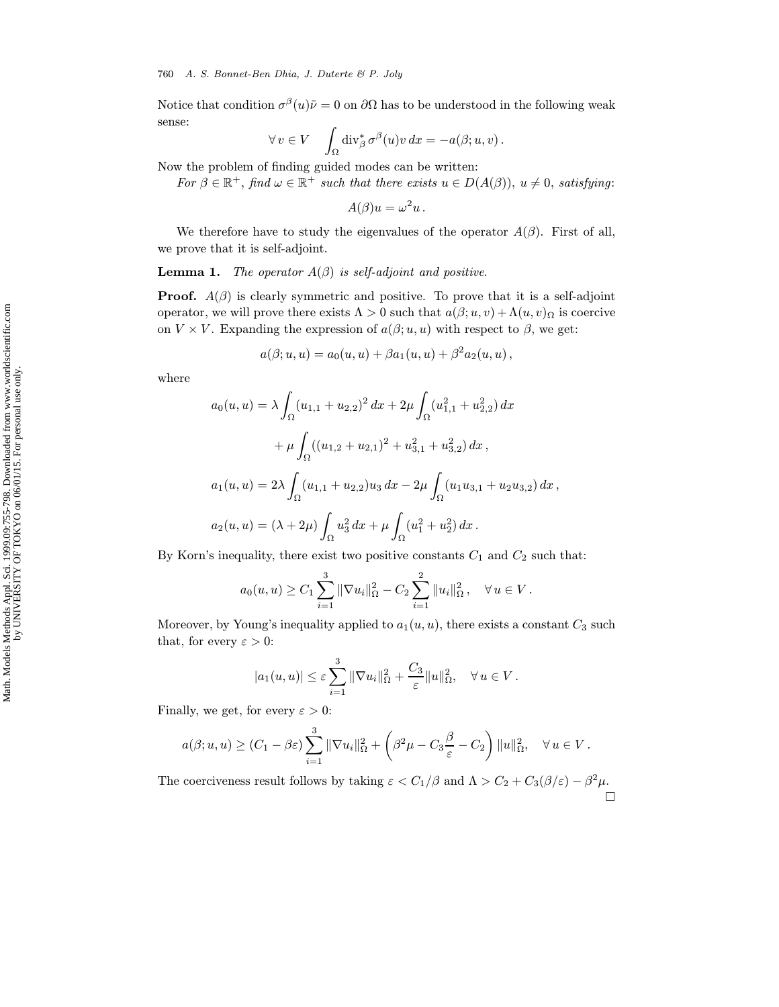Notice that condition  $\sigma^{\beta}(u)\tilde{\nu}=0$  on  $\partial\Omega$  has to be understood in the following weak sense:

$$
\forall v \in V \quad \int_{\Omega} \text{div}_{\beta}^* \sigma^{\beta}(u) v \, dx = -a(\beta; u, v) \, .
$$

Now the problem of finding guided modes can be written:

For  $\beta \in \mathbb{R}^+$ , find  $\omega \in \mathbb{R}^+$  such that there exists  $u \in D(A(\beta))$ ,  $u \neq 0$ , satisfying:

$$
A(\beta)u=\omega^2u.
$$

We therefore have to study the eigenvalues of the operator  $A(\beta)$ . First of all, we prove that it is self-adjoint.

**Lemma 1.** The operator  $A(\beta)$  is self-adjoint and positive.

**Proof.**  $A(\beta)$  is clearly symmetric and positive. To prove that it is a self-adjoint operator, we will prove there exists  $\Lambda > 0$  such that  $a(\beta; u, v) + \Lambda(u, v)$  is coercive on  $V \times V$ . Expanding the expression of  $a(\beta; u, u)$  with respect to  $\beta$ , we get:

$$
a(\beta; u, u) = a_0(u, u) + \beta a_1(u, u) + \beta^2 a_2(u, u),
$$

where

$$
a_0(u, u) = \lambda \int_{\Omega} (u_{1,1} + u_{2,2})^2 dx + 2\mu \int_{\Omega} (u_{1,1}^2 + u_{2,2}^2) dx
$$
  
+  $\mu \int_{\Omega} ((u_{1,2} + u_{2,1})^2 + u_{3,1}^2 + u_{3,2}^2) dx$ ,  

$$
a_1(u, u) = 2\lambda \int_{\Omega} (u_{1,1} + u_{2,2})u_3 dx - 2\mu \int_{\Omega} (u_1 u_{3,1} + u_2 u_{3,2}) dx
$$
,  

$$
a_2(u, u) = (\lambda + 2\mu) \int_{\Omega} u_3^2 dx + \mu \int_{\Omega} (u_1^2 + u_2^2) dx.
$$

By Korn's inequality, there exist two positive constants  $C_1$  and  $C_2$  such that:

$$
a_0(u, u) \ge C_1 \sum_{i=1}^3 \|\nabla u_i\|_{\Omega}^2 - C_2 \sum_{i=1}^2 \|u_i\|_{\Omega}^2, \quad \forall u \in V.
$$

Moreover, by Young's inequality applied to  $a_1(u, u)$ , there exists a constant  $C_3$  such that, for every  $\varepsilon > 0$ :

$$
|a_1(u, u)| \leq \varepsilon \sum_{i=1}^3 \|\nabla u_i\|_{\Omega}^2 + \frac{C_3}{\varepsilon} \|u\|_{\Omega}^2, \quad \forall u \in V.
$$

Finally, we get, for every  $\varepsilon > 0$ :

$$
a(\beta; u, u) \ge (C_1 - \beta \varepsilon) \sum_{i=1}^3 \|\nabla u_i\|_{\Omega}^2 + \left(\beta^2 \mu - C_3 \frac{\beta}{\varepsilon} - C_2\right) \|u\|_{\Omega}^2, \quad \forall u \in V.
$$

The coerciveness result follows by taking  $\varepsilon < C_1/\beta$  and  $\Lambda > C_2 + C_3(\beta/\varepsilon) - \beta^2 \mu$ .  $\Box$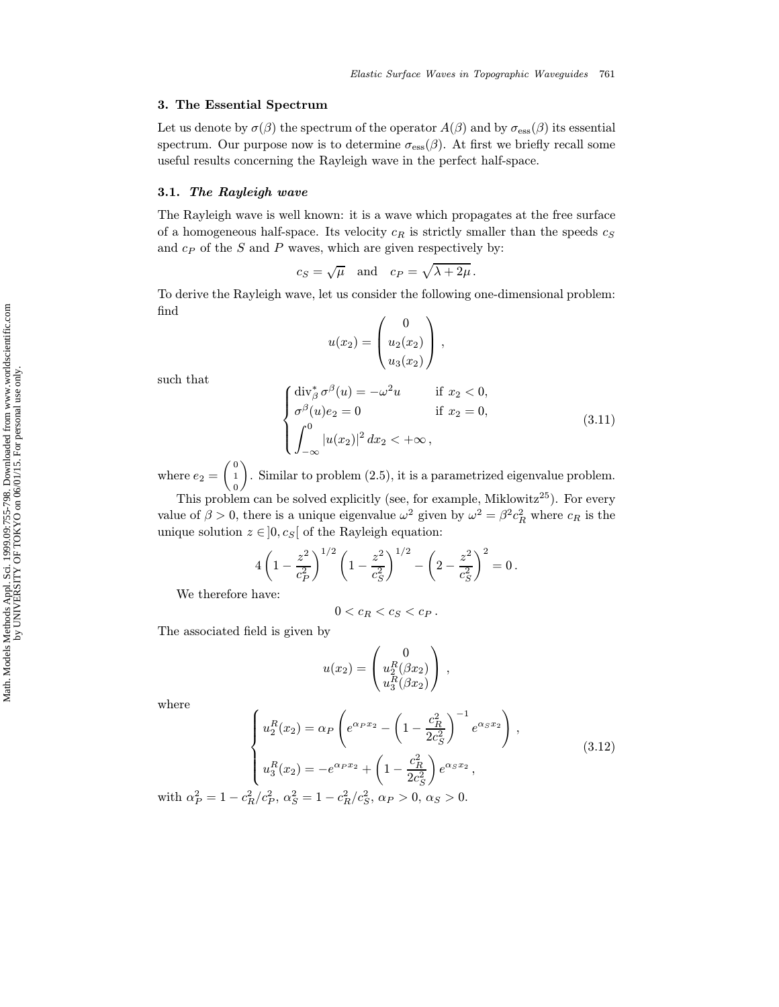### 3. The Essential Spectrum

Let us denote by  $\sigma(\beta)$  the spectrum of the operator  $A(\beta)$  and by  $\sigma_{\text{ess}}(\beta)$  its essential spectrum. Our purpose now is to determine  $\sigma_{\rm ess}(\beta)$ . At first we briefly recall some useful results concerning the Rayleigh wave in the perfect half-space.

#### 3.1. The Rayleigh wave

The Rayleigh wave is well known: it is a wave which propagates at the free surface of a homogeneous half-space. Its velocity  $c_R$  is strictly smaller than the speeds  $c_S$ and  $c_P$  of the S and P waves, which are given respectively by:

$$
c_S = \sqrt{\mu}
$$
 and  $c_P = \sqrt{\lambda + 2\mu}$ .

To derive the Rayleigh wave, let us consider the following one-dimensional problem: find

$$
u(x_2) = \begin{pmatrix} 0 \\ u_2(x_2) \\ u_3(x_2) \end{pmatrix},
$$

such that

$$
\begin{cases}\n\operatorname{div}_{\beta}^{*} \sigma^{\beta}(u) = -\omega^{2} u & \text{if } x_{2} < 0, \\
\sigma^{\beta}(u)e_{2} = 0 & \text{if } x_{2} = 0, \\
\int_{-\infty}^{0} |u(x_{2})|^{2} dx_{2} < +\infty,\n\end{cases}
$$
\n(3.11)

where  $e_2 = \begin{pmatrix} 0 \\ 1 \end{pmatrix}$ 0 . Similar to problem (2.5), it is a parametrized eigenvalue problem.

This problem can be solved explicitly (see, for example, Miklowitz<sup>25</sup>). For every value of  $\beta > 0$ , there is a unique eigenvalue  $\omega^2$  given by  $\omega^2 = \beta^2 c_R^2$  where  $c_R$  is the unique solution  $z \in ]0, c_S[$  of the Rayleigh equation:

$$
4\left(1-\frac{z^2}{c_P^2}\right)^{1/2}\left(1-\frac{z^2}{c_S^2}\right)^{1/2}-\left(2-\frac{z^2}{c_S^2}\right)^2=0.
$$

We therefore have:

$$
0
$$

The associated field is given by

$$
u(x_2) = \begin{pmatrix} 0 \\ u_2^R(\beta x_2) \\ u_3^R(\beta x_2) \end{pmatrix},
$$

where

$$
\begin{cases}\nu_2^R(x_2) = \alpha_P \left( e^{\alpha_P x_2} - \left( 1 - \frac{c_R^2}{2c_S^2} \right)^{-1} e^{\alpha_S x_2} \right), \\
u_3^R(x_2) = -e^{\alpha_P x_2} + \left( 1 - \frac{c_R^2}{2c_S^2} \right) e^{\alpha_S x_2}, \\
\text{with } \alpha_P^2 = 1 - c_R^2/c_P^2, \ \alpha_S^2 = 1 - c_R^2/c_S^2, \ \alpha_P > 0, \ \alpha_S > 0.\n\end{cases} \tag{3.12}
$$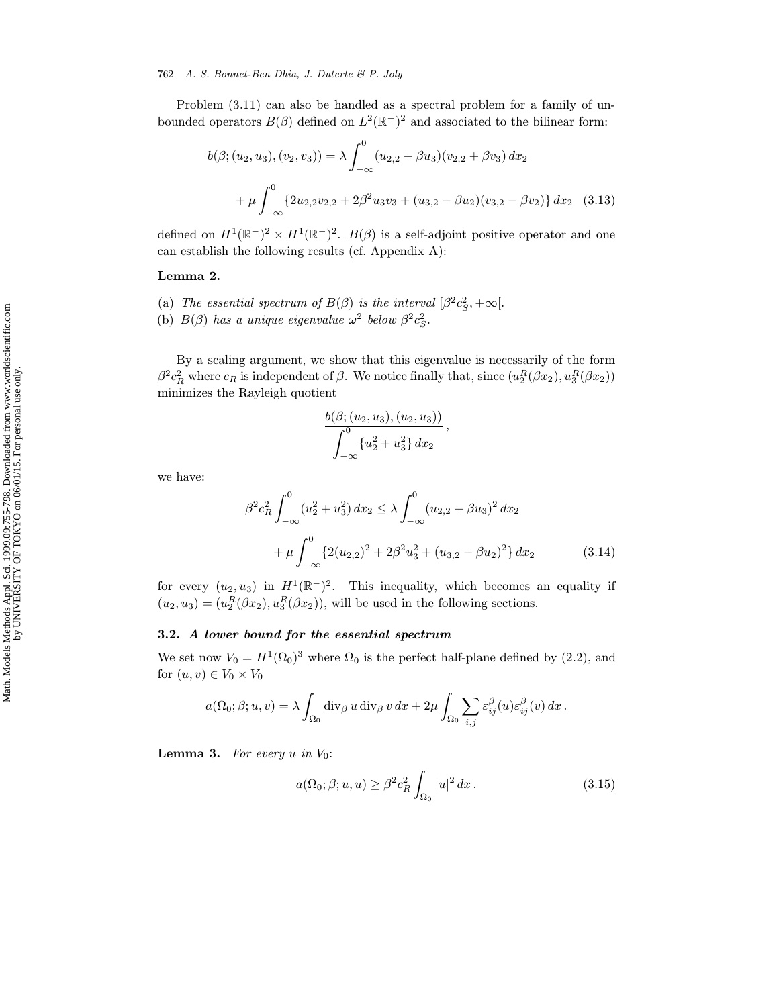Problem  $(3.11)$  can also be handled as a spectral problem for a family of unbounded operators  $B(\beta)$  defined on  $L^2(\mathbb{R}^-)^2$  and associated to the bilinear form:

$$
b(\beta; (u_2, u_3), (v_2, v_3)) = \lambda \int_{-\infty}^0 (u_{2,2} + \beta u_3)(v_{2,2} + \beta v_3) dx_2
$$
  
+ 
$$
\mu \int_{-\infty}^0 \{2u_{2,2}v_{2,2} + 2\beta^2 u_3v_3 + (u_{3,2} - \beta u_2)(v_{3,2} - \beta v_2)\} dx_2
$$
 (3.13)

defined on  $H^1(\mathbb{R}^-)^2 \times H^1(\mathbb{R}^-)^2$ .  $B(\beta)$  is a self-adjoint positive operator and one can establish the following results (cf. Appendix A):

### Lemma 2.

- (a) The essential spectrum of  $B(\beta)$  is the interval  $\beta^2 c_S^2$ ,  $+\infty$ [.
- (b)  $B(\beta)$  has a unique eigenvalue  $\omega^2$  below  $\beta^2 c_S^2$ .

By a scaling argument, we show that this eigenvalue is necessarily of the form  $\beta^2 c_R^2$  where  $c_R$  is independent of  $\beta$ . We notice finally that, since  $(u_2^R(\beta x_2), u_3^R(\beta x_2))$ minimizes the Rayleigh quotient

$$
\frac{b(\beta; (u_2, u_3), (u_2, u_3))}{\int_{-\infty}^0 \{u_2^2 + u_3^2\} dx_2},
$$

we have:

$$
\beta^2 c_R^2 \int_{-\infty}^0 (u_2^2 + u_3^2) dx_2 \le \lambda \int_{-\infty}^0 (u_{2,2} + \beta u_3)^2 dx_2
$$
  
+ 
$$
\mu \int_{-\infty}^0 \{2(u_{2,2})^2 + 2\beta^2 u_3^2 + (u_{3,2} - \beta u_2)^2\} dx_2
$$
(3.14)

for every  $(u_2, u_3)$  in  $H^1(\mathbb{R}^-)^2$ . This inequality, which becomes an equality if  $(u_2, u_3) = (u_2^R(\beta x_2), u_3^R(\beta x_2))$ , will be used in the following sections.

### 3.2. A lower bound for the essential spectrum

We set now  $V_0 = H^1(\Omega_0)^3$  where  $\Omega_0$  is the perfect half-plane defined by (2.2), and for  $(u, v) \in V_0 \times V_0$ 

$$
a(\Omega_0; \beta; u, v) = \lambda \int_{\Omega_0} \operatorname{div}_{\beta} u \operatorname{div}_{\beta} v \, dx + 2\mu \int_{\Omega_0} \sum_{i,j} \varepsilon_{ij}^{\beta}(u) \varepsilon_{ij}^{\beta}(v) \, dx.
$$

**Lemma 3.** For every u in  $V_0$ :

$$
a(\Omega_0; \beta; u, u) \ge \beta^2 c_R^2 \int_{\Omega_0} |u|^2 dx.
$$
\n(3.15)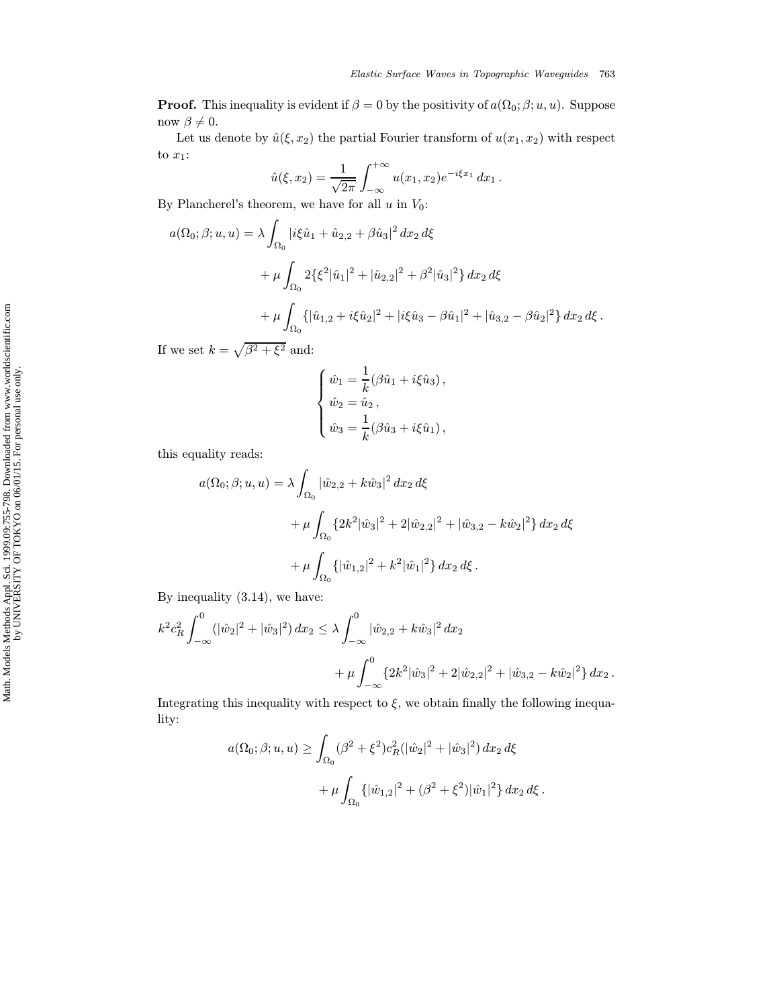**Proof.** This inequality is evident if  $\beta = 0$  by the positivity of  $a(\Omega_0; \beta; u, u)$ . Suppose now  $\beta \neq 0$ .

Let us denote by  $\hat{u}(\xi, x_2)$  the partial Fourier transform of  $u(x_1, x_2)$  with respect to  $x_1$ :

$$
\hat{u}(\xi, x_2) = \frac{1}{\sqrt{2\pi}} \int_{-\infty}^{+\infty} u(x_1, x_2) e^{-i\xi x_1} dx_1.
$$

By Plancherel's theorem, we have for all  $u$  in  $V_0$ :

$$
a(\Omega_0; \beta; u, u) = \lambda \int_{\Omega_0} |i\xi \hat{u}_1 + \hat{u}_{2,2} + \beta \hat{u}_3|^2 dx_2 d\xi
$$
  
+ 
$$
\mu \int_{\Omega_0} 2\{\xi^2 |\hat{u}_1|^2 + |\hat{u}_{2,2}|^2 + \beta^2 |\hat{u}_3|^2\} dx_2 d\xi
$$
  
+ 
$$
\mu \int_{\Omega_0} \{ |\hat{u}_{1,2} + i\xi \hat{u}_2|^2 + |i\xi \hat{u}_3 - \beta \hat{u}_1|^2 + |\hat{u}_{3,2} - \beta \hat{u}_2|^2 \} dx_2 d\xi.
$$

If we set  $k = \sqrt{\beta^2 + \xi^2}$  and:

$$
\begin{cases} \hat{w}_1 = \frac{1}{k} (\beta \hat{u}_1 + i \xi \hat{u}_3) \,, \\ \hat{w}_2 = \hat{u}_2 \,, \\ \hat{w}_3 = \frac{1}{k} (\beta \hat{u}_3 + i \xi \hat{u}_1) \,, \end{cases}
$$

this equality reads:

$$
a(\Omega_0; \beta; u, u) = \lambda \int_{\Omega_0} |\hat{w}_{2,2} + k \hat{w}_3|^2 dx_2 d\xi
$$
  
+ 
$$
\mu \int_{\Omega_0} \{ 2k^2 |\hat{w}_3|^2 + 2 |\hat{w}_{2,2}|^2 + |\hat{w}_{3,2} - k \hat{w}_2|^2 \} dx_2 d\xi
$$
  
+ 
$$
\mu \int_{\Omega_0} \{ |\hat{w}_{1,2}|^2 + k^2 |\hat{w}_1|^2 \} dx_2 d\xi.
$$

By inequality (3.14), we have:

$$
k^{2}c_{R}^{2}\int_{-\infty}^{0} (|\hat{w}_{2}|^{2} + |\hat{w}_{3}|^{2}) dx_{2} \leq \lambda \int_{-\infty}^{0} |\hat{w}_{2,2} + k\hat{w}_{3}|^{2} dx_{2} + \mu \int_{-\infty}^{0} \{2k^{2}|\hat{w}_{3}|^{2} + 2|\hat{w}_{2,2}|^{2} + |\hat{w}_{3,2} - k\hat{w}_{2}|^{2}\} dx_{2}.
$$

Integrating this inequality with respect to  $\xi$ , we obtain finally the following inequality:

$$
a(\Omega_0; \beta; u, u) \ge \int_{\Omega_0} (\beta^2 + \xi^2) c_R^2 (|\hat{w}_2|^2 + |\hat{w}_3|^2) dx_2 d\xi
$$
  
+ 
$$
\mu \int_{\Omega_0} {\{ |\hat{w}_{1,2}|^2 + (\beta^2 + \xi^2) |\hat{w}_1|^2 \} dx_2 d\xi}.
$$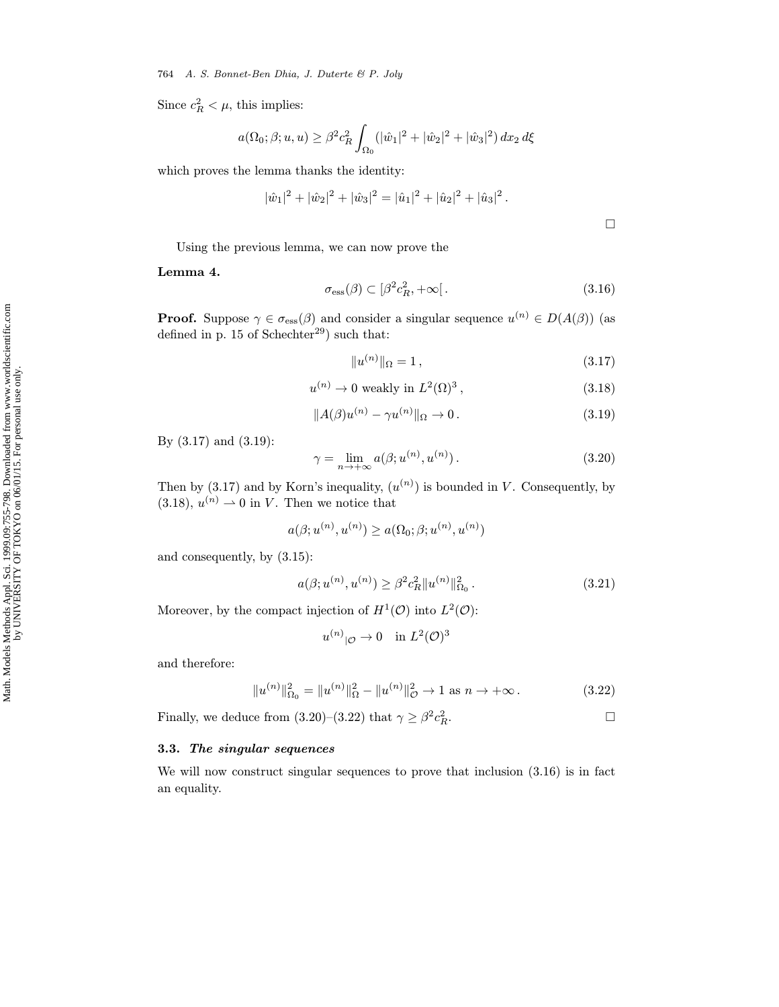#### 764 A. S. Bonnet-Ben Dhia, J. Duterte & P. Joly

Since  $c_R^2 < \mu$ , this implies:

$$
a(\Omega_0; \beta; u, u) \ge \beta^2 c_R^2 \int_{\Omega_0} (|\hat{w}_1|^2 + |\hat{w}_2|^2 + |\hat{w}_3|^2) \, dx_2 \, d\xi
$$

which proves the lemma thanks the identity:

$$
|\hat{w}_1|^2 + |\hat{w}_2|^2 + |\hat{w}_3|^2 = |\hat{u}_1|^2 + |\hat{u}_2|^2 + |\hat{u}_3|^2.
$$

Using the previous lemma, we can now prove the

Lemma 4.

$$
\sigma_{\rm ess}(\beta) \subset [\beta^2 c_R^2, +\infty[.
$$
\n(3.16)

**Proof.** Suppose  $\gamma \in \sigma_{\text{ess}}(\beta)$  and consider a singular sequence  $u^{(n)} \in D(A(\beta))$  (as defined in p. 15 of Schechter<sup>29</sup>) such that:

$$
||u^{(n)}||_{\Omega} = 1, \qquad (3.17)
$$

$$
u^{(n)} \to 0 \text{ weakly in } L^2(\Omega)^3, \qquad (3.18)
$$

$$
||A(\beta)u^{(n)} - \gamma u^{(n)}||_{\Omega} \to 0. \qquad (3.19)
$$

By (3.17) and (3.19):

$$
\gamma = \lim_{n \to +\infty} a(\beta; u^{(n)}, u^{(n)}).
$$
\n(3.20)

Then by (3.17) and by Korn's inequality,  $(u^{(n)})$  is bounded in V. Consequently, by  $(3.18), u^{(n)} \rightarrow 0$  in V. Then we notice that

$$
a(\beta;u^{(n)},u^{(n)}) \geq a(\Omega_0;\beta;u^{(n)},u^{(n)})
$$

and consequently, by (3.15):

$$
a(\beta; u^{(n)}, u^{(n)}) \ge \beta^2 c_R^2 \|u^{(n)}\|_{\Omega_0}^2. \tag{3.21}
$$

Moreover, by the compact injection of  $H^1(\mathcal{O})$  into  $L^2(\mathcal{O})$ :

$$
u^{(n)}|_{\mathcal{O}} \to 0 \quad \text{in } L^2(\mathcal{O})^3
$$

and therefore:

$$
||u^{(n)}||_{\Omega_0}^2 = ||u^{(n)}||_{\Omega}^2 - ||u^{(n)}||_{\mathcal{O}}^2 \to 1 \text{ as } n \to +\infty.
$$
 (3.22)

Finally, we deduce from (3.20)–(3.22) that  $\gamma \geq \beta^2 c_R^2$ .  $R$ .

## 3.3. The singular sequences

We will now construct singular sequences to prove that inclusion (3.16) is in fact an equality.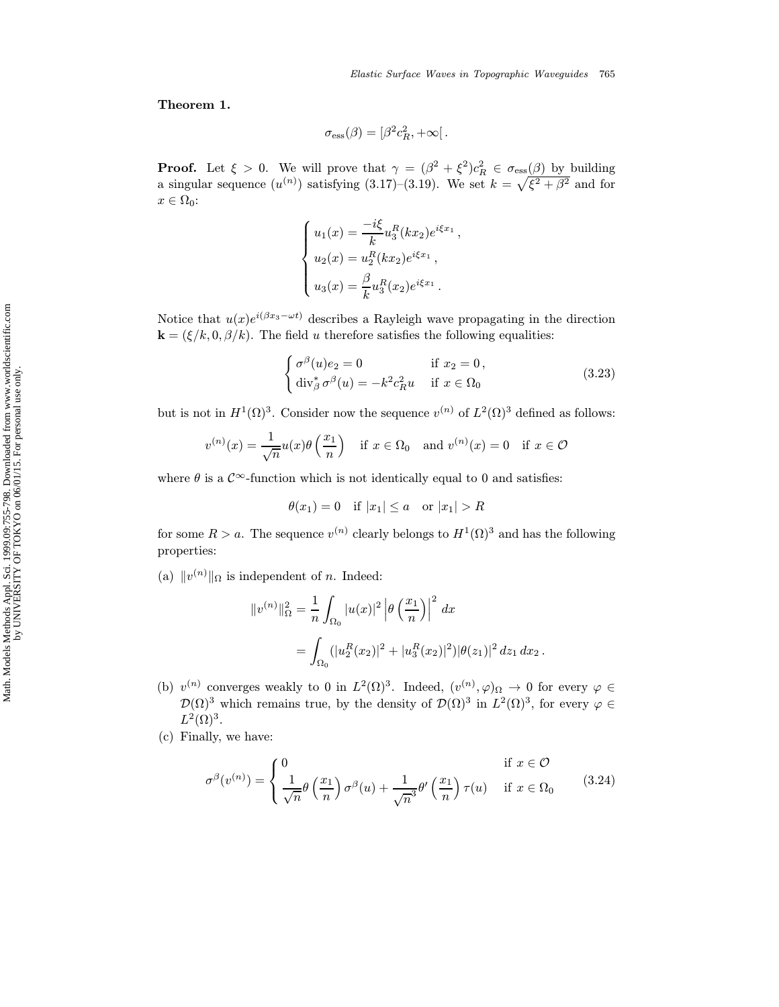Theorem 1.

$$
\sigma_{\rm ess}(\beta)=[\beta^2 c_R^2,+\infty[.
$$

**Proof.** Let  $\xi > 0$ . We will prove that  $\gamma = (\beta^2 + \xi^2)c_R^2 \in \sigma_{\text{ess}}(\beta)$  by building a singular sequence  $(u^{(n)})$  satisfying  $(3.17)$ – $(3.19)$ . We set  $k = \sqrt{\xi^2 + \beta^2}$  and for  $x \in \Omega_0$ :

$$
\begin{cases}\nu_1(x) = \frac{-i\xi}{k} u_3^R(kx_2)e^{i\xi x_1}, \\
u_2(x) = u_2^R(kx_2)e^{i\xi x_1}, \\
u_3(x) = \frac{\beta}{k} u_3^R(x_2)e^{i\xi x_1}.\n\end{cases}
$$

Notice that  $u(x)e^{i(\beta x_3-\omega t)}$  describes a Rayleigh wave propagating in the direction  $\mathbf{k} = (\xi/k, 0, \beta/k)$ . The field u therefore satisfies the following equalities:

$$
\begin{cases}\n\sigma^{\beta}(u)e_2 = 0 & \text{if } x_2 = 0, \\
\text{div}_{\beta}^* \sigma^{\beta}(u) = -k^2 c_R^2 u & \text{if } x \in \Omega_0\n\end{cases}
$$
\n(3.23)

but is not in  $H^1(\Omega)^3$ . Consider now the sequence  $v^{(n)}$  of  $L^2(\Omega)^3$  defined as follows:

$$
v^{(n)}(x) = \frac{1}{\sqrt{n}} u(x) \theta\left(\frac{x_1}{n}\right) \quad \text{if } x \in \Omega_0 \quad \text{and } v^{(n)}(x) = 0 \quad \text{if } x \in \mathcal{O}
$$

where  $\theta$  is a  $\mathcal{C}^{\infty}$ -function which is not identically equal to 0 and satisfies:

$$
\theta(x_1) = 0 \quad \text{if } |x_1| \le a \quad \text{or } |x_1| > R
$$

for some  $R > a$ . The sequence  $v^{(n)}$  clearly belongs to  $H^1(\Omega)^3$  and has the following properties:

(a)  $||v^{(n)}||_{\Omega}$  is independent of *n*. Indeed:

$$
||v^{(n)}||_{\Omega}^{2} = \frac{1}{n} \int_{\Omega_{0}} |u(x)|^{2} |\theta \left(\frac{x_{1}}{n}\right)|^{2} dx
$$
  
= 
$$
\int_{\Omega_{0}} (|u_{2}^{R}(x_{2})|^{2} + |u_{3}^{R}(x_{2})|^{2}) |\theta(z_{1})|^{2} dz_{1} dx_{2}.
$$

- (b)  $v^{(n)}$  converges weakly to 0 in  $L^2(\Omega)^3$ . Indeed,  $(v^{(n)}, \varphi)_{\Omega} \to 0$  for every  $\varphi \in$  $\mathcal{D}(\Omega)$ <sup>3</sup> which remains true, by the density of  $\mathcal{D}(\Omega)$ <sup>3</sup> in  $L^2(\Omega)$ <sup>3</sup>, for every  $\varphi \in$  $L^2(\Omega)^3$ .
- (c) Finally, we have:

$$
\sigma^{\beta}(v^{(n)}) = \begin{cases} 0 & \text{if } x \in \mathcal{O} \\ \frac{1}{\sqrt{n}} \theta\left(\frac{x_1}{n}\right) \sigma^{\beta}(u) + \frac{1}{\sqrt{n}^3} \theta'\left(\frac{x_1}{n}\right) \tau(u) & \text{if } x \in \Omega_0 \end{cases}
$$
(3.24)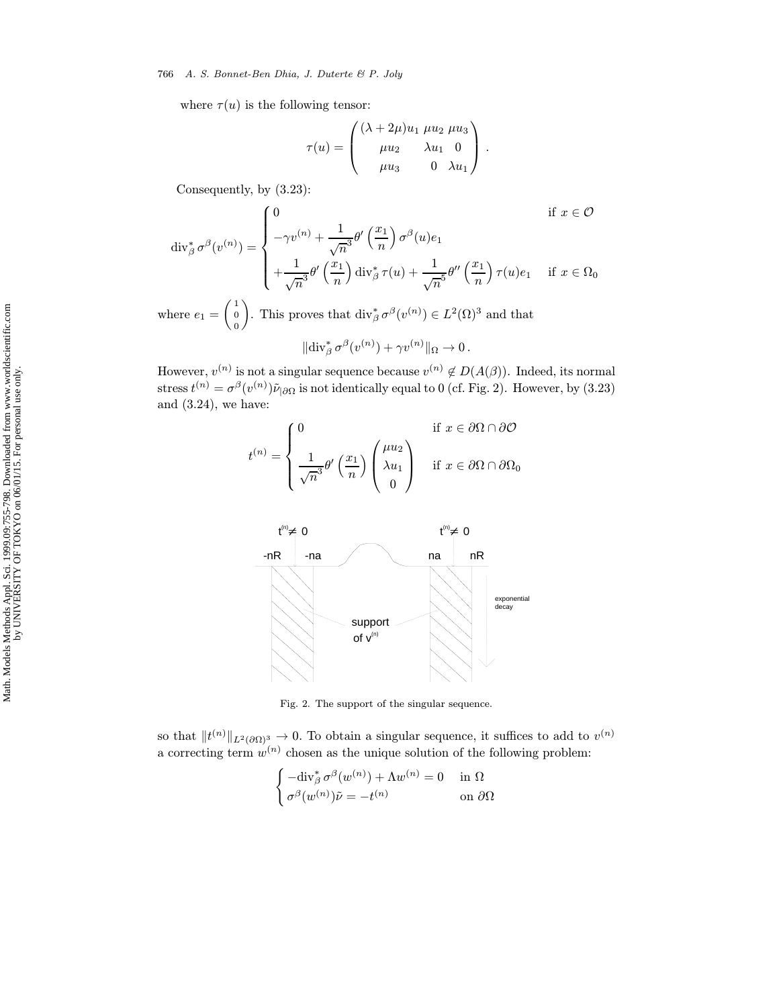766 A. S. Bonnet-Ben Dhia, J. Duterte & P. Joly

where  $\tau(u)$  is the following tensor:

$$
\tau(u) = \begin{pmatrix} (\lambda + 2\mu)u_1 \ \mu u_2 \ \mu u_3 \\ \mu u_2 & \lambda u_1 \ 0 \\ \mu u_3 & 0 \ \lambda u_1 \end{pmatrix}.
$$

Consequently, by (3.23):

$$
\operatorname{div}_{\beta}^* \sigma^{\beta}(v^{(n)}) = \begin{cases} 0 & \text{if } x \in \mathcal{O} \\ -\gamma v^{(n)} + \frac{1}{\sqrt{n}^3} \theta' \left(\frac{x_1}{n}\right) \sigma^{\beta}(u) e_1 \\ + \frac{1}{\sqrt{n}^3} \theta' \left(\frac{x_1}{n}\right) \operatorname{div}_{\beta}^* \tau(u) + \frac{1}{\sqrt{n}^5} \theta'' \left(\frac{x_1}{n}\right) \tau(u) e_1 & \text{if } x \in \Omega_0 \end{cases}
$$

where  $e_1 = \begin{pmatrix} 1 \\ 0 \end{pmatrix}$ 0 ). This proves that  $\text{div}_{\beta}^* \sigma^{\beta}(v^{(n)}) \in L^2(\Omega)^3$  and that

$$
\|\text{div}_{\beta}^{*} \sigma^{\beta}(v^{(n)}) + \gamma v^{(n)}\|_{\Omega} \to 0.
$$

However,  $v^{(n)}$  is not a singular sequence because  $v^{(n)} \notin D(A(\beta))$ . Indeed, its normal stress  $t^{(n)} = \sigma^{\beta}(v^{(n)})\tilde{\nu}_{|\partial\Omega}$  is not identically equal to 0 (cf. Fig. 2). However, by (3.23) and  $(3.24)$ , we have:

$$
t^{(n)} = \begin{cases} 0 & \text{if } x \in \partial\Omega \cap \partial\mathcal{O} \\ \frac{1}{\sqrt{n}^3} \theta' \left(\frac{x_1}{n}\right) \begin{pmatrix} \mu u_2 \\ \lambda u_1 \\ 0 \end{pmatrix} & \text{if } x \in \partial\Omega \cap \partial\Omega_0 \end{cases}
$$



Fig. 2. The support of the singular sequence.

so that  $||t^{(n)}||_{L^2(\partial\Omega)^3} \to 0$ . To obtain a singular sequence, it suffices to add to  $v^{(n)}$ a correcting term  $w^{(n)}$  chosen as the unique solution of the following problem:

$$
\begin{cases}\n-\text{div}_{\beta}^{*} \sigma^{\beta}(w^{(n)}) + \Lambda w^{(n)} = 0 & \text{in } \Omega \\
\sigma^{\beta}(w^{(n)})\tilde{\nu} = -t^{(n)} & \text{on } \partial\Omega\n\end{cases}
$$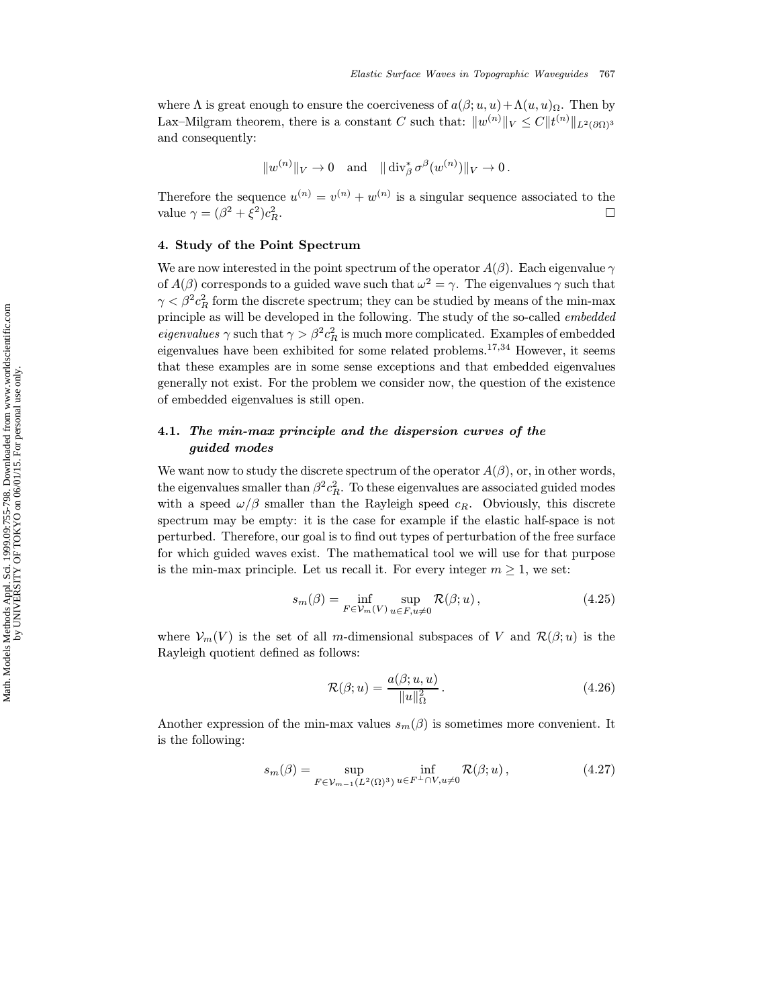where  $\Lambda$  is great enough to ensure the coerciveness of  $a(\beta; u, u) + \Lambda(u, u)$ <sub>Ω</sub>. Then by Lax–Milgram theorem, there is a constant C such that:  $||w^{(n)}||_V \leq C ||t^{(n)}||_{L^2(\partial\Omega)^3}$ and consequently:

$$
\|w^{(n)}\|_V\to 0\quad\text{and}\quad \|\operatorname{div}_\beta^*\sigma^\beta(w^{(n)})\|_V\to 0\,.
$$

Therefore the sequence  $u^{(n)} = v^{(n)} + w^{(n)}$  is a singular sequence associated to the value  $\gamma = (\beta^2 + \xi^2)c_R^2$ .  $R$ .

### 4. Study of the Point Spectrum

We are now interested in the point spectrum of the operator  $A(\beta)$ . Each eigenvalue  $\gamma$ of  $A(\beta)$  corresponds to a guided wave such that  $\omega^2 = \gamma$ . The eigenvalues  $\gamma$  such that  $\gamma < \beta^2 c_R^2$  form the discrete spectrum; they can be studied by means of the min-max principle as will be developed in the following. The study of the so-called embedded *eigenvalues*  $\gamma$  such that  $\gamma > \beta^2 c_R^2$  is much more complicated. Examples of embedded eigenvalues have been exhibited for some related problems.<sup>17,34</sup> However, it seems that these examples are in some sense exceptions and that embedded eigenvalues generally not exist. For the problem we consider now, the question of the existence of embedded eigenvalues is still open.

# 4.1. The min-max principle and the dispersion curves of the guided modes

We want now to study the discrete spectrum of the operator  $A(\beta)$ , or, in other words, the eigenvalues smaller than  $\beta^2 c_R^2$ . To these eigenvalues are associated guided modes with a speed  $\omega/\beta$  smaller than the Rayleigh speed  $c_R$ . Obviously, this discrete spectrum may be empty: it is the case for example if the elastic half-space is not perturbed. Therefore, our goal is to find out types of perturbation of the free surface for which guided waves exist. The mathematical tool we will use for that purpose is the min-max principle. Let us recall it. For every integer  $m \geq 1$ , we set:

$$
s_m(\beta) = \inf_{F \in \mathcal{V}_m(V)} \sup_{u \in F, u \neq 0} \mathcal{R}(\beta; u), \qquad (4.25)
$$

where  $\mathcal{V}_m(V)$  is the set of all m-dimensional subspaces of V and  $\mathcal{R}(\beta; u)$  is the Rayleigh quotient defined as follows:

$$
\mathcal{R}(\beta; u) = \frac{a(\beta; u, u)}{\|u\|_{\Omega}^2}.
$$
\n(4.26)

Another expression of the min-max values  $s_m(\beta)$  is sometimes more convenient. It is the following:

$$
s_m(\beta) = \sup_{F \in \mathcal{V}_{m-1}(L^2(\Omega)^3)} \inf_{u \in F^\perp \cap V, u \neq 0} \mathcal{R}(\beta; u), \tag{4.27}
$$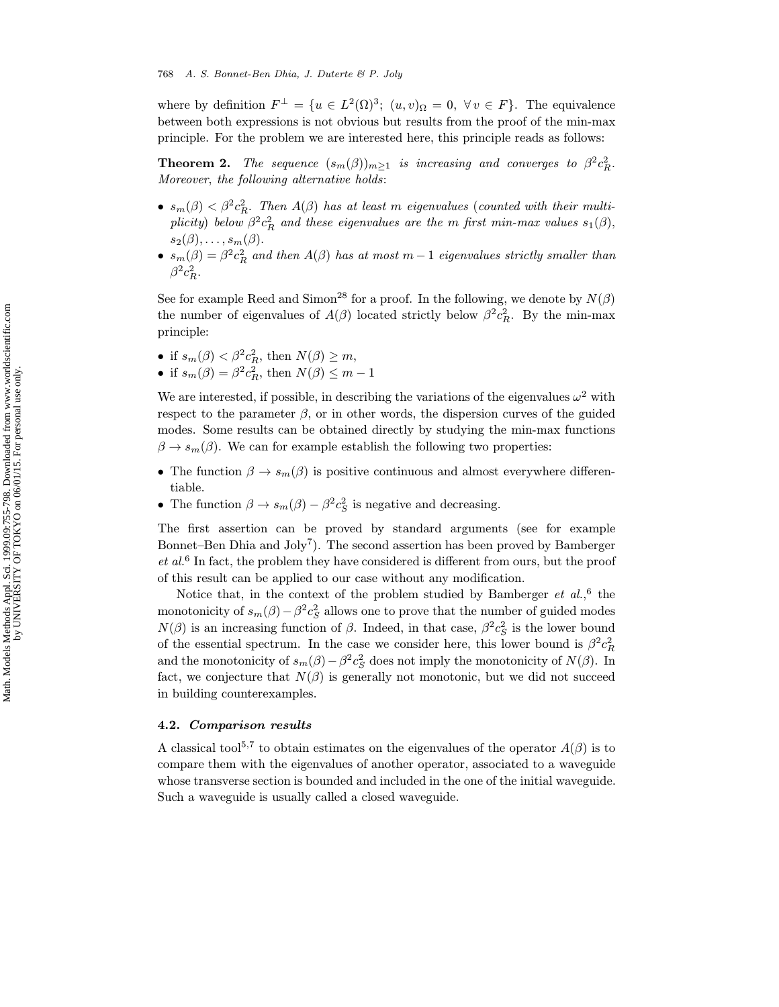where by definition  $F^{\perp} = \{u \in L^2(\Omega)^3; (u, v)_{\Omega} = 0, \forall v \in F\}.$  The equivalence between both expressions is not obvious but results from the proof of the min-max principle. For the problem we are interested here, this principle reads as follows:

**Theorem 2.** The sequence  $(s_m(\beta))_{m\geq 1}$  is increasing and converges to  $\beta^2 c_R^2$ . Moreover, the following alternative holds:

- $s_m(\beta) < \beta^2 c_R^2$ . Then  $A(\beta)$  has at least m eigenvalues (counted with their multiplicity) below  $\beta^2 c_R^2$  and these eigenvalues are the m first min-max values  $s_1(\beta)$ ,  $s_2(\beta),\ldots,s_m(\beta).$
- $s_m(\beta) = \beta^2 c_R^2$  and then  $A(\beta)$  has at most  $m-1$  eigenvalues strictly smaller than  $\beta^2 c_R^2$ .

See for example Reed and Simon<sup>28</sup> for a proof. In the following, we denote by  $N(\beta)$ the number of eigenvalues of  $A(\beta)$  located strictly below  $\beta^2 c_R^2$ . By the min-max principle:

- if  $s_m(\beta) < \beta^2 c_R^2$ , then  $N(\beta) \geq m$ ,
- if  $s_m(\beta) = \beta^2 c_R^2$ , then  $N(\beta) \leq m 1$

We are interested, if possible, in describing the variations of the eigenvalues  $\omega^2$  with respect to the parameter  $\beta$ , or in other words, the dispersion curves of the guided modes. Some results can be obtained directly by studying the min-max functions  $\beta \to s_m(\beta)$ . We can for example establish the following two properties:

- The function  $\beta \to s_m(\beta)$  is positive continuous and almost everywhere differentiable.
- The function  $\beta \to s_m(\beta) \beta^2 c_S^2$  is negative and decreasing.

The first assertion can be proved by standard arguments (see for example Bonnet–Ben Dhia and Joly<sup>7</sup>). The second assertion has been proved by Bamberger  $et al.<sup>6</sup>$  In fact, the problem they have considered is different from ours, but the proof of this result can be applied to our case without any modification.

Notice that, in the context of the problem studied by Bamberger  $et \ al.,^6$  the monotonicity of  $s_m(\beta) - \beta^2 c_S^2$  allows one to prove that the number of guided modes  $N(\beta)$  is an increasing function of  $\beta$ . Indeed, in that case,  $\beta^2 c_S^2$  is the lower bound of the essential spectrum. In the case we consider here, this lower bound is  $\beta^2 c_R^2$ and the monotonicity of  $s_m(\beta) - \beta^2 c_S^2$  does not imply the monotonicity of  $N(\beta)$ . In fact, we conjecture that  $N(\beta)$  is generally not monotonic, but we did not succeed in building counterexamples.

### 4.2. Comparison results

A classical tool<sup>5,7</sup> to obtain estimates on the eigenvalues of the operator  $A(\beta)$  is to compare them with the eigenvalues of another operator, associated to a waveguide whose transverse section is bounded and included in the one of the initial waveguide. Such a waveguide is usually called a closed waveguide.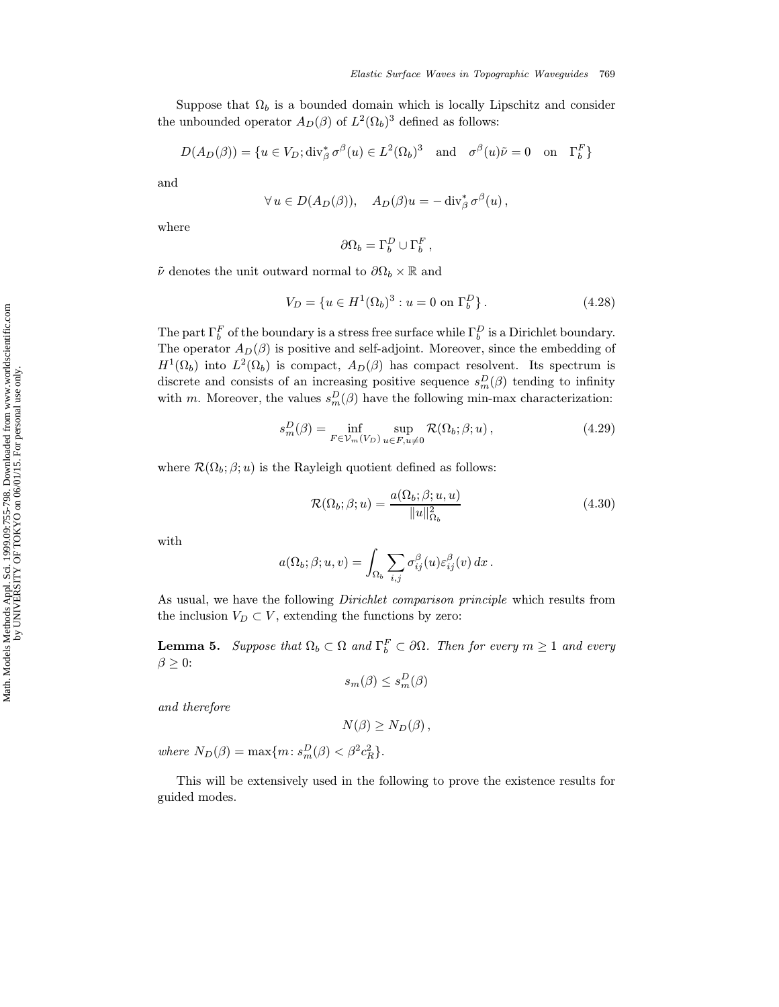Suppose that  $\Omega_b$  is a bounded domain which is locally Lipschitz and consider the unbounded operator  $A_D(\beta)$  of  $L^2(\Omega_b)^3$  defined as follows:

$$
D(A_D(\beta)) = \{ u \in V_D; \text{div}_{\beta}^* \sigma^{\beta}(u) \in L^2(\Omega_b)^3 \text{ and } \sigma^{\beta}(u)\tilde{\nu} = 0 \text{ on } \Gamma_b^F \}
$$

and

$$
\forall u \in D(A_D(\beta)), \quad A_D(\beta)u = -\operatorname{div}_{\beta}^* \sigma^{\beta}(u),
$$

where

$$
\partial\Omega_b = \Gamma_b^D \cup \Gamma_b^F,
$$

 $\tilde{\nu}$  denotes the unit outward normal to  $\partial\Omega_b\times\mathbb{R}$  and

$$
V_D = \{ u \in H^1(\Omega_b)^3 : u = 0 \text{ on } \Gamma_b^D \}.
$$
 (4.28)

The part  $\Gamma_b^F$  of the boundary is a stress free surface while  $\Gamma_b^D$  is a Dirichlet boundary. The operator  $A_D(\beta)$  is positive and self-adjoint. Moreover, since the embedding of  $H^1(\Omega_b)$  into  $L^2(\Omega_b)$  is compact,  $A_D(\beta)$  has compact resolvent. Its spectrum is discrete and consists of an increasing positive sequence  $s_m^D(\beta)$  tending to infinity with m. Moreover, the values  $s_m^D(\beta)$  have the following min-max characterization:

$$
s_m^D(\beta) = \inf_{F \in \mathcal{V}_m(V_D)} \sup_{u \in F, u \neq 0} \mathcal{R}(\Omega_b; \beta; u), \qquad (4.29)
$$

where  $\mathcal{R}(\Omega_b; \beta; u)$  is the Rayleigh quotient defined as follows:

$$
\mathcal{R}(\Omega_b; \beta; u) = \frac{a(\Omega_b; \beta; u, u)}{\|u\|_{\Omega_b}^2}
$$
\n(4.30)

with

$$
a(\Omega_b; \beta; u, v) = \int_{\Omega_b} \sum_{i,j} \sigma_{ij}^{\beta}(u) \varepsilon_{ij}^{\beta}(v) dx.
$$

As usual, we have the following Dirichlet comparison principle which results from the inclusion  $V_D \subset V$ , extending the functions by zero:

**Lemma 5.** Suppose that  $\Omega_b \subset \Omega$  and  $\Gamma_b^F \subset \partial \Omega$ . Then for every  $m \ge 1$  and every  $\beta \geq 0$ :

$$
s_m(\beta) \le s_m^D(\beta)
$$

and therefore

$$
N(\beta) \geq N_D(\beta) \,,
$$

where  $N_D(\beta) = \max\{m: s_m^D(\beta) < \beta^2 c_R^2\}.$ 

This will be extensively used in the following to prove the existence results for guided modes.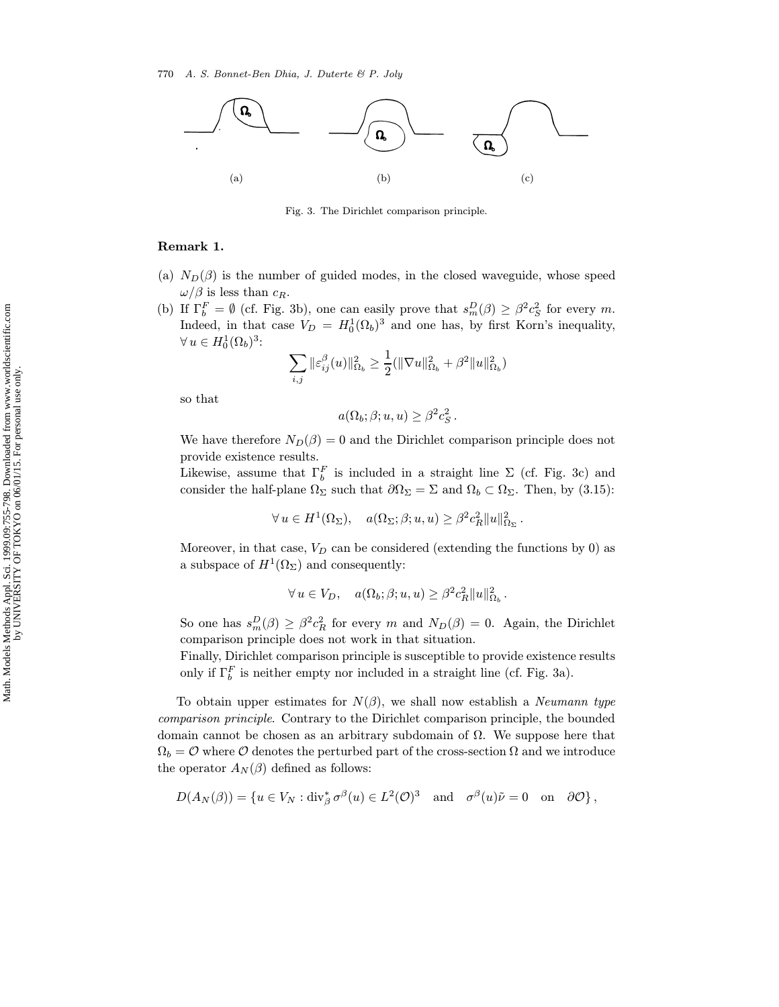

Fig. 3. The Dirichlet comparison principle.

### Remark 1.

- (a)  $N_D(\beta)$  is the number of guided modes, in the closed waveguide, whose speed  $\omega/\beta$  is less than  $c_R$ .
- (b) If  $\Gamma_b^F = \emptyset$  (cf. Fig. 3b), one can easily prove that  $s_m^D(\beta) \geq \beta^2 c_S^2$  for every m. Indeed, in that case  $V_D = H_0^1(\Omega_b)^3$  and one has, by first Korn's inequality,  $\forall u \in H_0^1(\Omega_b)^3$ :

$$
\sum_{i,j} \|\varepsilon_{ij}^\beta(u)\|^2_{\Omega_b} \geq \frac{1}{2}(\|\nabla u\|^2_{\Omega_b} + \beta^2 \|u\|^2_{\Omega_b})
$$

so that

$$
a(\Omega_b; \beta; u, u) \geq \beta^2 c_S^2.
$$

We have therefore  $N_D(\beta) = 0$  and the Dirichlet comparison principle does not provide existence results.

Likewise, assume that  $\Gamma_b^F$  is included in a straight line  $\Sigma$  (cf. Fig. 3c) and consider the half-plane  $\Omega_{\Sigma}$  such that  $\partial\Omega_{\Sigma} = \Sigma$  and  $\Omega_b \subset \Omega_{\Sigma}$ . Then, by (3.15):

$$
\forall u \in H^{1}(\Omega_{\Sigma}), \quad a(\Omega_{\Sigma}; \beta; u, u) \geq \beta^{2} c_{R}^{2} ||u||_{\Omega_{\Sigma}}^{2}.
$$

Moreover, in that case,  $V_D$  can be considered (extending the functions by 0) as a subspace of  $H^1(\Omega_\Sigma)$  and consequently:

$$
\forall u \in V_D, \quad a(\Omega_b; \beta; u, u) \geq \beta^2 c_R^2 \|u\|_{\Omega_b}^2.
$$

So one has  $s_m^D(\beta) \geq \beta^2 c_R^2$  for every m and  $N_D(\beta) = 0$ . Again, the Dirichlet comparison principle does not work in that situation.

Finally, Dirichlet comparison principle is susceptible to provide existence results only if  $\Gamma_b^F$  is neither empty nor included in a straight line (cf. Fig. 3a).

To obtain upper estimates for  $N(\beta)$ , we shall now establish a *Neumann type* comparison principle. Contrary to the Dirichlet comparison principle, the bounded domain cannot be chosen as an arbitrary subdomain of  $\Omega$ . We suppose here that  $\Omega_b = \mathcal{O}$  where  $\mathcal O$  denotes the perturbed part of the cross-section  $\Omega$  and we introduce the operator  $A_N(\beta)$  defined as follows:

$$
D(A_N(\beta)) = \{ u \in V_N : \mathrm{div}^*_\beta \sigma^\beta(u) \in L^2(\mathcal{O})^3 \quad \text{and} \quad \sigma^\beta(u)\tilde{\nu} = 0 \quad \text{on} \quad \partial \mathcal{O} \},
$$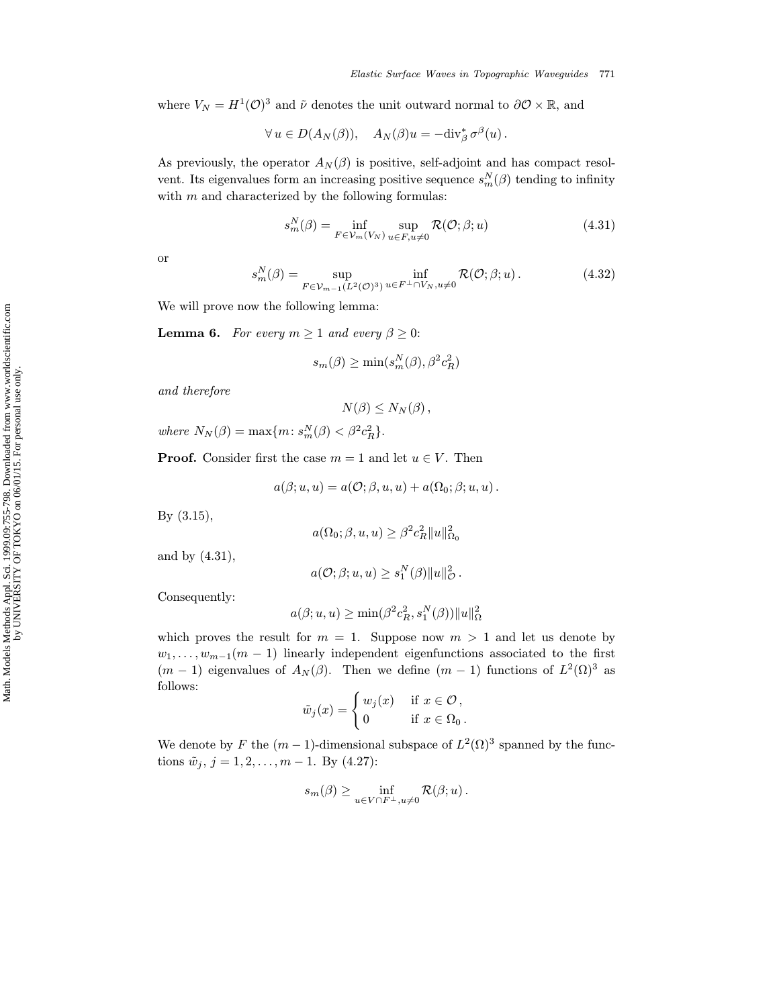where  $V_N = H^1(\mathcal{O})^3$  and  $\tilde{\nu}$  denotes the unit outward normal to  $\partial \mathcal{O} \times \mathbb{R}$ , and

$$
\forall u \in D(A_N(\beta)), \quad A_N(\beta)u = -\text{div}^*_{\beta}\,\sigma^{\beta}(u)\,.
$$

As previously, the operator  $A_N(\beta)$  is positive, self-adjoint and has compact resolvent. Its eigenvalues form an increasing positive sequence  $s_m^N(\beta)$  tending to infinity with  $m$  and characterized by the following formulas:

$$
s_m^N(\beta) = \inf_{F \in \mathcal{V}_m(V_N)} \sup_{u \in F, u \neq 0} \mathcal{R}(\mathcal{O}; \beta; u)
$$
(4.31)

or

$$
s_m^N(\beta) = \sup_{F \in \mathcal{V}_{m-1}(L^2(\mathcal{O})^3)} \inf_{u \in F^\perp \cap V_N, u \neq 0} \mathcal{R}(\mathcal{O}; \beta; u).
$$
 (4.32)

We will prove now the following lemma:

**Lemma 6.** For every  $m \geq 1$  and every  $\beta \geq 0$ :

$$
s_m(\beta) \ge \min(s_m^N(\beta), \beta^2 c_R^2)
$$

and therefore

$$
N(\beta) \leq N_N(\beta)\,,
$$

where  $N_N(\beta) = \max\{m : s_m^N(\beta) < \beta^2 c_R^2\}.$ 

**Proof.** Consider first the case  $m = 1$  and let  $u \in V$ . Then

$$
a(\beta;u,u)=a(\mathcal{O};\beta,u,u)+a(\Omega_0;\beta;u,u)\,.
$$

By (3.15),

$$
a(\Omega_0; \beta, u, u) \ge \beta^2 c_R^2 \|u\|_{\Omega_0}^2
$$

and by (4.31),

$$
a(\mathcal{O}; \beta; u, u) \ge s_1^N(\beta) \|u\|_{\mathcal{O}}^2.
$$

Consequently:

$$
a(\beta; u, u) \ge \min(\beta^2 c_R^2, s_1^N(\beta)) \|u\|_{\Omega}^2
$$

which proves the result for  $m = 1$ . Suppose now  $m > 1$  and let us denote by  $w_1, \ldots, w_{m-1}(m-1)$  linearly independent eigenfunctions associated to the first  $(m-1)$  eigenvalues of  $A_N(\beta)$ . Then we define  $(m-1)$  functions of  $L^2(\Omega)^3$  as follows:

$$
\tilde{w}_j(x) = \begin{cases} w_j(x) & \text{if } x \in \mathcal{O}, \\ 0 & \text{if } x \in \Omega_0. \end{cases}
$$

We denote by F the  $(m-1)$ -dimensional subspace of  $L^2(\Omega)^3$  spanned by the functions  $\tilde{w}_j$ ,  $j = 1, 2, \ldots, m - 1$ . By (4.27):

$$
s_m(\beta) \geq \inf_{u \in V \cap F^{\perp}, u \neq 0} \mathcal{R}(\beta; u).
$$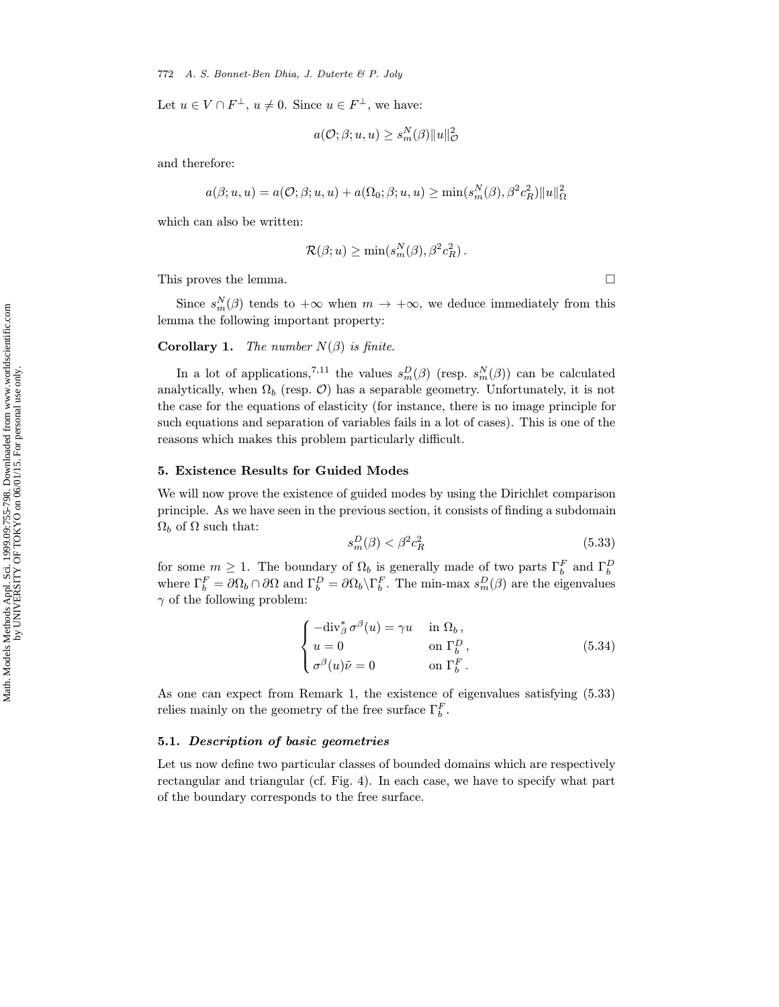Let  $u \in V \cap F^{\perp}$ ,  $u \neq 0$ . Since  $u \in F^{\perp}$ , we have:

$$
a(\mathcal{O}; \beta; u, u) \ge s_m^N(\beta) \|u\|_{\mathcal{O}}^2
$$

and therefore:

$$
a(\beta;u,u) = a(\mathcal{O}; \beta;u,u) + a(\Omega_0; \beta;u,u) \ge \min(s_m^N(\beta), \beta^2 c_R^2) ||u||_{\Omega}^2
$$

which can also be written:

$$
\mathcal{R}(\beta; u) \ge \min(s_m^N(\beta), \beta^2 c_R^2).
$$

This proves the lemma.  $\Box$ 

Since  $s_m^N(\beta)$  tends to  $+\infty$  when  $m \to +\infty$ , we deduce immediately from this lemma the following important property:

**Corollary 1.** The number  $N(\beta)$  is finite.

In a lot of applications,<sup>7,11</sup> the values  $s_m^D(\beta)$  (resp.  $s_m^N(\beta)$ ) can be calculated analytically, when  $\Omega_b$  (resp.  $\mathcal{O}$ ) has a separable geometry. Unfortunately, it is not the case for the equations of elasticity (for instance, there is no image principle for such equations and separation of variables fails in a lot of cases). This is one of the reasons which makes this problem particularly difficult.

#### 5. Existence Results for Guided Modes

We will now prove the existence of guided modes by using the Dirichlet comparison principle. As we have seen in the previous section, it consists of finding a subdomain  $Ω<sub>b</sub>$  of  $Ω$  such that:

$$
s_m^D(\beta) < \beta^2 c_R^2 \tag{5.33}
$$

for some  $m \ge 1$ . The boundary of  $\Omega_b$  is generally made of two parts  $\Gamma_b^F$  and  $\Gamma_b^D$  where  $\Gamma_b^F = \partial \Omega_b \cap \partial \Omega$  and  $\Gamma_b^D = \partial \Omega_b \setminus \Gamma_b^F$ . The min-max  $s_m^D(\beta)$  are the eigenvalues  $\gamma$  of the following problem:

$$
\begin{cases}\n-\text{div}_{\beta}^* \sigma^{\beta}(u) = \gamma u & \text{in } \Omega_b, \\
u = 0 & \text{on } \Gamma_b^D, \\
\sigma^{\beta}(u)\tilde{\nu} = 0 & \text{on } \Gamma_b^F.\n\end{cases}
$$
\n(5.34)

As one can expect from Remark 1, the existence of eigenvalues satisfying (5.33) relies mainly on the geometry of the free surface  $\Gamma_b^F$ .

### 5.1. Description of basic geometries

Let us now define two particular classes of bounded domains which are respectively rectangular and triangular (cf. Fig. 4). In each case, we have to specify what part of the boundary corresponds to the free surface.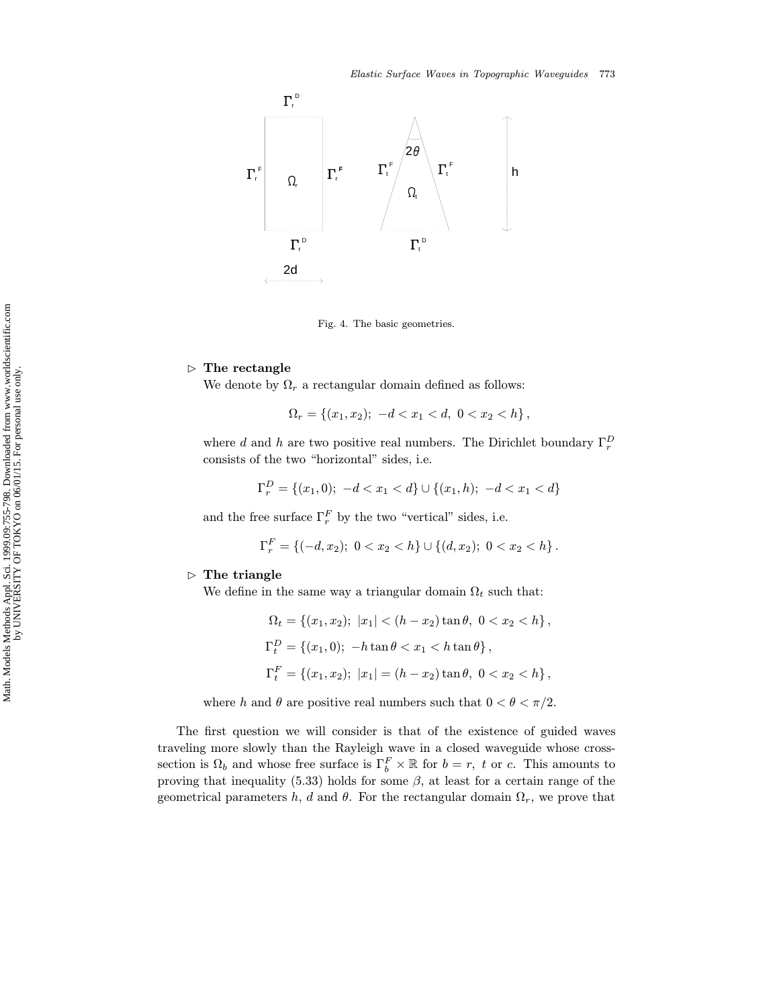

Fig. 4. The basic geometries.

#### $\triangleright$  The rectangle

We denote by  $\Omega_r$  a rectangular domain defined as follows:

$$
\Omega_r = \{(x_1, x_2); \ -d < x_1 < d, \ 0 < x_2 < h\},\
$$

where d and h are two positive real numbers. The Dirichlet boundary  $\Gamma_r^D$ consists of the two "horizontal" sides, i.e.

$$
\Gamma_r^D = \{(x_1, 0); -d < x_1 < d\} \cup \{(x_1, h); -d < x_1 < d\}
$$

and the free surface  $\Gamma_r^F$  by the two "vertical" sides, i.e.

$$
\Gamma_r^F = \{(-d,x_2); \ 0 < x_2 < h\} \cup \{(d,x_2); \ 0 < x_2 < h\}.
$$

#### $\triangleright$  The triangle

We define in the same way a triangular domain  $\Omega_t$  such that:

$$
\Omega_t = \{(x_1, x_2); \ |x_1| < (h - x_2) \tan \theta, \ 0 < x_2 < h\},\
$$
\n
$$
\Gamma_t^D = \{(x_1, 0); \ -h \tan \theta < x_1 < h \tan \theta\},\
$$
\n
$$
\Gamma_t^F = \{(x_1, x_2); \ |x_1| = (h - x_2) \tan \theta, \ 0 < x_2 < h\},
$$

where h and  $\theta$  are positive real numbers such that  $0 < \theta < \pi/2$ .

The first question we will consider is that of the existence of guided waves traveling more slowly than the Rayleigh wave in a closed waveguide whose crosssection is  $\Omega_b$  and whose free surface is  $\Gamma_b^F \times \mathbb{R}$  for  $b = r$ , t or c. This amounts to proving that inequality (5.33) holds for some  $\beta$ , at least for a certain range of the geometrical parameters h, d and  $\theta$ . For the rectangular domain  $\Omega_r$ , we prove that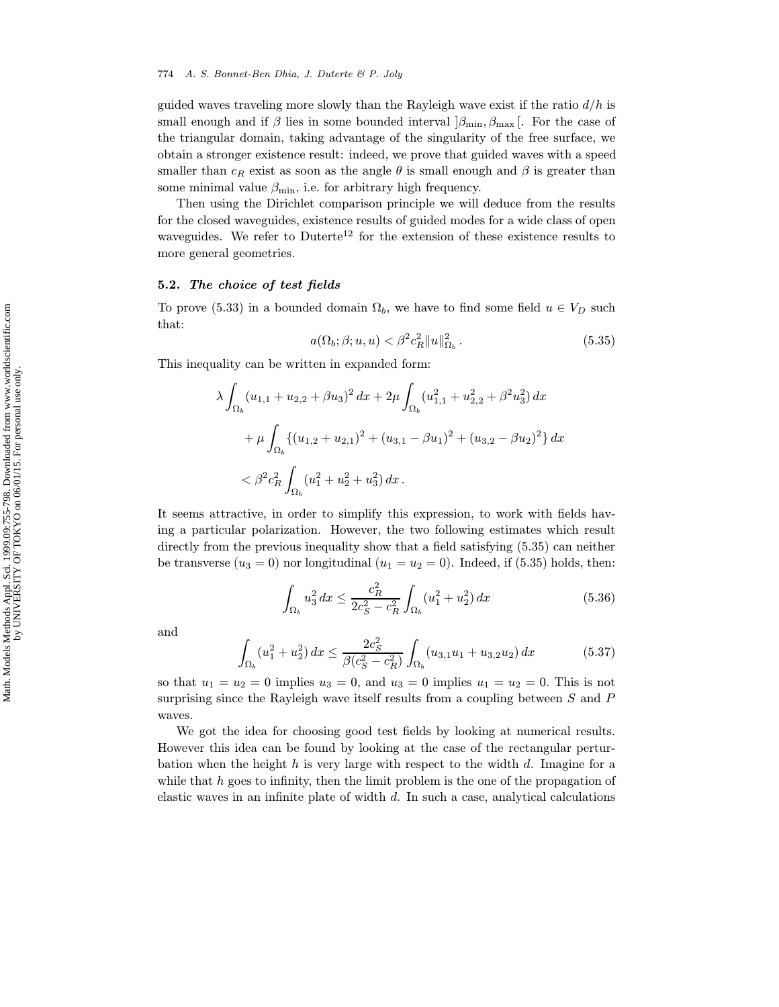guided waves traveling more slowly than the Rayleigh wave exist if the ratio  $d/h$  is small enough and if  $\beta$  lies in some bounded interval  $\beta_{\min}, \beta_{\max}$ . For the case of the triangular domain, taking advantage of the singularity of the free surface, we obtain a stronger existence result: indeed, we prove that guided waves with a speed smaller than  $c_R$  exist as soon as the angle  $\theta$  is small enough and  $\beta$  is greater than some minimal value  $\beta_{\min}$ , i.e. for arbitrary high frequency.

Then using the Dirichlet comparison principle we will deduce from the results for the closed waveguides, existence results of guided modes for a wide class of open waveguides. We refer to  $Duttere^{12}$  for the extension of these existence results to more general geometries.

#### 5.2. The choice of test fields

To prove (5.33) in a bounded domain  $\Omega_b$ , we have to find some field  $u \in V_D$  such that:

$$
a(\Omega_b; \beta; u, u) < \beta^2 c_R^2 \|u\|_{\Omega_b}^2 \,. \tag{5.35}
$$

This inequality can be written in expanded form:

$$
\lambda \int_{\Omega_b} (u_{1,1} + u_{2,2} + \beta u_3)^2 dx + 2\mu \int_{\Omega_b} (u_{1,1}^2 + u_{2,2}^2 + \beta^2 u_3^2) dx
$$
  
+ 
$$
\mu \int_{\Omega_b} \{ (u_{1,2} + u_{2,1})^2 + (u_{3,1} - \beta u_1)^2 + (u_{3,2} - \beta u_2)^2 \} dx
$$
  
< 
$$
< \beta^2 c_R^2 \int_{\Omega_b} (u_1^2 + u_2^2 + u_3^2) dx.
$$

It seems attractive, in order to simplify this expression, to work with fields having a particular polarization. However, the two following estimates which result directly from the previous inequality show that a field satisfying (5.35) can neither be transverse  $(u_3 = 0)$  nor longitudinal  $(u_1 = u_2 = 0)$ . Indeed, if (5.35) holds, then:

$$
\int_{\Omega_b} u_3^2 dx \le \frac{c_R^2}{2c_S^2 - c_R^2} \int_{\Omega_b} (u_1^2 + u_2^2) dx
$$
\n(5.36)

and

$$
\int_{\Omega_b} (u_1^2 + u_2^2) \, dx \le \frac{2c_S^2}{\beta(c_S^2 - c_R^2)} \int_{\Omega_b} (u_{3,1}u_1 + u_{3,2}u_2) \, dx \tag{5.37}
$$

so that  $u_1 = u_2 = 0$  implies  $u_3 = 0$ , and  $u_3 = 0$  implies  $u_1 = u_2 = 0$ . This is not surprising since the Rayleigh wave itself results from a coupling between  $S$  and  $P$ waves.

We got the idea for choosing good test fields by looking at numerical results. However this idea can be found by looking at the case of the rectangular perturbation when the height h is very large with respect to the width d. Imagine for a while that  $h$  goes to infinity, then the limit problem is the one of the propagation of elastic waves in an infinite plate of width d. In such a case, analytical calculations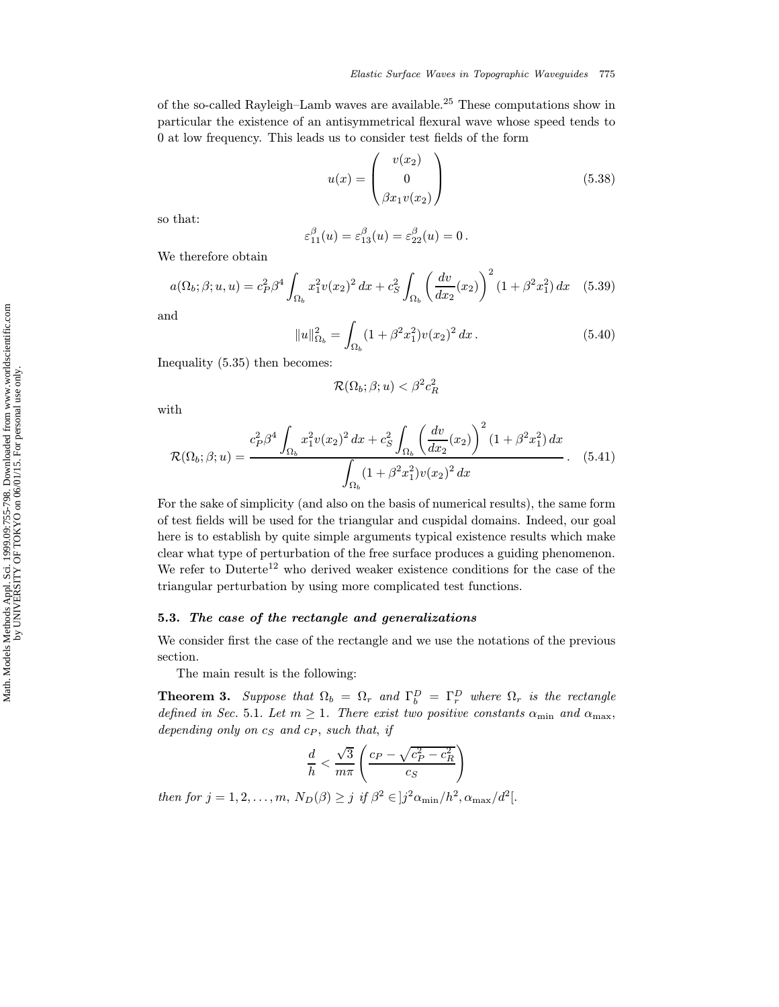of the so-called Rayleigh–Lamb waves are available.<sup>25</sup> These computations show in particular the existence of an antisymmetrical flexural wave whose speed tends to 0 at low frequency. This leads us to consider test fields of the form

$$
u(x) = \begin{pmatrix} v(x_2) \\ 0 \\ \beta x_1 v(x_2) \end{pmatrix}
$$
 (5.38)

so that:

$$
\varepsilon_{11}^{\beta}(u) = \varepsilon_{13}^{\beta}(u) = \varepsilon_{22}^{\beta}(u) = 0.
$$

We therefore obtain

$$
a(\Omega_b; \beta; u, u) = c_P^2 \beta^4 \int_{\Omega_b} x_1^2 v(x_2)^2 dx + c_S^2 \int_{\Omega_b} \left(\frac{dv}{dx_2}(x_2)\right)^2 (1 + \beta^2 x_1^2) dx \quad (5.39)
$$

and

$$
||u||_{\Omega_b}^2 = \int_{\Omega_b} (1 + \beta^2 x_1^2) v(x_2)^2 dx.
$$
 (5.40)

Inequality (5.35) then becomes:

$$
\mathcal{R}(\Omega_b;\beta;u)<\beta^2c_R^2
$$

with

$$
\mathcal{R}(\Omega_b; \beta; u) = \frac{c_P^2 \beta^4 \int_{\Omega_b} x_1^2 v(x_2)^2 dx + c_S^2 \int_{\Omega_b} \left(\frac{dv}{dx_2}(x_2)\right)^2 (1 + \beta^2 x_1^2) dx}{\int_{\Omega_b} (1 + \beta^2 x_1^2) v(x_2)^2 dx}.
$$
 (5.41)

For the sake of simplicity (and also on the basis of numerical results), the same form of test fields will be used for the triangular and cuspidal domains. Indeed, our goal here is to establish by quite simple arguments typical existence results which make clear what type of perturbation of the free surface produces a guiding phenomenon. We refer to Duterte<sup>12</sup> who derived weaker existence conditions for the case of the triangular perturbation by using more complicated test functions.

### 5.3. The case of the rectangle and generalizations

We consider first the case of the rectangle and we use the notations of the previous section.

The main result is the following:

**Theorem 3.** Suppose that  $\Omega_b = \Omega_r$  and  $\Gamma_b^D = \Gamma_r^D$  where  $\Omega_r$  is the rectangle defined in Sec. 5.1. Let  $m \geq 1$ . There exist two positive constants  $\alpha_{\min}$  and  $\alpha_{\max}$ , depending only on  $c_S$  and  $c_P$ , such that, if

$$
\frac{d}{h} < \frac{\sqrt{3}}{m\pi} \left( \frac{c_P - \sqrt{c_P^2 - c_R^2}}{c_S} \right)
$$

then for  $j = 1, 2, ..., m$ ,  $N_D(\beta) \geq j$  if  $\beta^2 \in |j^2 \alpha_{\min}/h^2, \alpha_{\max}/d^2|$ .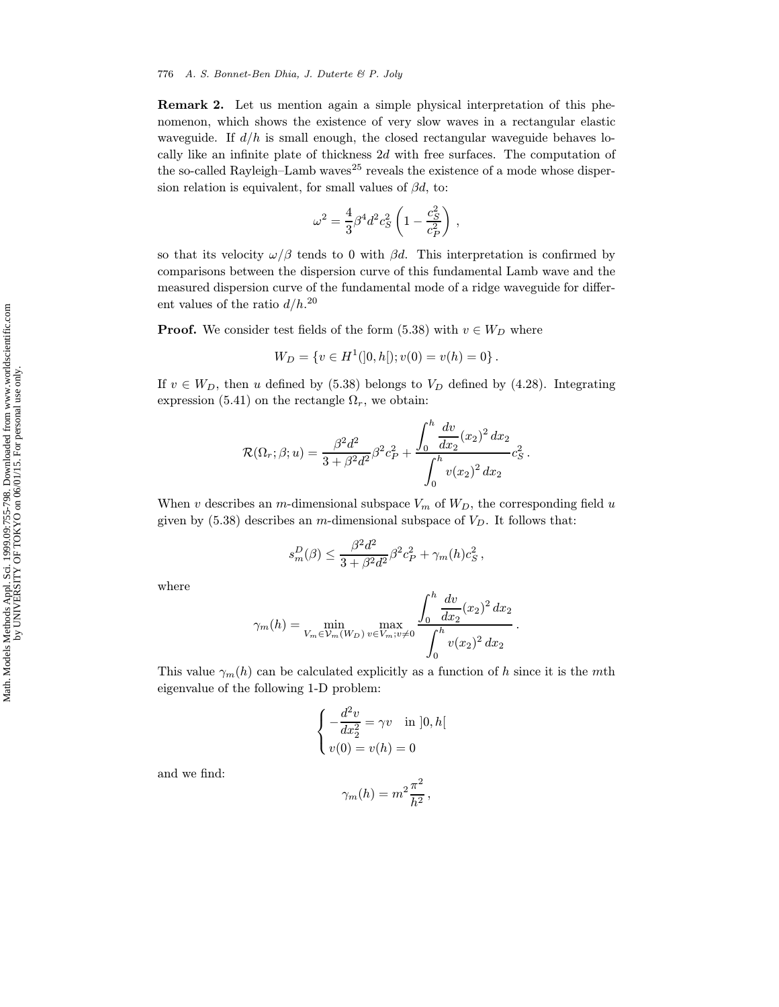Remark 2. Let us mention again a simple physical interpretation of this phenomenon, which shows the existence of very slow waves in a rectangular elastic waveguide. If  $d/h$  is small enough, the closed rectangular waveguide behaves locally like an infinite plate of thickness 2d with free surfaces. The computation of the so-called Rayleigh–Lamb waves<sup>25</sup> reveals the existence of a mode whose dispersion relation is equivalent, for small values of  $\beta d$ , to:

$$
\omega^2=\frac{4}{3}\beta^4 d^2 c_S^2 \left(1-\frac{c_S^2}{c_P^2}\right)\,,
$$

so that its velocity  $\omega/\beta$  tends to 0 with  $\beta d$ . This interpretation is confirmed by comparisons between the dispersion curve of this fundamental Lamb wave and the measured dispersion curve of the fundamental mode of a ridge waveguide for different values of the ratio  $d/h$ <sup>20</sup>

**Proof.** We consider test fields of the form (5.38) with  $v \in W_D$  where

$$
W_D = \{ v \in H^1(]0,h[); v(0) = v(h) = 0 \}.
$$

If  $v \in W_D$ , then u defined by (5.38) belongs to  $V_D$  defined by (4.28). Integrating expression (5.41) on the rectangle  $\Omega_r$ , we obtain:

$$
\mathcal{R}(\Omega_r;\beta;u) = \frac{\beta^2 d^2}{3 + \beta^2 d^2} \beta^2 c_P^2 + \frac{\int_0^h \frac{dv}{dx_2}(x_2)^2 dx_2}{\int_0^h v(x_2)^2 dx_2} c_S^2.
$$

When v describes an m-dimensional subspace  $V_m$  of  $W_D$ , the corresponding field u given by  $(5.38)$  describes an m-dimensional subspace of  $V_D$ . It follows that:

$$
s_m^D(\beta) \le \frac{\beta^2 d^2}{3 + \beta^2 d^2} \beta^2 c_P^2 + \gamma_m(h) c_S^2 \,,
$$

where

$$
\gamma_m(h) = \min_{V_m \in \mathcal{V}_m(W_D)} \max_{v \in V_m; v \neq 0} \frac{\int_0^h \frac{dv}{dx_2}(x_2)^2 dx_2}{\int_0^h v(x_2)^2 dx_2}.
$$

This value  $\gamma_m(h)$  can be calculated explicitly as a function of h since it is the mth eigenvalue of the following 1-D problem:

$$
\begin{cases}\n-\frac{d^2v}{dx_2^2} = \gamma v \quad \text{in } ]0, h[ \\
v(0) = v(h) = 0\n\end{cases}
$$

and we find:

$$
\gamma_m(h) = m^2 \frac{\pi^2}{h^2} \,,
$$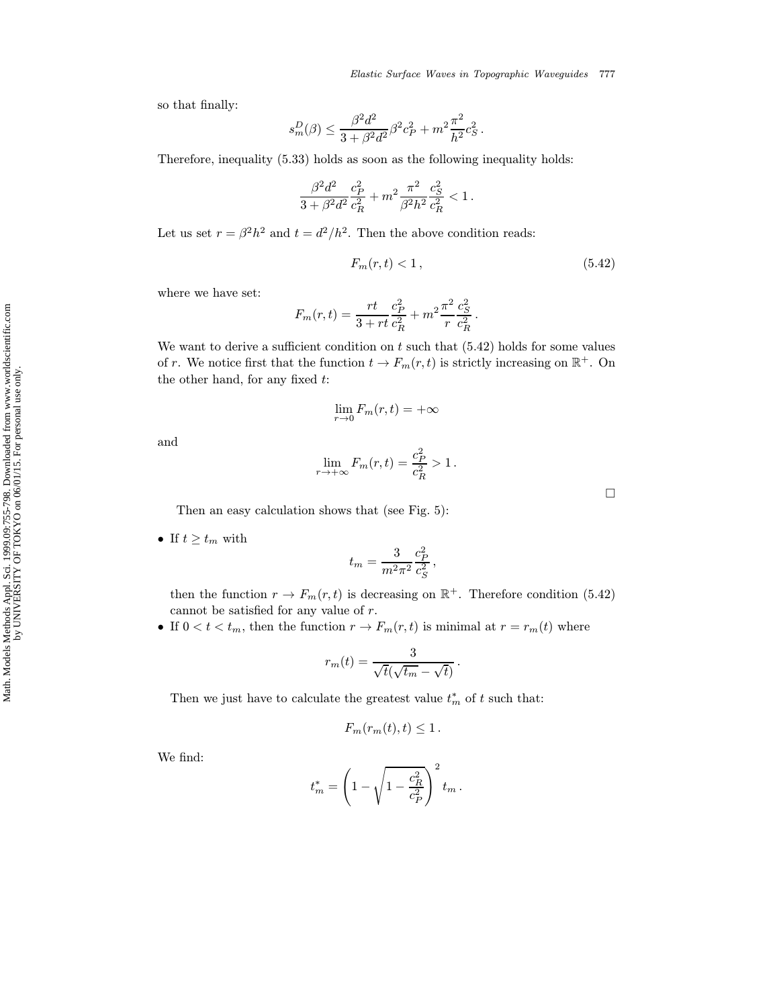so that finally:

$$
s_m^D(\beta) \le \frac{\beta^2 d^2}{3 + \beta^2 d^2} \beta^2 c_P^2 + m^2 \frac{\pi^2}{h^2} c_S^2.
$$

Therefore, inequality (5.33) holds as soon as the following inequality holds:

$$
\frac{\beta^2 d^2}{3+\beta^2 d^2} \frac{c_P^2}{c_R^2} + m^2 \frac{\pi^2}{\beta^2 h^2} \frac{c_S^2}{c_R^2} < 1 \,.
$$

Let us set  $r = \beta^2 h^2$  and  $t = d^2/h^2$ . Then the above condition reads:

$$
F_m(r,t) < 1\,,\tag{5.42}
$$

where we have set:

$$
F_m(r,t) = \frac{rt}{3+rt} \frac{c_P^2}{c_R^2} + m^2 \frac{\pi^2}{r} \frac{c_S^2}{c_R^2}.
$$

We want to derive a sufficient condition on  $t$  such that  $(5.42)$  holds for some values of r. We notice first that the function  $t \to F_m(r, t)$  is strictly increasing on  $\mathbb{R}^+$ . On the other hand, for any fixed  $t$ :

$$
\lim_{r \to 0} F_m(r, t) = +\infty
$$

and

$$
\lim_{r \to +\infty} F_m(r,t) = \frac{c_P^2}{c_R^2} > 1.
$$

 $\Box$ 

Then an easy calculation shows that (see Fig. 5):

• If  $t \geq t_m$  with

$$
t_m = \frac{3}{m^2 \pi^2} \frac{c_P^2}{c_S^2} \,,
$$

then the function  $r \to F_m(r, t)$  is decreasing on  $\mathbb{R}^+$ . Therefore condition (5.42) cannot be satisfied for any value of r.

• If  $0 < t < t_m$ , then the function  $r \to F_m(r, t)$  is minimal at  $r = r_m(t)$  where

$$
r_m(t) = \frac{3}{\sqrt{t}(\sqrt{t_m} - \sqrt{t})}
$$

.

Then we just have to calculate the greatest value  $t_m^*$  of  $t$  such that:

$$
F_m(r_m(t),t) \leq 1.
$$

We find:

$$
t_m^* = \left(1 - \sqrt{1 - \frac{c_R^2}{c_P^2}}\right)^2 t_m \,.
$$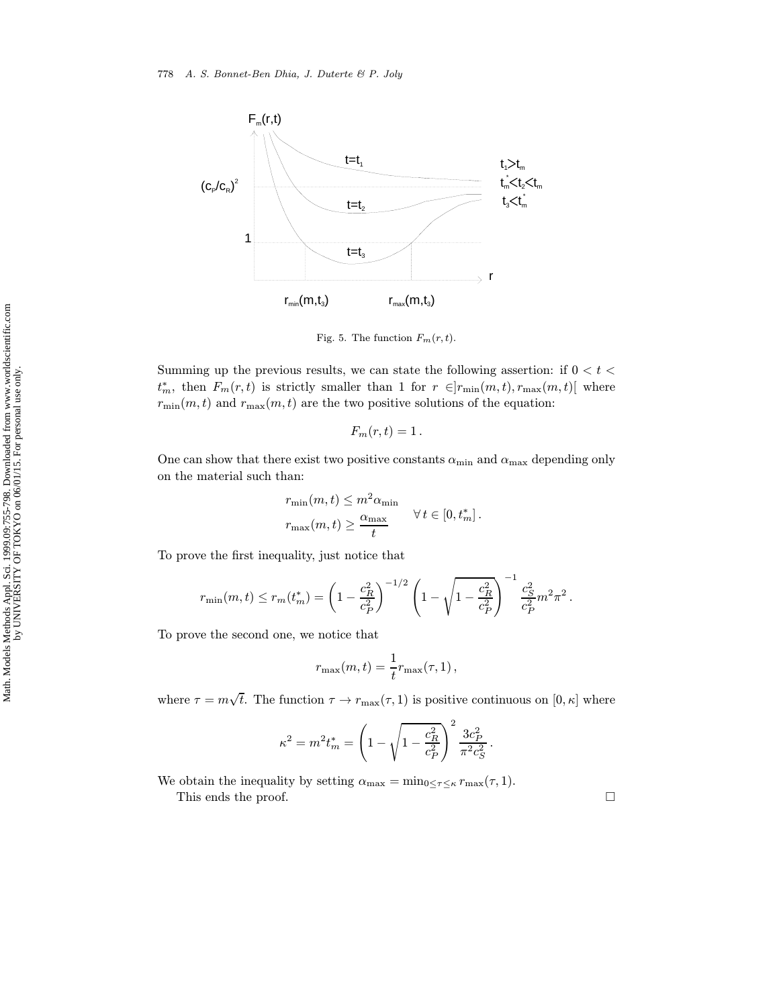

Fig. 5. The function  $F_m(r, t)$ .

Summing up the previous results, we can state the following assertion: if  $0 < t <$  $t_m^*$ , then  $F_m(r,t)$  is strictly smaller than 1 for  $r \in ]r_{\min}(m,t), r_{\max}(m,t)]$  where  $r_{\min}(m,t)$  and  $r_{\max}(m,t)$  are the two positive solutions of the equation:

$$
F_m(r,t)=1.
$$

One can show that there exist two positive constants  $\alpha_{\min}$  and  $\alpha_{\max}$  depending only on the material such than:

$$
r_{\min}(m, t) \le m^2 \alpha_{\min}
$$
  

$$
r_{\max}(m, t) \ge \frac{\alpha_{\max}}{t} \qquad \forall t \in [0, t_m^*].
$$

To prove the first inequality, just notice that

$$
r_{\min}(m, t) \le r_m(t_m^*) = \left(1 - \frac{c_R^2}{c_P^2}\right)^{-1/2} \left(1 - \sqrt{1 - \frac{c_R^2}{c_P^2}}\right)^{-1} \frac{c_S^2}{c_P^2} m^2 \pi^2.
$$

To prove the second one, we notice that

$$
r_{\max}(m,t) = \frac{1}{t}r_{\max}(\tau,1)\,,
$$

where  $\tau = m\sqrt{t}$ . The function  $\tau \to r_{\text{max}}(\tau, 1)$  is positive continuous on  $[0, \kappa]$  where

$$
\kappa^2 = m^2 t_m^* = \left(1 - \sqrt{1 - \frac{c_R^2}{c_P^2}}\right)^2 \frac{3c_P^2}{\pi^2 c_S^2}.
$$

We obtain the inequality by setting  $\alpha_{\text{max}} = \min_{0 \leq \tau \leq \kappa} r_{\text{max}}(\tau, 1)$ . This ends the proof.  $\hfill \square$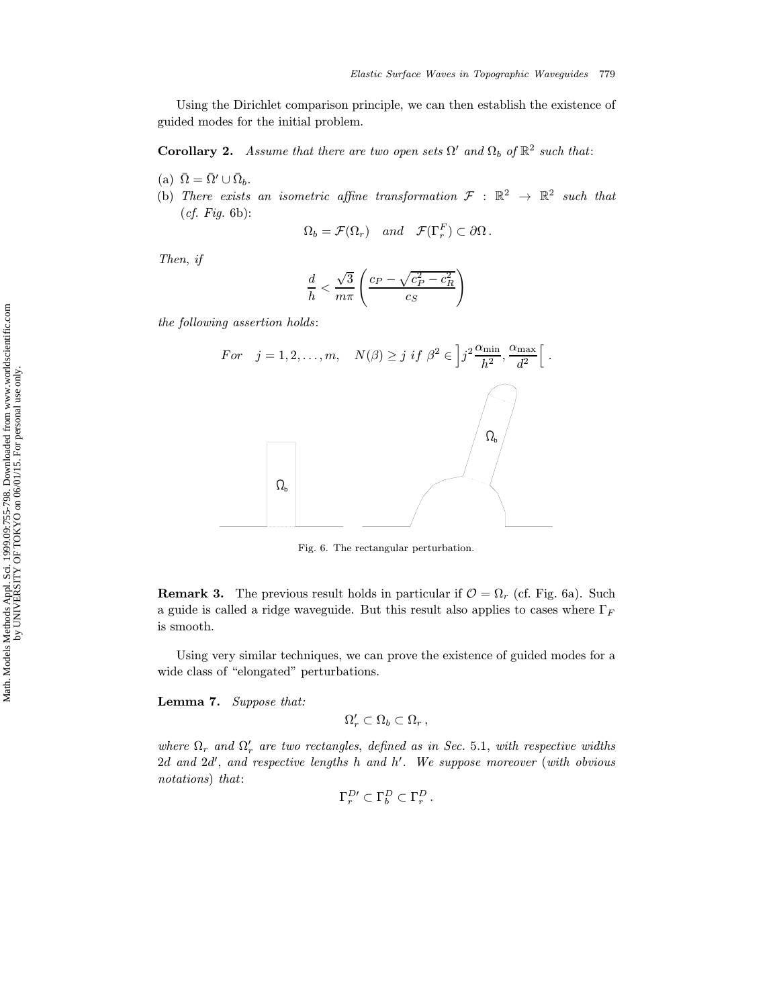Using the Dirichlet comparison principle, we can then establish the existence of guided modes for the initial problem.

**Corollary 2.** Assume that there are two open sets  $\Omega'$  and  $\Omega_b$  of  $\mathbb{R}^2$  such that:

- (a)  $\bar{\Omega} = \bar{\Omega}' \cup \bar{\Omega}_b$ .
- (b) There exists an isometric affine transformation  $\mathcal{F} : \mathbb{R}^2 \to \mathbb{R}^2$  such that  $(cf. Fig. 6b):$

$$
\Omega_b = \mathcal{F}(\Omega_r) \quad and \quad \mathcal{F}(\Gamma_r^F) \subset \partial \Omega \, .
$$

Then, if

$$
\frac{d}{h} < \frac{\sqrt{3}}{m\pi} \left( \frac{c_P - \sqrt{c_P^2 - c_R^2}}{c_S} \right)
$$

the following assertion holds:



Fig. 6. The rectangular perturbation.

**Remark 3.** The previous result holds in particular if  $\mathcal{O} = \Omega_r$  (cf. Fig. 6a). Such a guide is called a ridge waveguide. But this result also applies to cases where  $\Gamma_F$ is smooth.

Using very similar techniques, we can prove the existence of guided modes for a wide class of "elongated" perturbations.

Lemma 7. Suppose that:

$$
\Omega_r' \subset \Omega_b \subset \Omega_r ,
$$

where  $\Omega_r$  and  $\Omega'_r$  are two rectangles, defined as in Sec. 5.1, with respective widths 2d and 2d', and respective lengths h and  $h'$ . We suppose moreover (with obvious notations) that:

$$
\Gamma_r^{D\prime} \subset \Gamma_b^D \subset \Gamma_r^D.
$$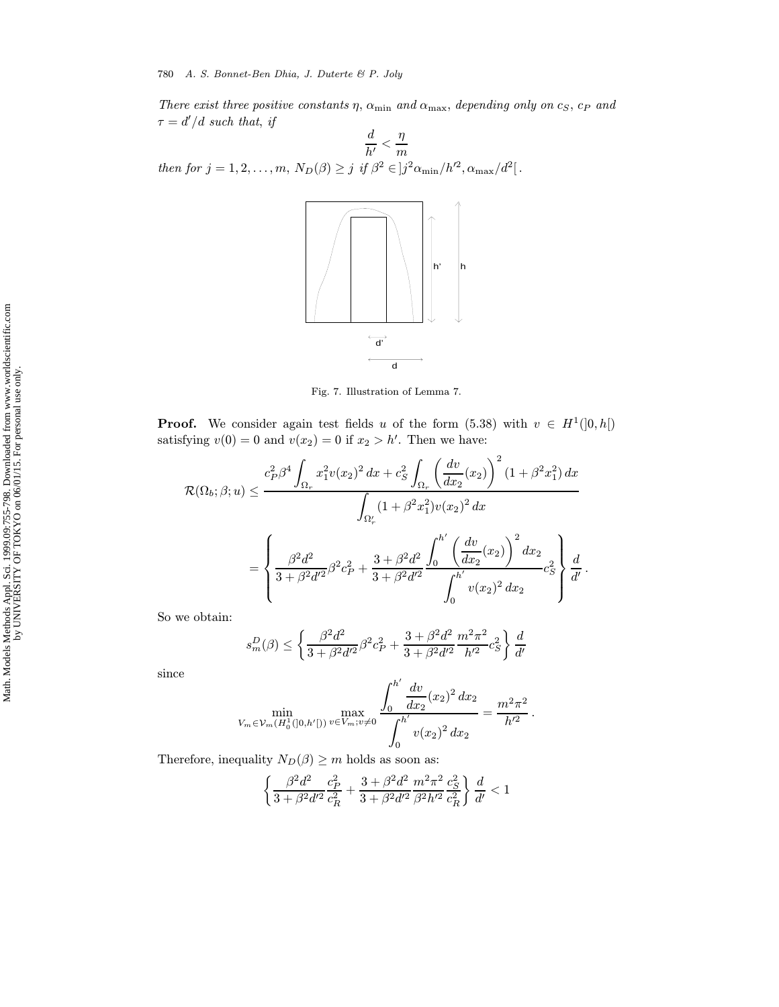There exist three positive constants  $\eta$ ,  $\alpha_{\min}$  and  $\alpha_{\max}$ , depending only on  $c_S$ ,  $c_P$  and  $\tau = d'/d$  such that, if  $\overline{ }$ 

$$
\frac{d}{h'} < \frac{\eta}{m}
$$
\nthen for  $j = 1, 2, ..., m$ ,  $N_D(\beta) \geq j$  if  $\beta^2 \in ]j^2 \alpha_{\min}/h'^2, \alpha_{\max}/d^2[$ .



Fig. 7. Illustration of Lemma 7.

**Proof.** We consider again test fields u of the form (5.38) with  $v \in H^1(]0, h[)$ satisfying  $v(0) = 0$  and  $v(x_2) = 0$  if  $x_2 > h'$ . Then we have:

$$
\mathcal{R}(\Omega_b; \beta; u) \leq \frac{c_P^2 \beta^4 \int_{\Omega_r} x_1^2 v(x_2)^2 dx + c_S^2 \int_{\Omega_r} \left(\frac{dv}{dx_2}(x_2)\right)^2 (1 + \beta^2 x_1^2) dx}{\int_{\Omega'_r} (1 + \beta^2 x_1^2) v(x_2)^2 dx}
$$

$$
= \left\{ \frac{\beta^2 d^2}{3 + \beta^2 d'^2} \beta^2 c_P^2 + \frac{3 + \beta^2 d^2}{3 + \beta^2 d'^2} \frac{\int_0^{h'} \left(\frac{dv}{dx_2}(x_2)\right)^2 dx_2}{\int_0^{h'} v(x_2)^2 dx_2} c_S^2 \right\} \frac{d}{d'}.
$$

So we obtain:

$$
s_m^D(\beta) \le \left\{ \frac{\beta^2 d^2}{3 + \beta^2 d'^2} \beta^2 c_P^2 + \frac{3 + \beta^2 d^2}{3 + \beta^2 d'^2} \frac{m^2 \pi^2}{h'^2} c_S^2 \right\} \frac{d}{d'}
$$

since

$$
\min_{V_m \in \mathcal{V}_m(H_0^1([0,h'])} \max_{v \in V_m; v \neq 0} \frac{\int_0^{h'} \frac{dv}{dx_2}(x_2)^2 dx_2}{\int_0^{h'} v(x_2)^2 dx_2} = \frac{m^2 \pi^2}{h'^2}.
$$

Therefore, inequality  $N_D(\beta) \geq m$  holds as soon as:

$$
\left\{\frac{\beta^2 d^2}{3+\beta^2 d'^2}\frac{c_P^2}{c_R^2}+\frac{3+\beta^2 d^2}{3+\beta^2 d'^2}\frac{m^2 \pi^2}{\beta^2 h'^2}\frac{c_S^2}{c_R^2}\right\}\frac{d}{d'}<1
$$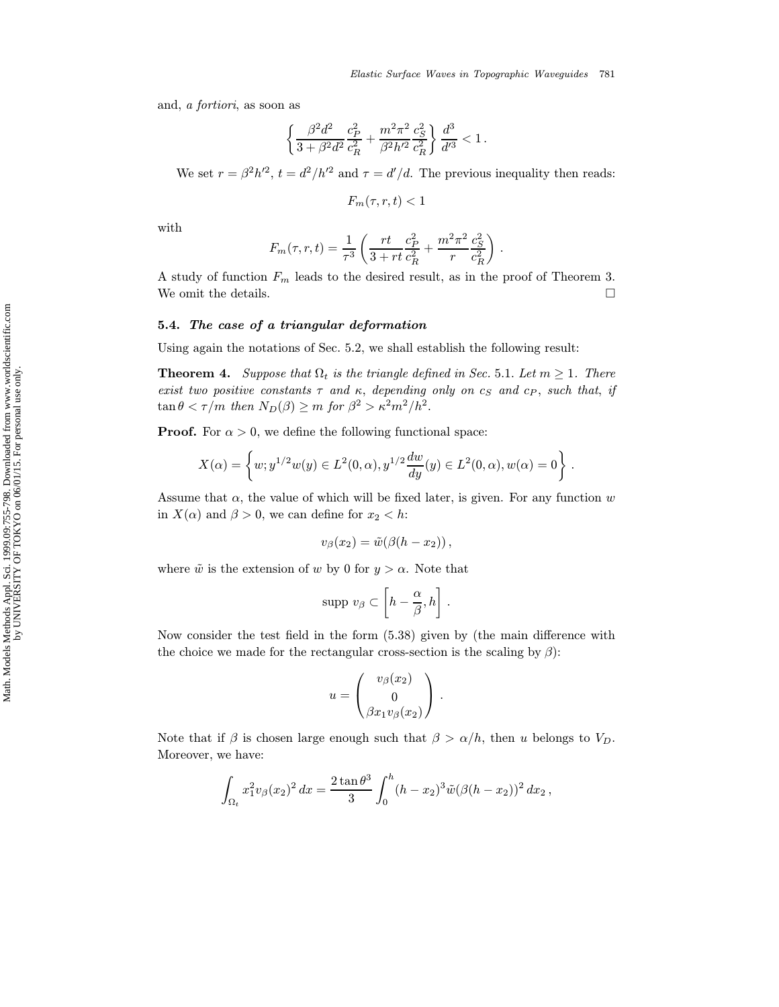and, a fortiori, as soon as

$$
\left\{\frac{\beta^2d^2}{3+\beta^2d^2}\frac{c_P^2}{c_R^2}+\frac{m^2\pi^2}{\beta^2h'^2}\frac{c_S^2}{c_R^2}\right\}\frac{d^3}{d'^3}<1\,.
$$

We set  $r = \beta^2 h'^2$ ,  $t = d^2/h'^2$  and  $\tau = d'/d$ . The previous inequality then reads:

$$
F_m(\tau,r,t)<1
$$

with

$$
F_m(\tau, r, t) = \frac{1}{\tau^3} \left( \frac{rt}{3 + rt} \frac{c_P^2}{c_R^2} + \frac{m^2 \pi^2}{r} \frac{c_S^2}{c_R^2} \right) .
$$

A study of function  $F_m$  leads to the desired result, as in the proof of Theorem 3. We omit the details.  $\hfill \square$ 

#### 5.4. The case of a triangular deformation

Using again the notations of Sec. 5.2, we shall establish the following result:

**Theorem 4.** Suppose that  $\Omega_t$  is the triangle defined in Sec. 5.1. Let  $m \geq 1$ . There exist two positive constants  $\tau$  and  $\kappa$ , depending only on  $c_S$  and  $c_P$ , such that, if  $\tan \theta < \tau/m$  then  $N_D(\beta) \ge m$  for  $\beta^2 > \kappa^2 m^2/h^2$ .

**Proof.** For  $\alpha > 0$ , we define the following functional space:

$$
X(\alpha) = \left\{ w; y^{1/2}w(y) \in L^2(0, \alpha), y^{1/2} \frac{dw}{dy}(y) \in L^2(0, \alpha), w(\alpha) = 0 \right\}.
$$

Assume that  $\alpha$ , the value of which will be fixed later, is given. For any function w in  $X(\alpha)$  and  $\beta > 0$ , we can define for  $x_2 < h$ :

$$
v_{\beta}(x_2)=\tilde{w}(\beta(h-x_2)),
$$

where  $\tilde{w}$  is the extension of w by 0 for  $y > \alpha$ . Note that

$$
\text{supp } v_{\beta} \subset \left[h - \frac{\alpha}{\beta}, h\right].
$$

Now consider the test field in the form (5.38) given by (the main difference with the choice we made for the rectangular cross-section is the scaling by  $\beta$ ):

$$
u = \begin{pmatrix} v_{\beta}(x_2) \\ 0 \\ \beta x_1 v_{\beta}(x_2) \end{pmatrix} .
$$

Note that if  $\beta$  is chosen large enough such that  $\beta > \alpha/h$ , then u belongs to  $V_D$ . Moreover, we have:

$$
\int_{\Omega_t} x_1^2 v_\beta(x_2)^2 dx = \frac{2 \tan \theta^3}{3} \int_0^h (h - x_2)^3 \tilde{w} (\beta (h - x_2))^2 dx_2,
$$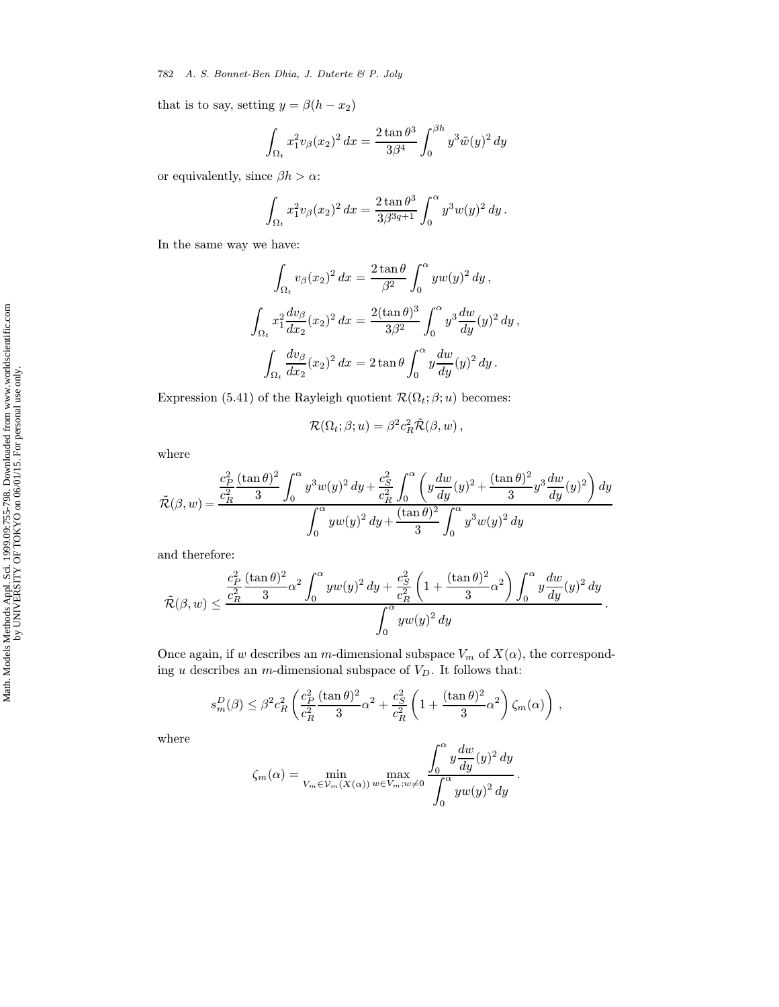782 A. S. Bonnet-Ben Dhia, J. Duterte & P. Joly

that is to say, setting  $y = \beta(h - x_2)$ 

$$
\int_{\Omega_t} x_1^2 v_\beta(x_2)^2 dx = \frac{2 \tan \theta^3}{3\beta^4} \int_0^{\beta h} y^3 \tilde{w}(y)^2 dy
$$

or equivalently, since  $\beta h > \alpha$ :

$$
\int_{\Omega_t} x_1^2 v_\beta(x_2)^2 dx = \frac{2 \tan \theta^3}{3\beta^{3q+1}} \int_0^\alpha y^3 w(y)^2 dy.
$$

In the same way we have:

$$
\int_{\Omega_t} v_\beta(x_2)^2 dx = \frac{2 \tan \theta}{\beta^2} \int_0^\alpha y w(y)^2 dy,
$$
  

$$
\int_{\Omega_t} x_1^2 \frac{dv_\beta}{dx_2}(x_2)^2 dx = \frac{2(\tan \theta)^3}{3\beta^2} \int_0^\alpha y^3 \frac{dw}{dy}(y)^2 dy,
$$
  

$$
\int_{\Omega_t} \frac{dv_\beta}{dx_2}(x_2)^2 dx = 2 \tan \theta \int_0^\alpha y \frac{dw}{dy}(y)^2 dy.
$$

Expression (5.41) of the Rayleigh quotient  $\mathcal{R}(\Omega_t;\beta;u)$  becomes:

$$
\mathcal{R}(\Omega_t;\beta;u)=\beta^2c_R^2\tilde{\mathcal{R}}(\beta,w)\,,
$$

where

$$
\tilde{\mathcal{R}}(\beta, w) = \frac{\frac{c_P^2}{c_R^2} \frac{(\tan \theta)^2}{3} \int_0^{\alpha} y^3 w(y)^2 \, dy + \frac{c_S^2}{c_R^2} \int_0^{\alpha} \left( y \frac{dw}{dy}(y)^2 + \frac{(\tan \theta)^2}{3} y^3 \frac{dw}{dy}(y)^2 \right) dy}{\int_0^{\alpha} y w(y)^2 \, dy + \frac{(\tan \theta)^2}{3} \int_0^{\alpha} y^3 w(y)^2 \, dy}
$$

and therefore:

$$
\tilde{\mathcal{R}}(\beta,w)\leq \frac{\frac{c_P^2}{c_R^2}\frac{(\tan\theta)^2}{3}\alpha^2\int_0^\alpha yw(y)^2\,dy+\frac{c_S^2}{c_R^2}\left(1+\frac{(\tan\theta)^2}{3}\alpha^2\right)\int_0^\alpha y\frac{dw}{dy}(y)^2\,dy}{\int_0^\alpha yw(y)^2\,dy}.
$$

Once again, if w describes an m-dimensional subspace  $V_m$  of  $X(\alpha)$ , the corresponding u describes an m-dimensional subspace of  $V_D$ . It follows that:

$$
s_m^D(\beta) \leq \beta^2 c_R^2 \left( \frac{c_P^2}{c_R^2} \frac{(\tan \theta)^2}{3} \alpha^2 + \frac{c_S^2}{c_R^2} \left( 1 + \frac{(\tan \theta)^2}{3} \alpha^2 \right) \zeta_m(\alpha) \right) ,
$$

where

$$
\zeta_m(\alpha) = \min_{V_m \in \mathcal{V}_m(X(\alpha))} \max_{w \in V_m; w \neq 0} \frac{\int_0^{\alpha} y \frac{dw}{dy}(y)^2 dy}{\int_0^{\alpha} yw(y)^2 dy}.
$$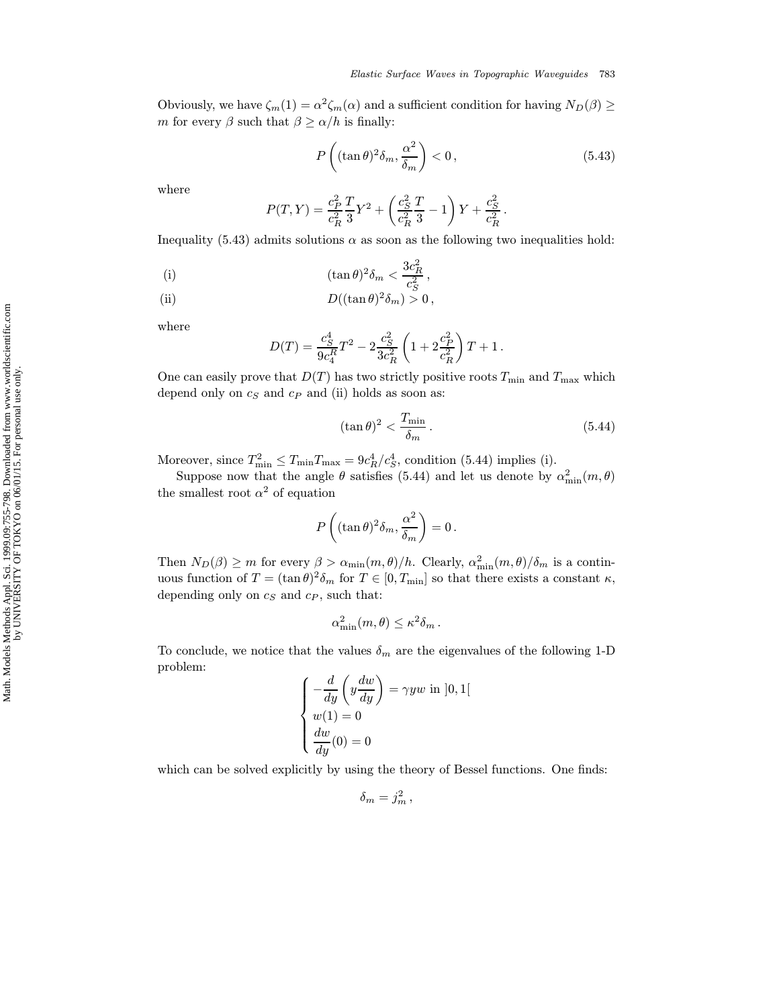Obviously, we have  $\zeta_m(1) = \alpha^2 \zeta_m(\alpha)$  and a sufficient condition for having  $N_D(\beta) \ge$ *m* for every  $\beta$  such that  $\beta \ge \alpha/h$  is finally:

$$
P\left((\tan\theta)^2\delta_m, \frac{\alpha^2}{\delta_m}\right) < 0\,,\tag{5.43}
$$

where

$$
P(T,Y) = \frac{c_P^2}{c_R^2} \frac{T}{3} Y^2 + \left(\frac{c_S^2}{c_R^2} \frac{T}{3} - 1\right) Y + \frac{c_S^2}{c_R^2}.
$$

Inequality (5.43) admits solutions  $\alpha$  as soon as the following two inequalities hold:

(i) 
$$
(\tan \theta)^2 \delta_m < \frac{3c_R^2}{c_S^2},
$$

(ii) 
$$
D((\tan \theta)^2 \delta_m) > 0,
$$

where

$$
D(T) = \frac{c_S^4}{9c_4^R}T^2 - 2\frac{c_S^2}{3c_R^2}\left(1 + 2\frac{c_P^2}{c_R^2}\right)T + 1.
$$

One can easily prove that  $D(T)$  has two strictly positive roots  $T_{\min}$  and  $T_{\max}$  which depend only on  $c_S$  and  $c_P$  and (ii) holds as soon as:

$$
(\tan \theta)^2 < \frac{T_{\min}}{\delta_m} \,. \tag{5.44}
$$

Moreover, since  $T_{\min}^2 \le T_{\min} T_{\max} = 9c_R^4/c_S^4$ , condition (5.44) implies (i).

Suppose now that the angle  $\theta$  satisfies (5.44) and let us denote by  $\alpha_{\min}^2(m, \theta)$ the smallest root  $\alpha^2$  of equation

$$
P\left((\tan\theta)^2\delta_m,\frac{\alpha^2}{\delta_m}\right)=0\,.
$$

Then  $N_D(\beta) \ge m$  for every  $\beta > \alpha_{\min}(m, \theta)/h$ . Clearly,  $\alpha_{\min}^2(m, \theta)/\delta_m$  is a continuous function of  $T = (\tan \theta)^2 \delta_m$  for  $T \in [0, T_{\min}]$  so that there exists a constant  $\kappa$ , depending only on  $c_S$  and  $c_P$ , such that:

$$
\alpha_{\min}^2(m,\theta) \leq \kappa^2 \delta_m \, .
$$

To conclude, we notice that the values  $\delta_m$  are the eigenvalues of the following 1-D problem:

$$
\begin{cases}\n-\frac{d}{dy}\left(y\frac{dw}{dy}\right) = \gamma yw \text{ in } ]0,1[ \\
w(1) = 0 \\
\frac{dw}{dy}(0) = 0\n\end{cases}
$$

which can be solved explicitly by using the theory of Bessel functions. One finds:

$$
\delta_m = j_m^2 \,,
$$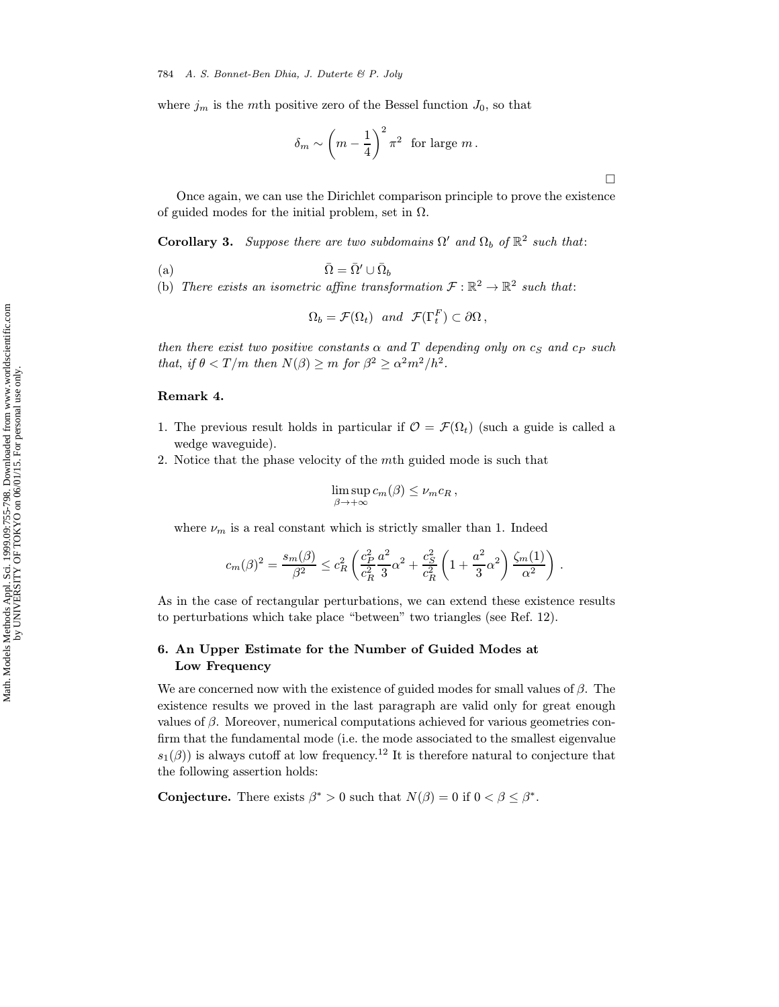where  $j_m$  is the mth positive zero of the Bessel function  $J_0$ , so that

$$
\delta_m \sim \left(m - \frac{1}{4}\right)^2 \pi^2
$$
 for large m.

 $\Box$ 

Once again, we can use the Dirichlet comparison principle to prove the existence of guided modes for the initial problem, set in  $\Omega$ .

**Corollary 3.** Suppose there are two subdomains  $\Omega'$  and  $\Omega_b$  of  $\mathbb{R}^2$  such that:

(a)  $\bar{\Omega} = \bar{\Omega}' \cup \bar{\Omega}_b$ 

(b) There exists an isometric affine transformation  $\mathcal{F} : \mathbb{R}^2 \to \mathbb{R}^2$  such that:

$$
\Omega_b = \mathcal{F}(\Omega_t) \quad and \quad \mathcal{F}(\Gamma_t^F) \subset \partial \Omega \,,
$$

then there exist two positive constants  $\alpha$  and  $T$  depending only on  $c_S$  and  $c_P$  such that, if  $\theta < T/m$  then  $N(\beta) \ge m$  for  $\beta^2 \ge \alpha^2 m^2/h^2$ .

### Remark 4.

- 1. The previous result holds in particular if  $\mathcal{O} = \mathcal{F}(\Omega_t)$  (such a guide is called a wedge waveguide).
- 2. Notice that the phase velocity of the mth guided mode is such that

$$
\limsup_{\beta \to +\infty} c_m(\beta) \leq \nu_m c_R \,,
$$

where  $\nu_m$  is a real constant which is strictly smaller than 1. Indeed

$$
c_m(\beta)^2 = \frac{s_m(\beta)}{\beta^2} \le c_R^2 \left( \frac{c_P^2}{c_R^2} \frac{a^2}{3} \alpha^2 + \frac{c_S^2}{c_R^2} \left( 1 + \frac{a^2}{3} \alpha^2 \right) \frac{\zeta_m(1)}{\alpha^2} \right) .
$$

As in the case of rectangular perturbations, we can extend these existence results to perturbations which take place "between" two triangles (see Ref. 12).

# 6. An Upper Estimate for the Number of Guided Modes at Low Frequency

We are concerned now with the existence of guided modes for small values of  $\beta$ . The existence results we proved in the last paragraph are valid only for great enough values of  $\beta$ . Moreover, numerical computations achieved for various geometries confirm that the fundamental mode (i.e. the mode associated to the smallest eigenvalue  $s_1(\beta)$ ) is always cutoff at low frequency.<sup>12</sup> It is therefore natural to conjecture that the following assertion holds:

**Conjecture.** There exists  $\beta^* > 0$  such that  $N(\beta) = 0$  if  $0 < \beta \leq \beta^*$ .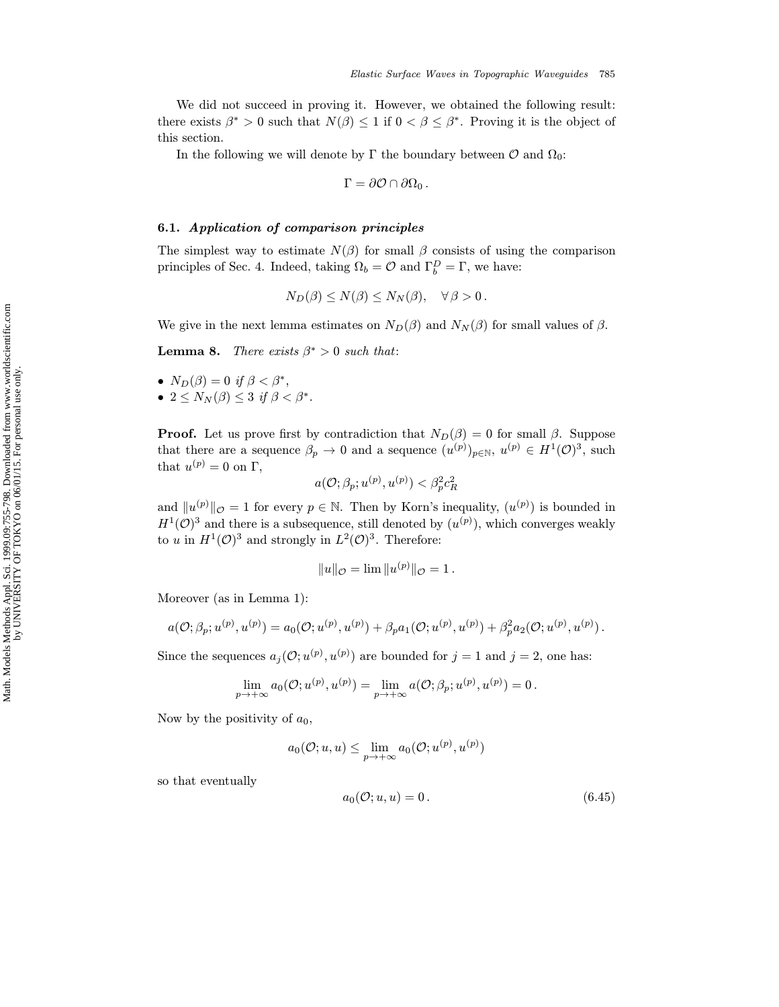We did not succeed in proving it. However, we obtained the following result: there exists  $\beta^* > 0$  such that  $N(\beta) \leq 1$  if  $0 < \beta \leq \beta^*$ . Proving it is the object of this section.

In the following we will denote by  $\Gamma$  the boundary between  $\mathcal O$  and  $\Omega_0$ :

$$
\Gamma = \partial \mathcal{O} \cap \partial \Omega_0 \,.
$$

### 6.1. Application of comparison principles

The simplest way to estimate  $N(\beta)$  for small  $\beta$  consists of using the comparison principles of Sec. 4. Indeed, taking  $\Omega_b = \mathcal{O}$  and  $\Gamma_b^D = \Gamma$ , we have:

$$
N_D(\beta) \le N(\beta) \le N_N(\beta), \quad \forall \beta > 0.
$$

We give in the next lemma estimates on  $N_D(\beta)$  and  $N_N(\beta)$  for small values of  $\beta$ .

**Lemma 8.** There exists  $\beta^* > 0$  such that:

\n- $$
N_D(\beta) = 0
$$
 if  $\beta < \beta^*$ ,
\n- $2 \leq N_N(\beta) \leq 3$  if  $\beta < \beta^*$ .
\n

**Proof.** Let us prove first by contradiction that  $N_D(\beta) = 0$  for small  $\beta$ . Suppose that there are a sequence  $\beta_p \to 0$  and a sequence  $(u^{(p)})_{p \in \mathbb{N}}$ ,  $u^{(p)} \in H^1(\mathcal{O})^3$ , such that  $u^{(p)}=0$  on  $\Gamma,$ 

$$
a(\mathcal{O};\beta_p;u^{(p)},u^{(p)})<\beta_p^2c_R^2
$$

and  $||u^{(p)}||_{\mathcal{O}} = 1$  for every  $p \in \mathbb{N}$ . Then by Korn's inequality,  $(u^{(p)})$  is bounded in  $H^1(\mathcal{O})^3$  and there is a subsequence, still denoted by  $(u^{(p)})$ , which converges weakly to u in  $H^1(\mathcal{O})^3$  and strongly in  $L^2(\mathcal{O})^3$ . Therefore:

$$
||u||_{\mathcal{O}} = \lim ||u^{(p)}||_{\mathcal{O}} = 1.
$$

Moreover (as in Lemma 1):

$$
a(\mathcal{O}; \beta_p; u^{(p)}, u^{(p)}) = a_0(\mathcal{O}; u^{(p)}, u^{(p)}) + \beta_p a_1(\mathcal{O}; u^{(p)}, u^{(p)}) + \beta_p^2 a_2(\mathcal{O}; u^{(p)}, u^{(p)}).
$$

Since the sequences  $a_j(\mathcal{O}; u^{(p)}, u^{(p)})$  are bounded for  $j = 1$  and  $j = 2$ , one has:

$$
\lim_{p\to +\infty}a_0(\mathcal{O};u^{(p)},u^{(p)})=\lim_{p\to +\infty}a(\mathcal{O};\beta_p;u^{(p)},u^{(p)})=0\,.
$$

Now by the positivity of  $a_0$ ,

$$
a_0(\mathcal{O};u,u) \leq \lim_{p \to +\infty} a_0(\mathcal{O};u^{(p)},u^{(p)})
$$

so that eventually

$$
a_0(\mathcal{O}; u, u) = 0. \tag{6.45}
$$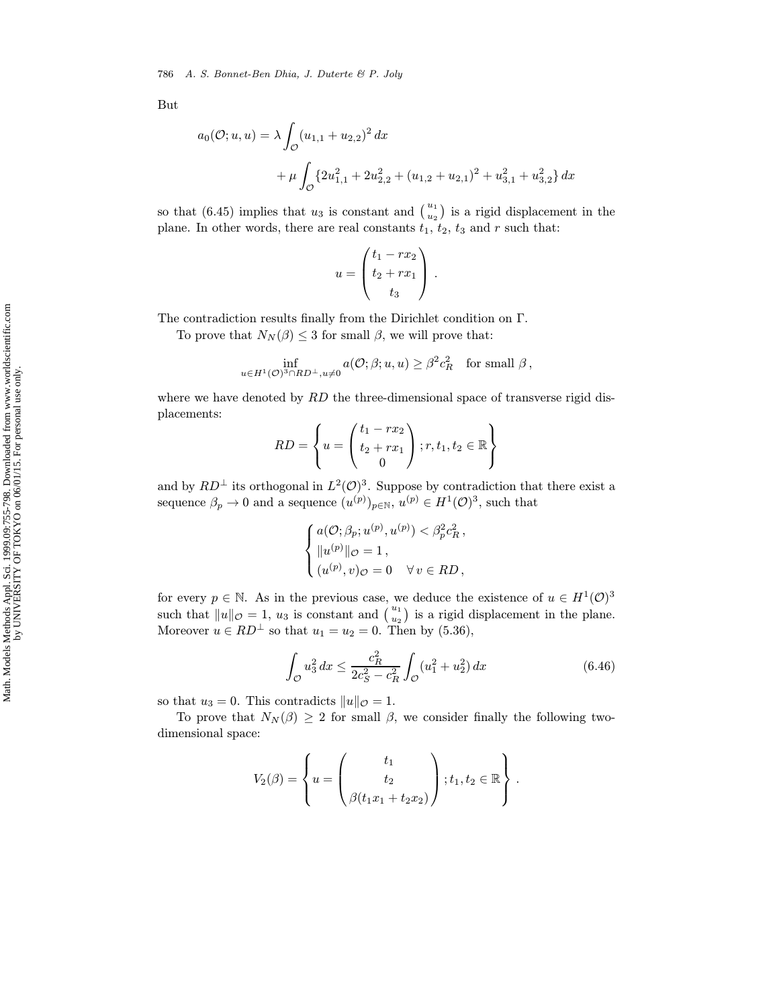But

$$
a_0(\mathcal{O}; u, u) = \lambda \int_{\mathcal{O}} (u_{1,1} + u_{2,2})^2 dx
$$
  
+  $\mu \int_{\mathcal{O}} \{2u_{1,1}^2 + 2u_{2,2}^2 + (u_{1,2} + u_{2,1})^2 + u_{3,1}^2 + u_{3,2}^2\} dx$ 

so that (6.45) implies that  $u_3$  is constant and  $\binom{u_1}{u_2}$  is a rigid displacement in the plane. In other words, there are real constants  $t_1$ ,  $t_2$ ,  $t_3$  and  $r$  such that:

$$
u = \begin{pmatrix} t_1 - rx_2 \\ t_2 + rx_1 \\ t_3 \end{pmatrix}.
$$

The contradiction results finally from the Dirichlet condition on Γ.

To prove that  $N_N(\beta) \leq 3$  for small  $\beta$ , we will prove that:

$$
\inf_{u \in H^1(\mathcal{O})^3 \cap RD^{\perp}, u \neq 0} a(\mathcal{O}; \beta; u, u) \geq \beta^2 c_R^2 \quad \text{for small } \beta \,,
$$

where we have denoted by  $RD$  the three-dimensional space of transverse rigid displacements:

$$
RD = \left\{ u = \begin{pmatrix} t_1 - rx_2 \\ t_2 + rx_1 \\ 0 \end{pmatrix}; r, t_1, t_2 \in \mathbb{R} \right\}
$$

and by  $RD^{\perp}$  its orthogonal in  $L^2(\mathcal{O})^3$ . Suppose by contradiction that there exist a sequence  $\beta_p \to 0$  and a sequence  $(u^{(p)})_{p \in \mathbb{N}}$ ,  $u^{(p)} \in H^1(\mathcal{O})^3$ , such that

$$
\begin{cases} a(\mathcal{O}; \beta_p; u^{(p)}, u^{(p)}) < \beta_p^2 c_R^2, \\ \|u^{(p)}\|_{\mathcal{O}} = 1, \\ (u^{(p)}, v)_{\mathcal{O}} = 0 \quad \forall v \in RD, \end{cases}
$$

for every  $p \in \mathbb{N}$ . As in the previous case, we deduce the existence of  $u \in H^1(\mathcal{O})^3$ such that  $||u||_{\mathcal{O}} = 1$ ,  $u_3$  is constant and  $\begin{pmatrix} u_1 \\ u_2 \end{pmatrix}$  is a rigid displacement in the plane. Moreover  $u \in RD^{\perp}$  so that  $u_1 = u_2 = 0$ . Then by  $(5.36)$ ,

$$
\int_{\mathcal{O}} u_3^2 dx \le \frac{c_R^2}{2c_S^2 - c_R^2} \int_{\mathcal{O}} (u_1^2 + u_2^2) dx \tag{6.46}
$$

so that  $u_3 = 0$ . This contradicts  $||u||_{\mathcal{O}} = 1$ .

To prove that  $N_N(\beta) \geq 2$  for small  $\beta$ , we consider finally the following twodimensional space:

$$
V_2(\beta) = \left\{ u = \begin{pmatrix} t_1 \\ t_2 \\ \beta(t_1x_1 + t_2x_2) \end{pmatrix}; t_1, t_2 \in \mathbb{R} \right\}.
$$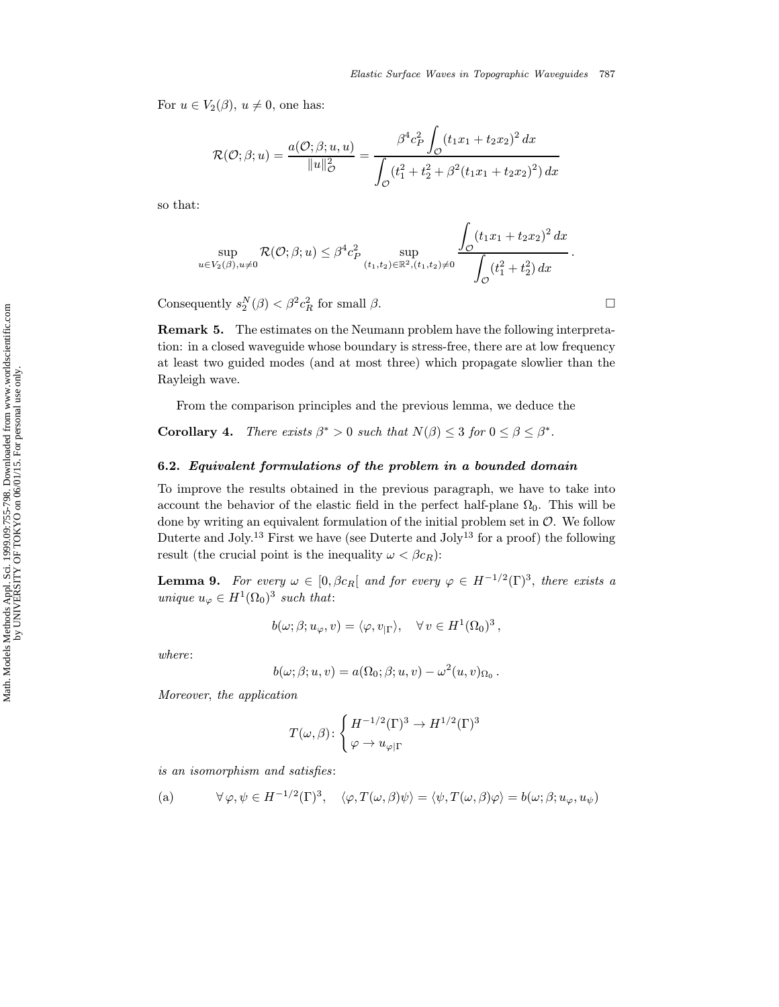For  $u \in V_2(\beta)$ ,  $u \neq 0$ , one has:

$$
\mathcal{R}(\mathcal{O};\beta;u) = \frac{a(\mathcal{O};\beta;u,u)}{\|u\|_{\mathcal{O}}^2} = \frac{\beta^4 c_P^2 \int_{\mathcal{O}} (t_1x_1 + t_2x_2)^2 dx}{\int_{\mathcal{O}} (t_1^2 + t_2^2 + \beta^2 (t_1x_1 + t_2x_2)^2) dx}
$$

so that:

$$
\sup_{u \in V_2(\beta), u \neq 0} \mathcal{R}(\mathcal{O}; \beta; u) \leq \beta^4 c_P^2 \sup_{(t_1, t_2) \in \mathbb{R}^2, (t_1, t_2) \neq 0} \frac{\int_{\mathcal{O}} (t_1 x_1 + t_2 x_2)^2 dx}{\int_{\mathcal{O}} (t_1^2 + t_2^2) dx}.
$$

Consequently  $s_2^N(\beta) < \beta^2 c_R^2$  for small  $\beta$ .

Remark 5. The estimates on the Neumann problem have the following interpretation: in a closed waveguide whose boundary is stress-free, there are at low frequency at least two guided modes (and at most three) which propagate slowlier than the Rayleigh wave.

From the comparison principles and the previous lemma, we deduce the

**Corollary 4.** There exists  $\beta^* > 0$  such that  $N(\beta) \leq 3$  for  $0 \leq \beta \leq \beta^*$ .

#### 6.2. Equivalent formulations of the problem in a bounded domain

To improve the results obtained in the previous paragraph, we have to take into account the behavior of the elastic field in the perfect half-plane  $\Omega_0$ . This will be done by writing an equivalent formulation of the initial problem set in  $\mathcal{O}$ . We follow Duterte and Joly.<sup>13</sup> First we have (see Duterte and Joly<sup>13</sup> for a proof) the following result (the crucial point is the inequality  $\omega < \beta c_R$ ):

**Lemma 9.** For every  $\omega \in [0, \beta c_R[$  and for every  $\varphi \in H^{-1/2}(\Gamma)^3$ , there exists a unique  $u_{\varphi} \in H^1(\Omega_0)^3$  such that:

$$
b(\omega;\beta;u_{\varphi},v)=\langle\varphi,v_{|\Gamma}\rangle,\quad \forall\,v\in H^1(\Omega_0)^3\,,
$$

where:

$$
b(\omega;\beta;u,v) = a(\Omega_0;\beta;u,v) - \omega^2(u,v)_{\Omega_0}.
$$

Moreover, the application

$$
T(\omega,\beta)\colon \left\{ \begin{aligned} &H^{-1/2}(\Gamma)^3\to H^{1/2}(\Gamma)^3\\ &\varphi\to u_{\varphi|\Gamma} \end{aligned} \right.
$$

is an isomorphism and satisfies:

(a) 
$$
\forall \varphi, \psi \in H^{-1/2}(\Gamma)^3, \quad \langle \varphi, T(\omega, \beta) \psi \rangle = \langle \psi, T(\omega, \beta) \varphi \rangle = b(\omega; \beta; u_{\varphi}, u_{\psi})
$$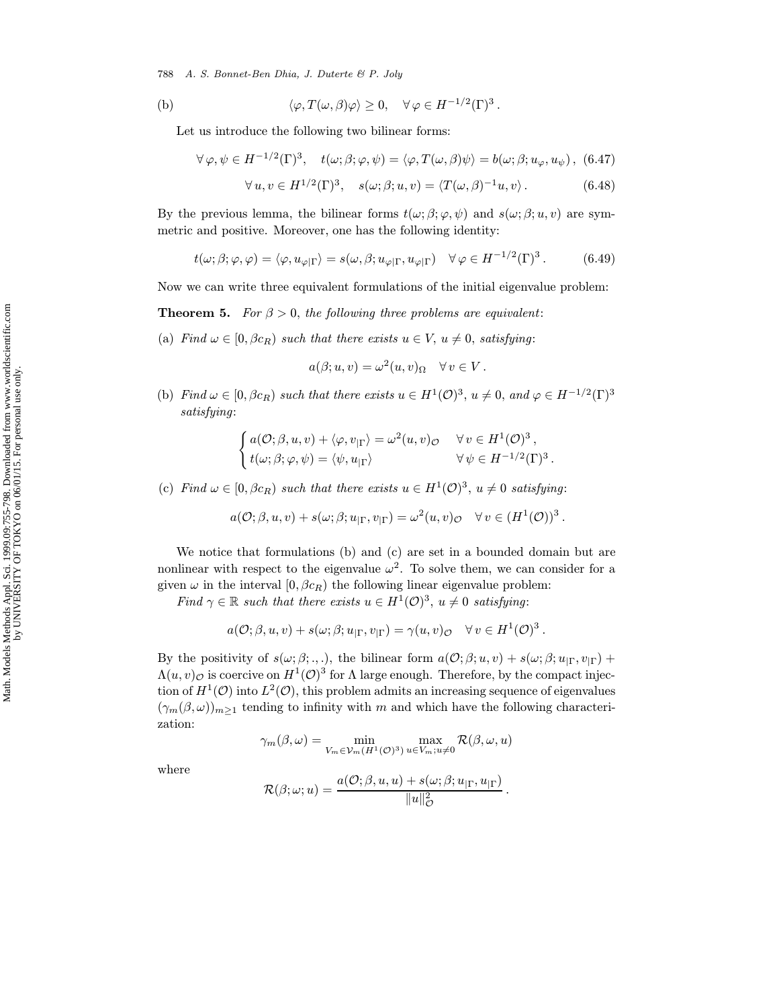788 A. S. Bonnet-Ben Dhia, J. Duterte & P. Joly

(b) 
$$
\langle \varphi, T(\omega, \beta)\varphi \rangle \ge 0, \quad \forall \varphi \in H^{-1/2}(\Gamma)^3.
$$

Let us introduce the following two bilinear forms:

$$
\forall \varphi, \psi \in H^{-1/2}(\Gamma)^3, \quad t(\omega; \beta; \varphi, \psi) = \langle \varphi, T(\omega, \beta) \psi \rangle = b(\omega; \beta; u_{\varphi}, u_{\psi}), \tag{6.47}
$$

$$
\forall u, v \in H^{1/2}(\Gamma)^3, \quad s(\omega; \beta; u, v) = \langle T(\omega, \beta)^{-1}u, v \rangle. \tag{6.48}
$$

By the previous lemma, the bilinear forms  $t(\omega; \beta; \varphi, \psi)$  and  $s(\omega; \beta; u, v)$  are symmetric and positive. Moreover, one has the following identity:

$$
t(\omega;\beta;\varphi,\varphi) = \langle \varphi, u_{\varphi|\Gamma} \rangle = s(\omega,\beta; u_{\varphi|\Gamma}, u_{\varphi|\Gamma}) \quad \forall \varphi \in H^{-1/2}(\Gamma)^3. \tag{6.49}
$$

Now we can write three equivalent formulations of the initial eigenvalue problem:

**Theorem 5.** For  $\beta > 0$ , the following three problems are equivalent:

(a) Find  $\omega \in [0, \beta c_R)$  such that there exists  $u \in V$ ,  $u \neq 0$ , satisfying:

$$
a(\beta; u, v) = \omega^2(u, v)_{\Omega} \quad \forall v \in V.
$$

(b) Find  $\omega \in [0, \beta c_R)$  such that there exists  $u \in H^1(\mathcal{O})^3$ ,  $u \neq 0$ , and  $\varphi \in H^{-1/2}(\Gamma)^3$ satisfying:

$$
\begin{cases}\na(\mathcal{O}; \beta, u, v) + \langle \varphi, v_{|\Gamma} \rangle = \omega^2(u, v)\varphi & \forall v \in H^1(\mathcal{O})^3, \\
t(\omega; \beta; \varphi, \psi) = \langle \psi, u_{|\Gamma} \rangle & \forall \psi \in H^{-1/2}(\Gamma)^3.\n\end{cases}
$$

(c) Find  $\omega \in [0, \beta c_R)$  such that there exists  $u \in H^1(\mathcal{O})^3$ ,  $u \neq 0$  satisfying:

$$
a(\mathcal{O}; \beta, u, v) + s(\omega; \beta; u_{|\Gamma}, v_{|\Gamma}) = \omega^2(u, v)_{\mathcal{O}} \quad \forall v \in (H^1(\mathcal{O}))^3.
$$

We notice that formulations (b) and (c) are set in a bounded domain but are nonlinear with respect to the eigenvalue  $\omega^2$ . To solve them, we can consider for a given  $\omega$  in the interval  $[0, \beta c_R)$  the following linear eigenvalue problem:

Find  $\gamma \in \mathbb{R}$  such that there exists  $u \in H^1(\mathcal{O})^3$ ,  $u \neq 0$  satisfying:

$$
a(\mathcal{O}; \beta, u, v) + s(\omega; \beta; u_{|\Gamma}, v_{|\Gamma}) = \gamma(u, v)_{\mathcal{O}} \quad \forall v \in H^{1}(\mathcal{O})^{3}.
$$

By the positivity of  $s(\omega; \beta; \ldots)$ , the bilinear form  $a(\mathcal{O}; \beta; u, v) + s(\omega; \beta; u_{\Gamma}, v_{\Gamma}) +$  $\Lambda(u, v)_{\mathcal{O}}$  is coercive on  $H^1(\mathcal{O})^3$  for  $\Lambda$  large enough. Therefore, by the compact injection of  $H^1(\mathcal{O})$  into  $L^2(\mathcal{O})$ , this problem admits an increasing sequence of eigenvalues  $(\gamma_m(\beta,\omega))_{m>1}$  tending to infinity with m and which have the following characterization:

$$
\gamma_m(\beta,\omega) = \min_{V_m \in \mathcal{V}_m(H^1(\mathcal{O})^3)} \max_{u \in V_m; u \neq 0} \mathcal{R}(\beta,\omega,u)
$$

where

$$
\mathcal{R}(\beta; \omega; u) = \frac{a(\mathcal{O}; \beta, u, u) + s(\omega; \beta; u_{|\Gamma}, u_{|\Gamma})}{\|u\|_{\mathcal{O}}^2}.
$$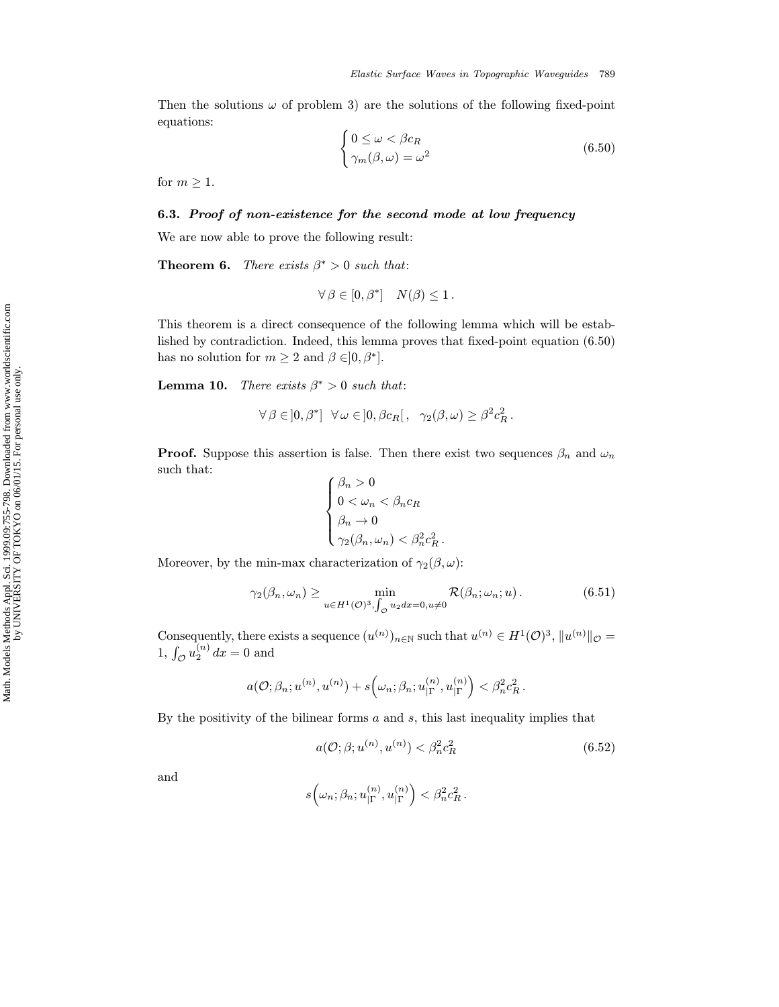Then the solutions  $\omega$  of problem 3) are the solutions of the following fixed-point equations:

$$
\begin{cases} 0 \le \omega < \beta c_R \\ \gamma_m(\beta, \omega) = \omega^2 \end{cases} \tag{6.50}
$$

for  $m \geq 1$ .

## 6.3. Proof of non-existence for the second mode at low frequency

We are now able to prove the following result:

**Theorem 6.** There exists  $\beta^* > 0$  such that:

$$
\forall \beta \in [0, \beta^*] \quad N(\beta) \le 1.
$$

This theorem is a direct consequence of the following lemma which will be established by contradiction. Indeed, this lemma proves that fixed-point equation (6.50) has no solution for  $m \geq 2$  and  $\beta \in ]0, \beta^*]$ .

**Lemma 10.** There exists  $\beta^* > 0$  such that:

$$
\forall \beta \in ]0, \beta^*] \quad \forall \omega \in ]0, \beta c_R[, \quad \gamma_2(\beta, \omega) \ge \beta^2 c_R^2.
$$

**Proof.** Suppose this assertion is false. Then there exist two sequences  $\beta_n$  and  $\omega_n$ such that:  $\epsilon$  $\sim$  0

$$
\begin{cases} \beta_n > 0 \\ 0 < \omega_n < \beta_n c_R \\ \beta_n \to 0 \\ \gamma_2(\beta_n, \omega_n) < \beta_n^2 c_R^2 \end{cases}
$$

Moreover, by the min-max characterization of  $\gamma_2(\beta,\omega)$ :

$$
\gamma_2(\beta_n, \omega_n) \ge \min_{u \in H^1(\mathcal{O})^3, \int_{\mathcal{O}} u_2 dx = 0, u \neq 0} \mathcal{R}(\beta_n; \omega_n; u).
$$
(6.51)

Consequently, there exists a sequence  $(u^{(n)})_{n\in\mathbb{N}}$  such that  $u^{(n)} \in H^1(\mathcal{O})^3$ ,  $||u^{(n)}||_{\mathcal{O}} =$ 1,  $\int_{\mathcal{O}} u_2^{(n)} dx = 0$  and

$$
a(\mathcal{O};\beta_n;u^{(n)},u^{(n)})+s\left(\omega_n;\beta_n;u^{(n)}_{|\Gamma},u^{(n)}_{|\Gamma}\right)<\beta_n^2c_R^2.
$$

By the positivity of the bilinear forms  $a$  and  $s$ , this last inequality implies that

$$
a(\mathcal{O}; \beta; u^{(n)}, u^{(n)}) < \beta_n^2 c_R^2 \tag{6.52}
$$

and

$$
s\Big(\omega_n;\beta_n;u^{(n)}_{|\Gamma},u^{(n)}_{|\Gamma}\Big)<\beta_n^2c_R^2\,.
$$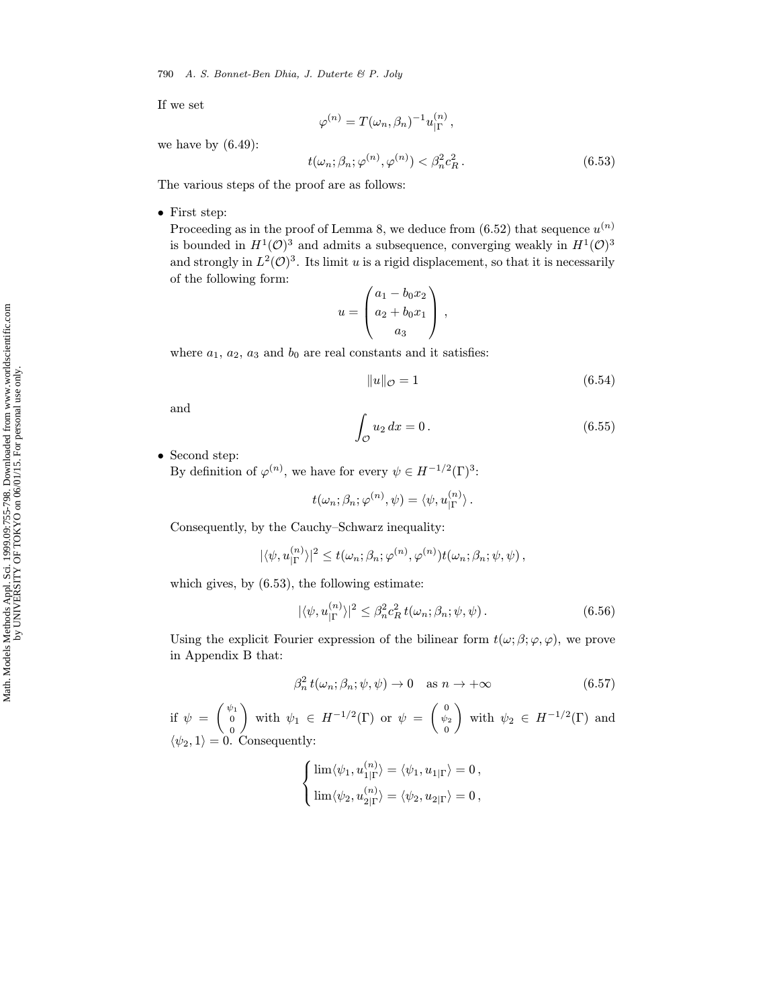790 A. S. Bonnet-Ben Dhia, J. Duterte & P. Joly

If we set

$$
\varphi^{(n)}=T(\omega_n,\beta_n)^{-1}u^{(n)}_{|\Gamma}\,,
$$

we have by  $(6.49)$ :

$$
t(\omega_n; \beta_n; \varphi^{(n)}, \varphi^{(n)}) < \beta_n^2 c_R^2. \tag{6.53}
$$

The various steps of the proof are as follows:

• First step:

Proceeding as in the proof of Lemma 8, we deduce from  $(6.52)$  that sequence  $u^{(n)}$ is bounded in  $H^1(\mathcal{O})^3$  and admits a subsequence, converging weakly in  $H^1(\mathcal{O})^3$ and strongly in  $L^2(\mathcal{O})^3$ . Its limit u is a rigid displacement, so that it is necessarily of the following form:

$$
u = \begin{pmatrix} a_1 - b_0 x_2 \\ a_2 + b_0 x_1 \\ a_3 \end{pmatrix},
$$

where  $a_1$ ,  $a_2$ ,  $a_3$  and  $b_0$  are real constants and it satisfies:

$$
||u||_{\mathcal{O}} = 1\tag{6.54}
$$

and

$$
\int_{\mathcal{O}} u_2 dx = 0. \tag{6.55}
$$

• Second step:

By definition of  $\varphi^{(n)}$ , we have for every  $\psi \in H^{-1/2}(\Gamma)^3$ :

$$
t(\omega_n; \beta_n; \varphi^{(n)}, \psi) = \langle \psi, u_{|\Gamma}^{(n)} \rangle.
$$

Consequently, by the Cauchy–Schwarz inequality:

$$
|\langle \psi, u_{|\Gamma}^{(n)} \rangle|^2 \leq t(\omega_n; \beta_n; \varphi^{(n)}, \varphi^{(n)}) t(\omega_n; \beta_n; \psi, \psi),
$$

which gives, by (6.53), the following estimate:

$$
|\langle \psi, u_{|\Gamma}^{(n)} \rangle|^2 \leq \beta_n^2 c_R^2 t(\omega_n; \beta_n; \psi, \psi).
$$
 (6.56)

Using the explicit Fourier expression of the bilinear form  $t(\omega; \beta; \varphi, \varphi)$ , we prove in Appendix B that:

$$
\beta_n^2 t(\omega_n; \beta_n; \psi, \psi) \to 0 \quad \text{as } n \to +\infty \tag{6.57}
$$

if  $\psi = \begin{pmatrix} \psi_1 \\ 0 \end{pmatrix}$ 0 with  $\psi_1 \in H^{-1/2}(\Gamma)$  or  $\psi = \begin{pmatrix} 0 \ \psi_2 \end{pmatrix}$ 0 with  $\psi_2 \in H^{-1/2}(\Gamma)$  and  $\langle \psi_2, 1 \rangle = 0$ . Consequently:

$$
\begin{cases} \lim \langle \psi_1, u_{1|\Gamma}^{(n)} \rangle = \langle \psi_1, u_{1|\Gamma} \rangle = 0, \\ \lim \langle \psi_2, u_{2|\Gamma}^{(n)} \rangle = \langle \psi_2, u_{2|\Gamma} \rangle = 0, \end{cases}
$$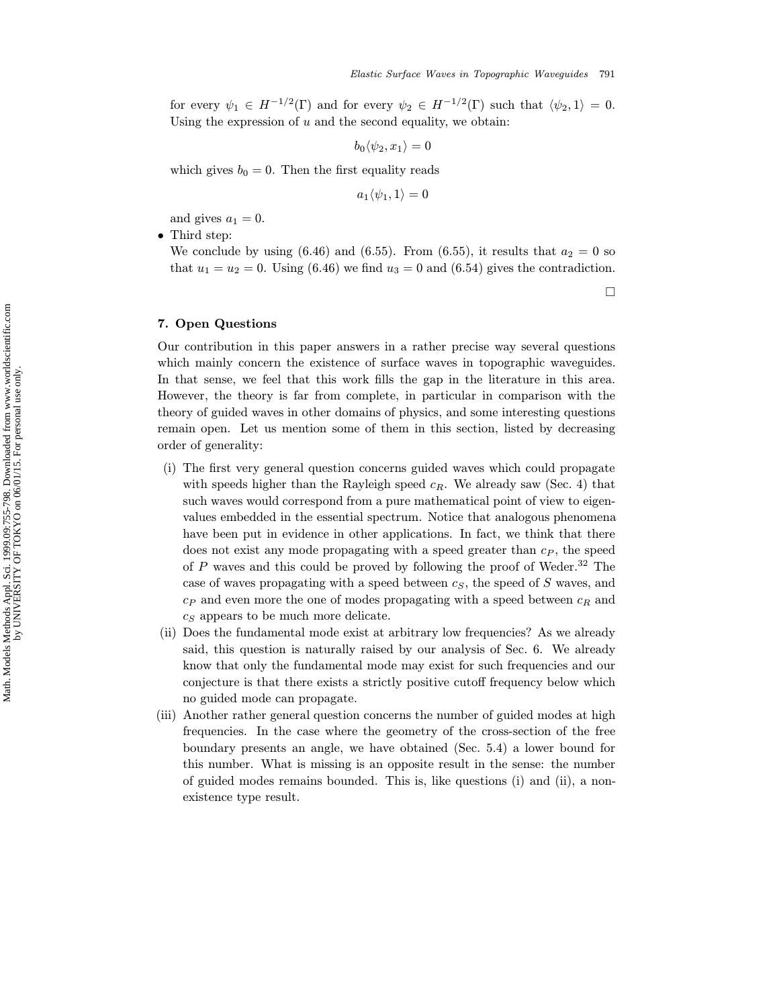for every  $\psi_1 \in H^{-1/2}(\Gamma)$  and for every  $\psi_2 \in H^{-1/2}(\Gamma)$  such that  $\langle \psi_2, 1 \rangle = 0$ . Using the expression of  $u$  and the second equality, we obtain:

$$
b_0 \langle \psi_2, x_1 \rangle = 0
$$

which gives  $b_0 = 0$ . Then the first equality reads

$$
a_1\langle \psi_1,1\rangle=0
$$

and gives  $a_1 = 0$ .

• Third step:

We conclude by using (6.46) and (6.55). From (6.55), it results that  $a_2 = 0$  so that  $u_1 = u_2 = 0$ . Using (6.46) we find  $u_3 = 0$  and (6.54) gives the contradiction.

 $\Box$ 

### 7. Open Questions

Our contribution in this paper answers in a rather precise way several questions which mainly concern the existence of surface waves in topographic waveguides. In that sense, we feel that this work fills the gap in the literature in this area. However, the theory is far from complete, in particular in comparison with the theory of guided waves in other domains of physics, and some interesting questions remain open. Let us mention some of them in this section, listed by decreasing order of generality:

- (i) The first very general question concerns guided waves which could propagate with speeds higher than the Rayleigh speed  $c_R$ . We already saw (Sec. 4) that such waves would correspond from a pure mathematical point of view to eigenvalues embedded in the essential spectrum. Notice that analogous phenomena have been put in evidence in other applications. In fact, we think that there does not exist any mode propagating with a speed greater than  $c_P$ , the speed of  $P$  waves and this could be proved by following the proof of Weder.<sup>32</sup> The case of waves propagating with a speed between  $c_S$ , the speed of S waves, and  $c_P$  and even more the one of modes propagating with a speed between  $c_R$  and  $c<sub>S</sub>$  appears to be much more delicate.
- (ii) Does the fundamental mode exist at arbitrary low frequencies? As we already said, this question is naturally raised by our analysis of Sec. 6. We already know that only the fundamental mode may exist for such frequencies and our conjecture is that there exists a strictly positive cutoff frequency below which no guided mode can propagate.
- (iii) Another rather general question concerns the number of guided modes at high frequencies. In the case where the geometry of the cross-section of the free boundary presents an angle, we have obtained (Sec. 5.4) a lower bound for this number. What is missing is an opposite result in the sense: the number of guided modes remains bounded. This is, like questions (i) and (ii), a nonexistence type result.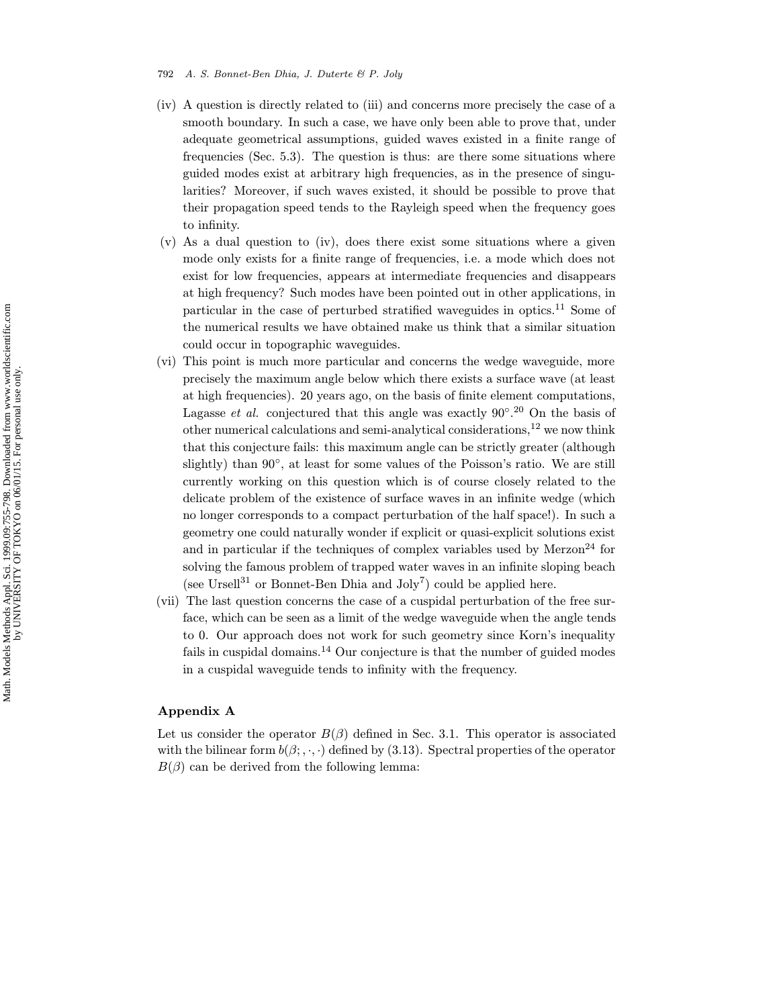#### 792 A. S. Bonnet-Ben Dhia, J. Duterte & P. Joly

- (iv) A question is directly related to (iii) and concerns more precisely the case of a smooth boundary. In such a case, we have only been able to prove that, under adequate geometrical assumptions, guided waves existed in a finite range of frequencies (Sec. 5.3). The question is thus: are there some situations where guided modes exist at arbitrary high frequencies, as in the presence of singularities? Moreover, if such waves existed, it should be possible to prove that their propagation speed tends to the Rayleigh speed when the frequency goes to infinity.
- $(v)$  As a dual question to (iv), does there exist some situations where a given mode only exists for a finite range of frequencies, i.e. a mode which does not exist for low frequencies, appears at intermediate frequencies and disappears at high frequency? Such modes have been pointed out in other applications, in particular in the case of perturbed stratified waveguides in optics.<sup>11</sup> Some of the numerical results we have obtained make us think that a similar situation could occur in topographic waveguides.
- (vi) This point is much more particular and concerns the wedge waveguide, more precisely the maximum angle below which there exists a surface wave (at least at high frequencies). 20 years ago, on the basis of finite element computations, Lagasse *et al.* conjectured that this angle was exactly  $90^{\circ}.^{20}$  On the basis of other numerical calculations and semi-analytical considerations, $12$  we now think that this conjecture fails: this maximum angle can be strictly greater (although slightly) than 90◦, at least for some values of the Poisson's ratio. We are still currently working on this question which is of course closely related to the delicate problem of the existence of surface waves in an infinite wedge (which no longer corresponds to a compact perturbation of the half space!). In such a geometry one could naturally wonder if explicit or quasi-explicit solutions exist and in particular if the techniques of complex variables used by  $Merzon<sup>24</sup>$  for solving the famous problem of trapped water waves in an infinite sloping beach (see Ursell<sup>31</sup> or Bonnet-Ben Dhia and  $Joly^7$ ) could be applied here.
- (vii) The last question concerns the case of a cuspidal perturbation of the free surface, which can be seen as a limit of the wedge waveguide when the angle tends to 0. Our approach does not work for such geometry since Korn's inequality fails in cuspidal domains.<sup>14</sup> Our conjecture is that the number of guided modes in a cuspidal waveguide tends to infinity with the frequency.

## Appendix A

Let us consider the operator  $B(\beta)$  defined in Sec. 3.1. This operator is associated with the bilinear form  $b(\beta; \cdot, \cdot)$  defined by (3.13). Spectral properties of the operator  $B(\beta)$  can be derived from the following lemma: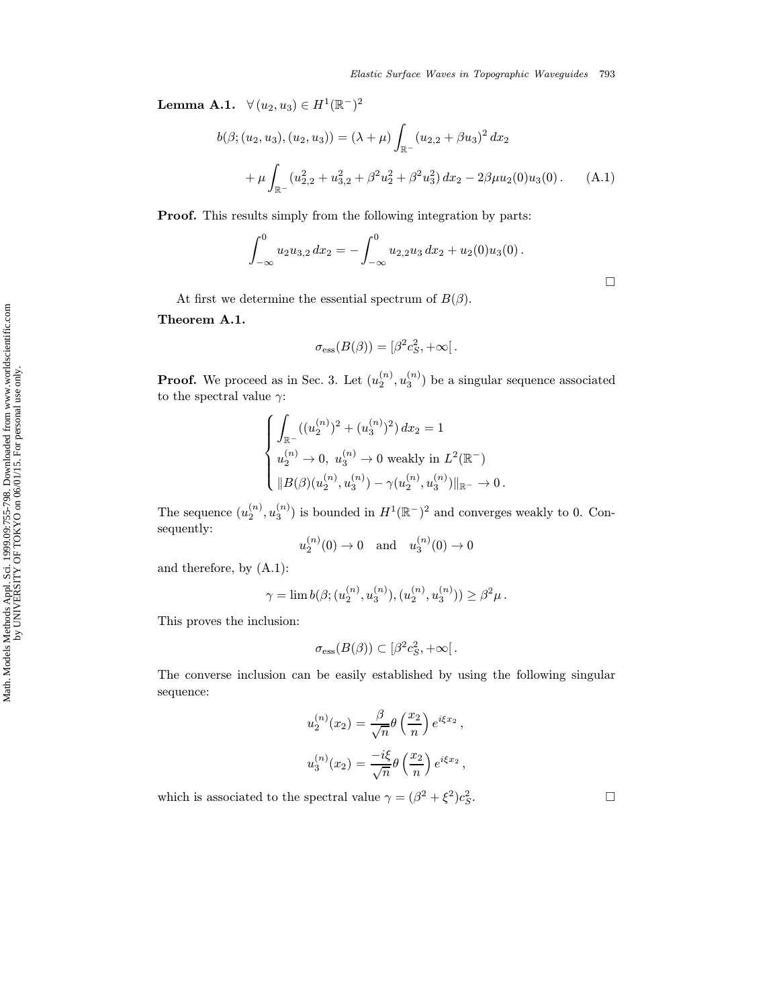Lemma A.1.  $\forall (u_2, u_3) \in H^1(\mathbb{R}^-)^2$ 

$$
b(\beta; (u_2, u_3), (u_2, u_3)) = (\lambda + \mu) \int_{\mathbb{R}^-} (u_{2,2} + \beta u_3)^2 dx_2
$$
  
+ 
$$
\mu \int_{\mathbb{R}^-} (u_{2,2}^2 + u_{3,2}^2 + \beta^2 u_2^2 + \beta^2 u_3^2) dx_2 - 2\beta \mu u_2(0)u_3(0).
$$
 (A.1)

Proof. This results simply from the following integration by parts:

$$
\int_{-\infty}^0 u_2 u_{3,2} dx_2 = - \int_{-\infty}^0 u_{2,2} u_3 dx_2 + u_2(0) u_3(0).
$$

At first we determine the essential spectrum of  $B(\beta)$ .

Theorem A.1.

$$
\sigma_{\rm ess}(B(\beta))=[\beta^2c_S^2,+\infty[.
$$

**Proof.** We proceed as in Sec. 3. Let  $(u_2^{(n)}, u_3^{(n)})$  be a singular sequence associated to the spectral value  $\gamma$ :

$$
\begin{cases} \int_{\mathbb{R}^-} ((u_2^{(n)})^2 + (u_3^{(n)})^2) dx_2 = 1 \\ u_2^{(n)} \to 0, \ u_3^{(n)} \to 0 \text{ weakly in } L^2(\mathbb{R}^-) \\ \|B(\beta)(u_2^{(n)}, u_3^{(n)}) - \gamma(u_2^{(n)}, u_3^{(n)})\|_{\mathbb{R}^-} \to 0. \end{cases}
$$

The sequence  $(u_2^{(n)}, u_3^{(n)})$  is bounded in  $H^1(\mathbb{R}^-)^2$  and converges weakly to 0. Consequently:

$$
u_2^{(n)}(0) \to 0
$$
 and  $u_3^{(n)}(0) \to 0$ 

and therefore, by (A.1):

$$
\gamma = \lim b(\beta; (u_2^{(n)}, u_3^{(n)}), (u_2^{(n)}, u_3^{(n)})) \ge \beta^2 \mu.
$$

This proves the inclusion:

$$
\sigma_{\text{ess}}(B(\beta)) \subset [\beta^2 c_S^2, +\infty[
$$

The converse inclusion can be easily established by using the following singular sequence:

$$
u_2^{(n)}(x_2) = \frac{\beta}{\sqrt{n}} \theta\left(\frac{x_2}{n}\right) e^{i\xi x_2},
$$
  

$$
u_3^{(n)}(x_2) = \frac{-i\xi}{\sqrt{n}} \theta\left(\frac{x_2}{n}\right) e^{i\xi x_2},
$$

which is associated to the spectral value  $\gamma = (\beta^2 + \xi^2) c_S^2$ .  $S$ .

 $\Box$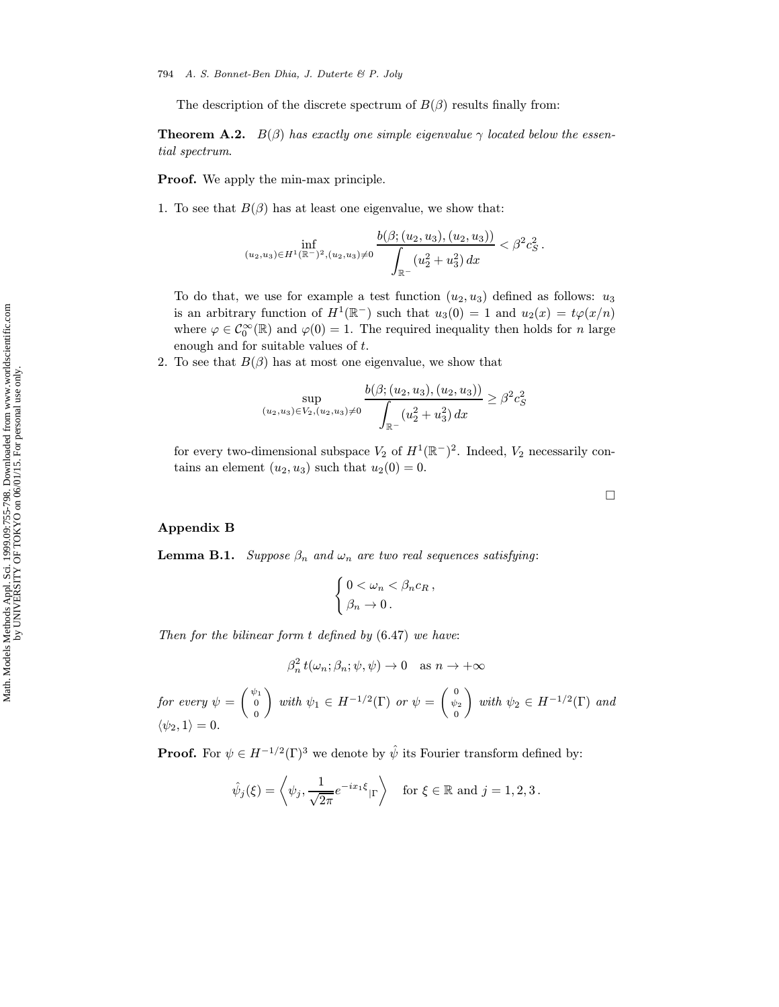The description of the discrete spectrum of  $B(\beta)$  results finally from:

**Theorem A.2.**  $B(\beta)$  has exactly one simple eigenvalue  $\gamma$  located below the essential spectrum.

Proof. We apply the min-max principle.

1. To see that  $B(\beta)$  has at least one eigenvalue, we show that:

$$
\inf_{(u_2,u_3)\in H^1(\mathbb{R}^-)^2,(u_2,u_3)\neq 0}\frac{b(\beta;(u_2,u_3),(u_2,u_3))}{\displaystyle\int_{\mathbb{R}^-}(u_2^2+u_3^2)\,dx}<\beta^2c_S^2\,.
$$

To do that, we use for example a test function  $(u_2, u_3)$  defined as follows:  $u_3$ is an arbitrary function of  $H^1(\mathbb{R}^-)$  such that  $u_3(0) = 1$  and  $u_2(x) = t\varphi(x/n)$ where  $\varphi \in C_0^{\infty}(\mathbb{R})$  and  $\varphi(0) = 1$ . The required inequality then holds for n large enough and for suitable values of t.

2. To see that  $B(\beta)$  has at most one eigenvalue, we show that

$$
\sup_{(u_2, u_3)\in V_2, (u_2, u_3)\neq 0} \frac{b(\beta; (u_2, u_3), (u_2, u_3))}{\int_{\mathbb{R}^-} (u_2^2 + u_3^2) dx} \ge \beta^2 c_S^2
$$

for every two-dimensional subspace  $V_2$  of  $H^1(\mathbb{R}^-)^2$ . Indeed,  $V_2$  necessarily contains an element  $(u_2, u_3)$  such that  $u_2(0) = 0$ .

## Appendix B

**Lemma B.1.** Suppose  $\beta_n$  and  $\omega_n$  are two real sequences satisfying:

$$
\begin{cases} 0 < \omega_n < \beta_n c_R \,, \\ \beta_n \to 0 \, . \end{cases}
$$

Then for the bilinear form  $t$  defined by  $(6.47)$  we have:

$$
\beta_n^2 t(\omega_n; \beta_n; \psi, \psi) \to 0 \quad \text{as } n \to +\infty
$$

 $\emph{for every } \psi = \left( \begin{array}{c} \psi_1 \ 0 \end{array} \right)$ 0  $\Big)$  with  $\psi_1 \in H^{-1/2}(\Gamma)$  or  $\psi = \begin{pmatrix} 0 \\ \psi_2 \end{pmatrix}$ 0 with  $\psi_2 \in H^{-1/2}(\Gamma)$  and  $\langle \psi_2, 1 \rangle = 0.$ 

**Proof.** For  $\psi \in H^{-1/2}(\Gamma)^3$  we denote by  $\hat{\psi}$  its Fourier transform defined by:

$$
\hat{\psi}_j(\xi) = \left\langle \psi_j, \frac{1}{\sqrt{2\pi}} e^{-ix_1\xi} |_{\Gamma} \right\rangle \quad \text{for } \xi \in \mathbb{R} \text{ and } j = 1, 2, 3 \,.
$$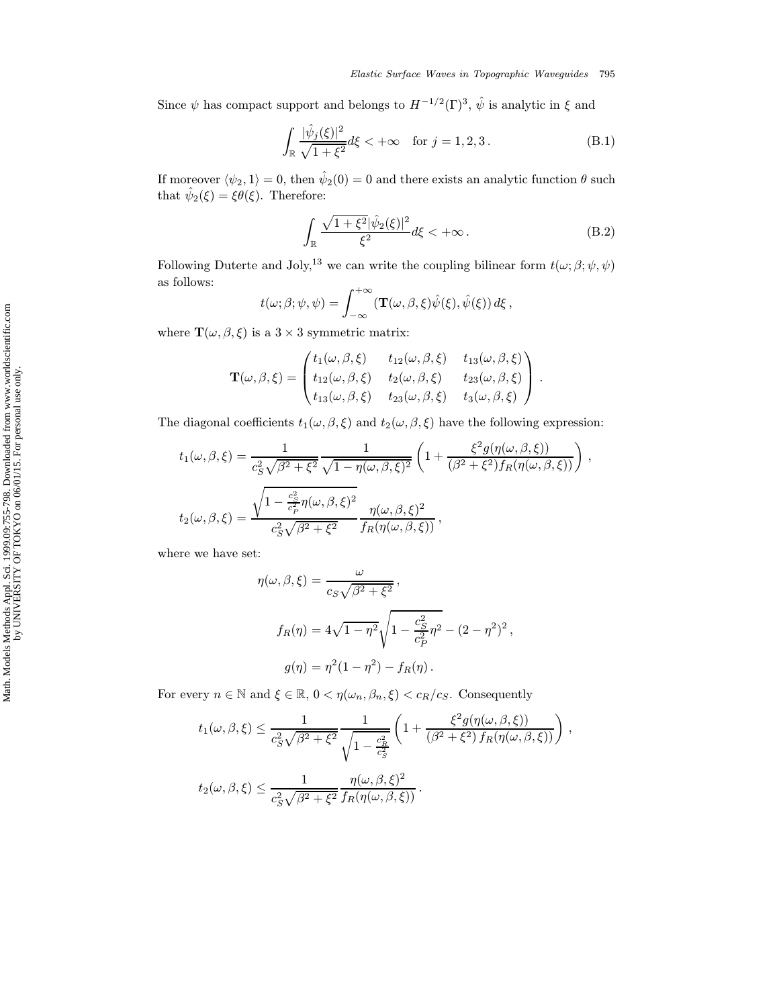Since  $\psi$  has compact support and belongs to  $H^{-1/2}(\Gamma)^3$ ,  $\hat{\psi}$  is analytic in  $\xi$  and

$$
\int_{\mathbb{R}} \frac{|\hat{\psi}_j(\xi)|^2}{\sqrt{1+\xi^2}} d\xi < +\infty \quad \text{for } j = 1, 2, 3.
$$
 (B.1)

If moreover  $\langle \psi_2, 1 \rangle = 0$ , then  $\hat{\psi}_2(0) = 0$  and there exists an analytic function  $\theta$  such that  $\hat{\psi}_2(\xi) = \xi \theta(\xi)$ . Therefore:

$$
\int_{\mathbb{R}} \frac{\sqrt{1+\xi^2}|\hat{\psi}_2(\xi)|^2}{\xi^2} d\xi < +\infty.
$$
 (B.2)

Following Duterte and Joly,<sup>13</sup> we can write the coupling bilinear form  $t(\omega; \beta; \psi, \psi)$ as follows:

$$
t(\omega;\beta;\psi,\psi) = \int_{-\infty}^{+\infty} (\mathbf{T}(\omega,\beta,\xi)\hat{\psi}(\xi),\hat{\psi}(\xi)) d\xi,
$$

where  $\mathbf{T}(\omega, \beta, \xi)$  is a 3 × 3 symmetric matrix:

$$
\mathbf{T}(\omega,\beta,\xi) = \begin{pmatrix} t_1(\omega,\beta,\xi) & t_{12}(\omega,\beta,\xi) & t_{13}(\omega,\beta,\xi) \\ t_{12}(\omega,\beta,\xi) & t_2(\omega,\beta,\xi) & t_{23}(\omega,\beta,\xi) \\ t_{13}(\omega,\beta,\xi) & t_{23}(\omega,\beta,\xi) & t_3(\omega,\beta,\xi) \end{pmatrix}.
$$

The diagonal coefficients  $t_1(\omega, \beta, \xi)$  and  $t_2(\omega, \beta, \xi)$  have the following expression:

$$
t_1(\omega,\beta,\xi) = \frac{1}{c_S^2 \sqrt{\beta^2 + \xi^2}} \frac{1}{\sqrt{1 - \eta(\omega,\beta,\xi)^2}} \left(1 + \frac{\xi^2 g(\eta(\omega,\beta,\xi))}{(\beta^2 + \xi^2) f_R(\eta(\omega,\beta,\xi))}\right),
$$
  

$$
t_2(\omega,\beta,\xi) = \frac{\sqrt{1 - \frac{c_S^2}{c_P^2} \eta(\omega,\beta,\xi)^2}}{c_S^2 \sqrt{\beta^2 + \xi^2}} \frac{\eta(\omega,\beta,\xi)^2}{f_R(\eta(\omega,\beta,\xi))},
$$

where we have set:

$$
\eta(\omega, \beta, \xi) = \frac{\omega}{c_S \sqrt{\beta^2 + \xi^2}},
$$
  

$$
f_R(\eta) = 4\sqrt{1 - \eta^2} \sqrt{1 - \frac{c_S^2}{c_P^2} \eta^2} - (2 - \eta^2)^2,
$$
  

$$
g(\eta) = \eta^2 (1 - \eta^2) - f_R(\eta).
$$

For every  $n \in \mathbb{N}$  and  $\xi \in \mathbb{R}$ ,  $0 < \eta(\omega_n, \beta_n, \xi) < c_R/c_S$ . Consequently

$$
t_1(\omega,\beta,\xi) \le \frac{1}{c_S^2 \sqrt{\beta^2 + \xi^2}} \frac{1}{\sqrt{1 - \frac{c_R^2}{c_S^2}}} \left(1 + \frac{\xi^2 g(\eta(\omega,\beta,\xi))}{(\beta^2 + \xi^2) f_R(\eta(\omega,\beta,\xi))}\right),
$$
  

$$
t_2(\omega,\beta,\xi) \le \frac{1}{c_S^2 \sqrt{\beta^2 + \xi^2}} \frac{\eta(\omega,\beta,\xi)^2}{f_R(\eta(\omega,\beta,\xi))}.
$$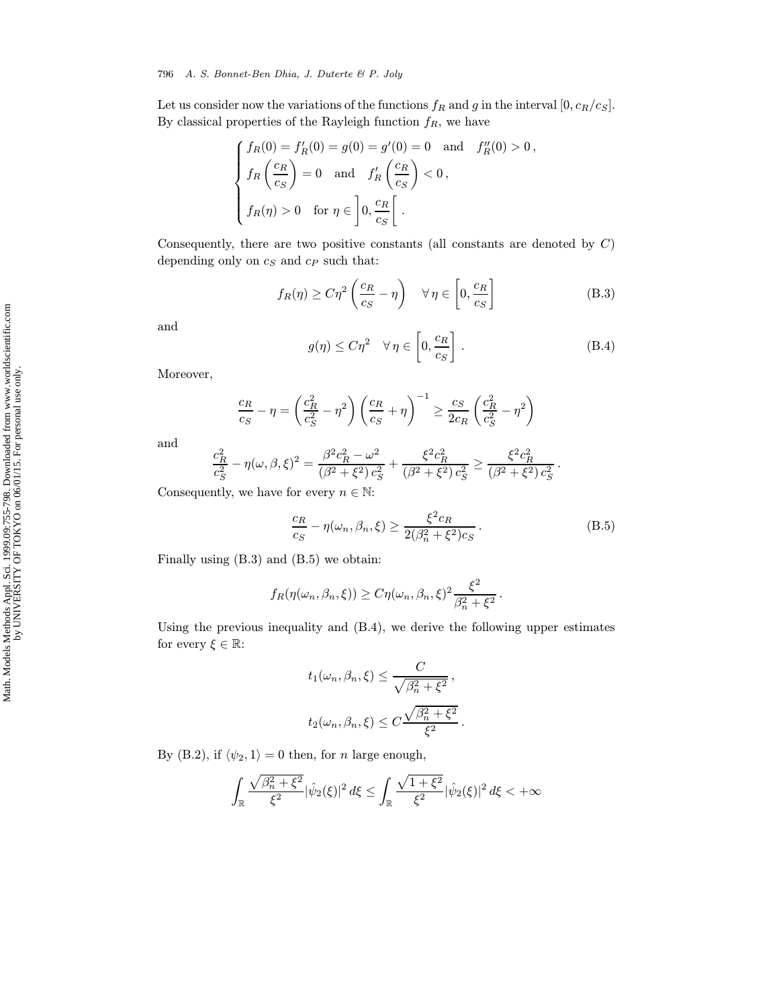Let us consider now the variations of the functions  $f_R$  and g in the interval  $[0, c_R/c_S]$ . By classical properties of the Rayleigh function  $f_R$ , we have

$$
\begin{cases}\nf_R(0) = f'_R(0) = g(0) = g'(0) = 0 \text{ and } f''_R(0) > 0, \\
f_R\left(\frac{c_R}{c_S}\right) = 0 \text{ and } f'_R\left(\frac{c_R}{c_S}\right) < 0, \\
f_R(\eta) > 0 \text{ for } \eta \in \left]0, \frac{c_R}{c_S}\right[.\n\end{cases}
$$

Consequently, there are two positive constants (all constants are denoted by  $C$ ) depending only on  $c_S$  and  $c_P$  such that:

$$
f_R(\eta) \ge C\eta^2 \left(\frac{c_R}{c_S} - \eta\right) \quad \forall \eta \in \left[0, \frac{c_R}{c_S}\right]
$$
 (B.3)

and

$$
g(\eta) \le C\eta^2 \quad \forall \,\eta \in \left[0, \frac{c_R}{c_S}\right]. \tag{B.4}
$$

Moreover,

$$
\frac{c_R}{c_S} - \eta = \left(\frac{c_R^2}{c_S^2} - \eta^2\right) \left(\frac{c_R}{c_S} + \eta\right)^{-1} \ge \frac{c_S}{2c_R} \left(\frac{c_R^2}{c_S^2} - \eta^2\right)
$$

and

$$
\frac{c_R^2}{c_S^2} - \eta(\omega, \beta, \xi)^2 = \frac{\beta^2 c_R^2 - \omega^2}{(\beta^2 + \xi^2) c_S^2} + \frac{\xi^2 c_R^2}{(\beta^2 + \xi^2) c_S^2} \ge \frac{\xi^2 c_R^2}{(\beta^2 + \xi^2) c_S^2}.
$$

Consequently, we have for every  $n \in \mathbb{N}$ :

$$
\frac{c_R}{c_S} - \eta(\omega_n, \beta_n, \xi) \ge \frac{\xi^2 c_R}{2(\beta_n^2 + \xi^2) c_S}.
$$
\n(B.5)

Finally using (B.3) and (B.5) we obtain:

$$
f_R(\eta(\omega_n, \beta_n, \xi)) \ge C \eta(\omega_n, \beta_n, \xi)^2 \frac{\xi^2}{\beta_n^2 + \xi^2}.
$$

Using the previous inequality and (B.4), we derive the following upper estimates for every  $\xi \in \mathbb{R}$ :

$$
t_1(\omega_n, \beta_n, \xi) \le \frac{C}{\sqrt{\beta_n^2 + \xi^2}},
$$
  

$$
t_2(\omega_n, \beta_n, \xi) \le C \frac{\sqrt{\beta_n^2 + \xi^2}}{\xi^2}.
$$

By (B.2), if  $\langle \psi_2, 1 \rangle = 0$  then, for n large enough,

$$
\int_{\mathbb{R}} \frac{\sqrt{\beta_n^2 + \xi^2}}{\xi^2} |\hat{\psi}_2(\xi)|^2 d\xi \le \int_{\mathbb{R}} \frac{\sqrt{1 + \xi^2}}{\xi^2} |\hat{\psi}_2(\xi)|^2 d\xi < +\infty
$$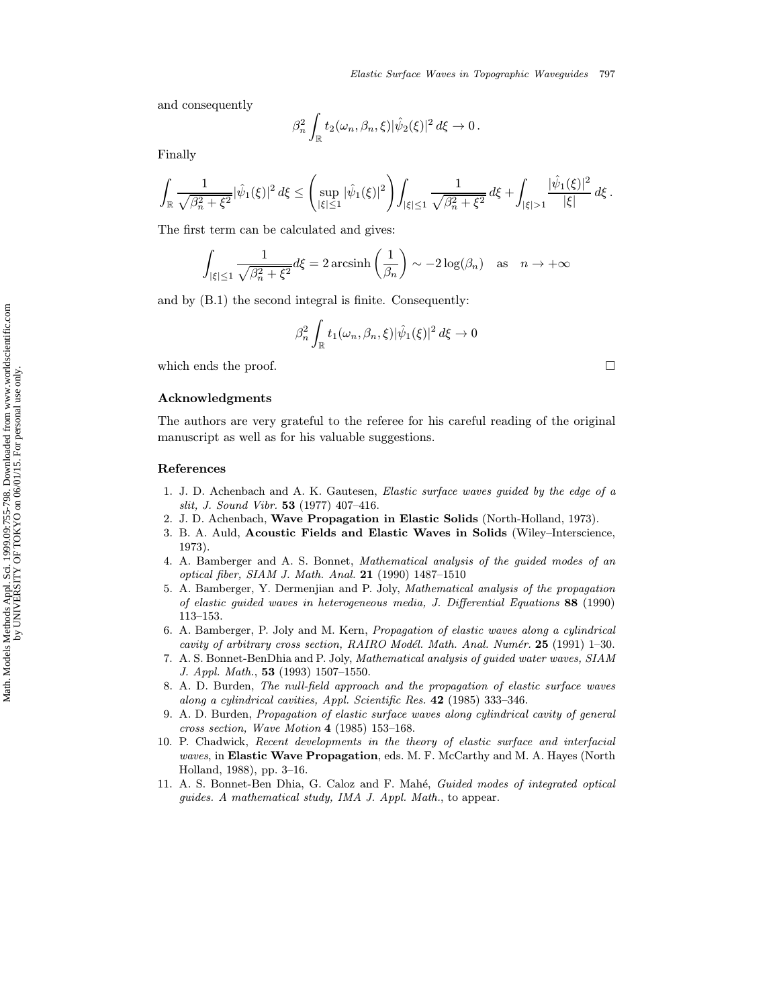and consequently

$$
\beta_n^2 \int_{\mathbb{R}} t_2(\omega_n, \beta_n, \xi) |\hat{\psi}_2(\xi)|^2 d\xi \to 0.
$$

Finally

$$
\int_{\mathbb{R}} \frac{1}{\sqrt{\beta_n^2 + \xi^2}} |\hat{\psi}_1(\xi)|^2 d\xi \le \left( \sup_{|\xi| \le 1} |\hat{\psi}_1(\xi)|^2 \right) \int_{|\xi| \le 1} \frac{1}{\sqrt{\beta_n^2 + \xi^2}} d\xi + \int_{|\xi| > 1} \frac{|\hat{\psi}_1(\xi)|^2}{|\xi|} d\xi.
$$

The first term can be calculated and gives:

$$
\int_{|\xi| \le 1} \frac{1}{\sqrt{\beta_n^2 + \xi^2}} d\xi = 2 \operatorname{arcsinh}\left(\frac{1}{\beta_n}\right) \sim -2 \log(\beta_n) \quad \text{as} \quad n \to +\infty
$$

and by (B.1) the second integral is finite. Consequently:

$$
\beta_n^2 \int_{\mathbb{R}} t_1(\omega_n, \beta_n, \xi) |\hat{\psi}_1(\xi)|^2 d\xi \to 0
$$

which ends the proof.  $\hfill \square$ 

#### Acknowledgments

The authors are very grateful to the referee for his careful reading of the original manuscript as well as for his valuable suggestions.

#### References

- 1. J. D. Achenbach and A. K. Gautesen, Elastic surface waves guided by the edge of a slit, J. Sound Vibr. 53 (1977) 407–416.
- 2. J. D. Achenbach, Wave Propagation in Elastic Solids (North-Holland, 1973).
- 3. B. A. Auld, Acoustic Fields and Elastic Waves in Solids (Wiley–Interscience, 1973).
- 4. A. Bamberger and A. S. Bonnet, Mathematical analysis of the guided modes of an optical fiber, SIAM J. Math. Anal. 21 (1990) 1487–1510
- 5. A. Bamberger, Y. Dermenjian and P. Joly, Mathematical analysis of the propagation of elastic guided waves in heterogeneous media, J. Differential Equations 88 (1990) 113–153.
- 6. A. Bamberger, P. Joly and M. Kern, Propagation of elastic waves along a cylindrical cavity of arbitrary cross section,  $RAIRO \textit{Model. Math. Anal. Numér. }$  25 (1991) 1–30.
- 7. A. S. Bonnet-BenDhia and P. Joly, Mathematical analysis of guided water waves, SIAM J. Appl. Math., 53 (1993) 1507–1550.
- 8. A. D. Burden, The null-field approach and the propagation of elastic surface waves along a cylindrical cavities, Appl. Scientific Res. 42 (1985) 333–346.
- 9. A. D. Burden, Propagation of elastic surface waves along cylindrical cavity of general cross section, Wave Motion 4 (1985) 153–168.
- 10. P. Chadwick, Recent developments in the theory of elastic surface and interfacial waves, in Elastic Wave Propagation, eds. M. F. McCarthy and M. A. Hayes (North Holland, 1988), pp. 3–16.
- 11. A. S. Bonnet-Ben Dhia, G. Caloz and F. Mahé, Guided modes of integrated optical guides. A mathematical study, IMA J. Appl. Math., to appear.